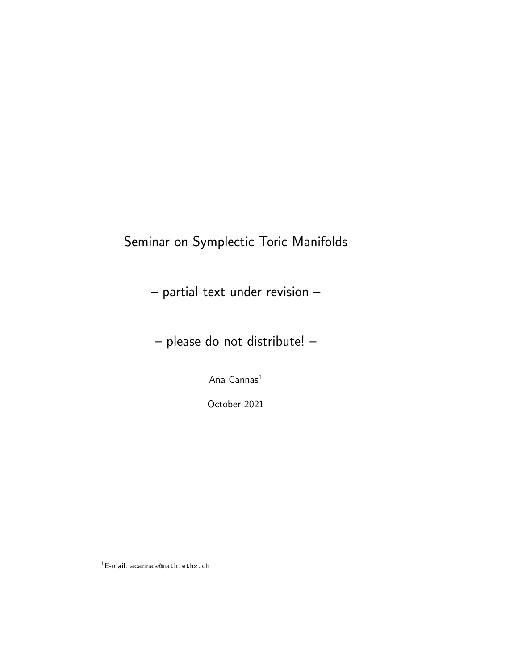# Seminar on Symplectic Toric Manifolds

- partial text under revision –
- please do not distribute! –

Ana Cannas<sup>1</sup>

October 2021

 $^{1}$ E-mail: acannas@math.ethz.ch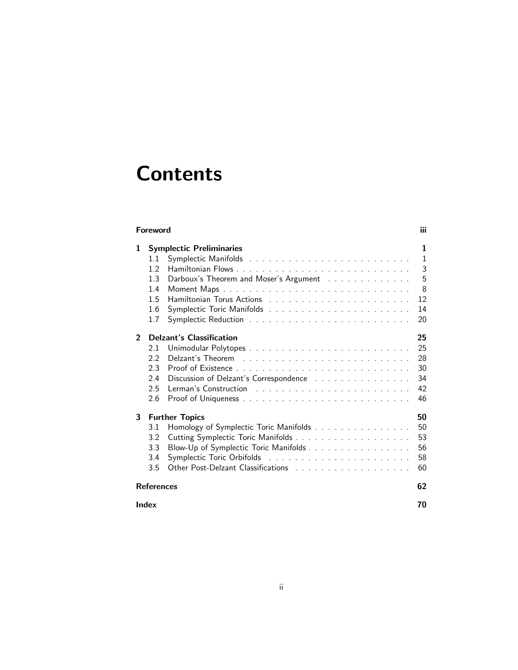# **Contents**

|                | <b>Foreword</b>                                                                                                                                                           | iii                                     |
|----------------|---------------------------------------------------------------------------------------------------------------------------------------------------------------------------|-----------------------------------------|
| 1              | <b>Symplectic Preliminaries</b><br>Symplectic Manifolds<br>$1.1\,$<br>1.2<br>Darboux's Theorem and Moser's Argument<br>1.3<br>1.4<br>1.5<br>1.6<br>1.7                    | ı<br>1<br>3<br>5<br>8<br>12<br>14<br>20 |
| $\overline{2}$ | <b>Delzant's Classification</b><br>2.1<br>2.2<br>2.3<br>2.4<br>Discussion of Delzant's Correspondence<br>2.5<br>2.6                                                       | 25<br>25<br>28<br>30<br>34<br>42<br>46  |
| 3              | <b>Further Topics</b><br>Homology of Symplectic Toric Manifolds<br>3.1<br>3.2<br>Blow-Up of Symplectic Toric Manifolds<br>3.3<br>Symplectic Toric Orbifolds<br>3.4<br>3.5 | 50<br>50<br>53<br>56<br>58<br>60        |
|                | <b>References</b><br><b>Index</b>                                                                                                                                         | 62<br>70                                |
|                |                                                                                                                                                                           |                                         |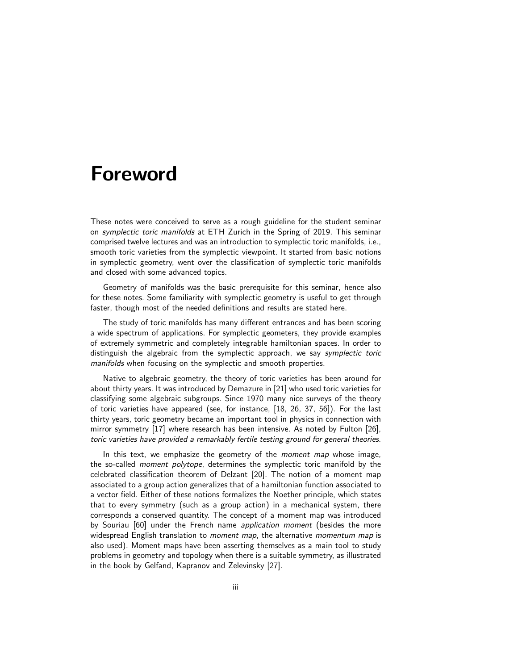# Foreword

These notes were conceived to serve as a rough guideline for the student seminar on symplectic toric manifolds at ETH Zurich in the Spring of 2019. This seminar comprised twelve lectures and was an introduction to symplectic toric manifolds, i.e., smooth toric varieties from the symplectic viewpoint. It started from basic notions in symplectic geometry, went over the classification of symplectic toric manifolds and closed with some advanced topics.

Geometry of manifolds was the basic prerequisite for this seminar, hence also for these notes. Some familiarity with symplectic geometry is useful to get through faster, though most of the needed definitions and results are stated here.

The study of toric manifolds has many different entrances and has been scoring a wide spectrum of applications. For symplectic geometers, they provide examples of extremely symmetric and completely integrable hamiltonian spaces. In order to distinguish the algebraic from the symplectic approach, we say symplectic toric manifolds when focusing on the symplectic and smooth properties.

Native to algebraic geometry, the theory of toric varieties has been around for about thirty years. It was introduced by Demazure in [21] who used toric varieties for classifying some algebraic subgroups. Since 1970 many nice surveys of the theory of toric varieties have appeared (see, for instance, [18, 26, 37, 56]). For the last thirty years, toric geometry became an important tool in physics in connection with mirror symmetry [17] where research has been intensive. As noted by Fulton [26], toric varieties have provided a remarkably fertile testing ground for general theories.

In this text, we emphasize the geometry of the *moment map* whose image, the so-called moment polytope, determines the symplectic toric manifold by the celebrated classification theorem of Delzant [20]. The notion of a moment map associated to a group action generalizes that of a hamiltonian function associated to a vector field. Either of these notions formalizes the Noether principle, which states that to every symmetry (such as a group action) in a mechanical system, there corresponds a conserved quantity. The concept of a moment map was introduced by Souriau [60] under the French name application moment (besides the more widespread English translation to *moment map*, the alternative *momentum map* is also used). Moment maps have been asserting themselves as a main tool to study problems in geometry and topology when there is a suitable symmetry, as illustrated in the book by Gelfand, Kapranov and Zelevinsky [27].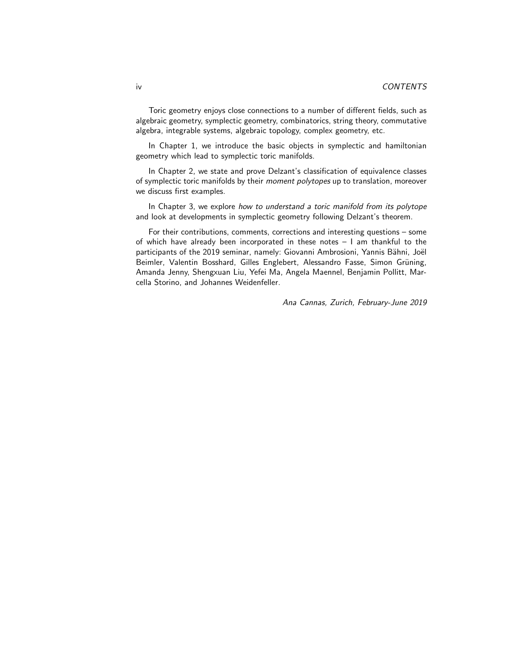Toric geometry enjoys close connections to a number of different fields, such as algebraic geometry, symplectic geometry, combinatorics, string theory, commutative algebra, integrable systems, algebraic topology, complex geometry, etc.

In Chapter 1, we introduce the basic objects in symplectic and hamiltonian geometry which lead to symplectic toric manifolds.

In Chapter 2, we state and prove Delzant's classification of equivalence classes of symplectic toric manifolds by their moment polytopes up to translation, moreover we discuss first examples.

In Chapter 3, we explore how to understand a toric manifold from its polytope and look at developments in symplectic geometry following Delzant's theorem.

For their contributions, comments, corrections and interesting questions – some of which have already been incorporated in these notes – I am thankful to the participants of the 2019 seminar, namely: Giovanni Ambrosioni, Yannis Bähni, Joël Beimler, Valentin Bosshard, Gilles Englebert, Alessandro Fasse, Simon Grüning, Amanda Jenny, Shengxuan Liu, Yefei Ma, Angela Maennel, Benjamin Pollitt, Marcella Storino, and Johannes Weidenfeller.

Ana Cannas, Zurich, February-June 2019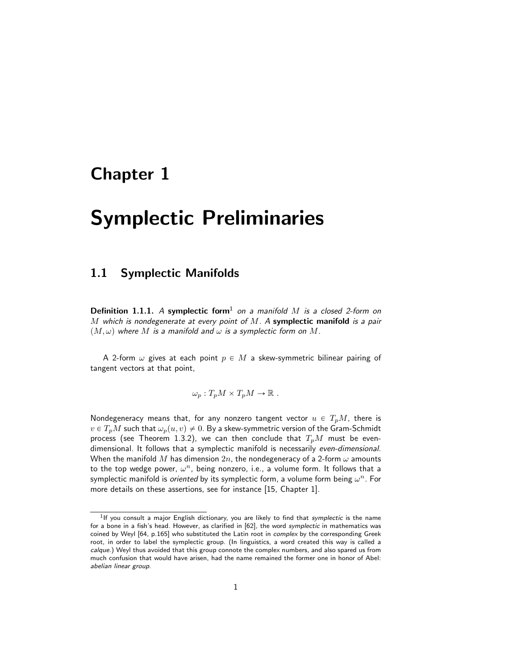# Chapter 1

# Symplectic Preliminaries

# 1.1 Symplectic Manifolds

**Definition 1.1.1.** A symplectic form<sup>1</sup> on a manifold  $M$  is a closed 2-form on M which is nondegenerate at every point of  $M$ . A symplectic manifold is a pair  $(M, \omega)$  where M is a manifold and  $\omega$  is a symplectic form on M.

A 2-form  $\omega$  gives at each point  $p \in M$  a skew-symmetric bilinear pairing of tangent vectors at that point,

$$
\omega_p: T_p M \times T_p M \to \mathbb{R} .
$$

Nondegeneracy means that, for any nonzero tangent vector  $u \in T_pM$ , there is  $v \in T_pM$  such that  $\omega_p(u, v) \neq 0$ . By a skew-symmetric version of the Gram-Schmidt process (see Theorem 1.3.2), we can then conclude that  $T_pM$  must be evendimensional. It follows that a symplectic manifold is necessarily even-dimensional. When the manifold M has dimension  $2n$ , the nondegeneracy of a 2-form  $\omega$  amounts to the top wedge power,  $\omega^n$ , being nonzero, i.e., a volume form. It follows that a symplectic manifold is *oriented* by its symplectic form, a volume form being  $\omega^n$ . For more details on these assertions, see for instance [15, Chapter 1].

<sup>&</sup>lt;sup>1</sup>If you consult a major English dictionary, you are likely to find that symplectic is the name for a bone in a fish's head. However, as clarified in [62], the word symplectic in mathematics was coined by Weyl [64, p.165] who substituted the Latin root in *complex* by the corresponding Greek root, in order to label the symplectic group. (In linguistics, a word created this way is called a calque.) Weyl thus avoided that this group connote the complex numbers, and also spared us from much confusion that would have arisen, had the name remained the former one in honor of Abel: abelian linear group.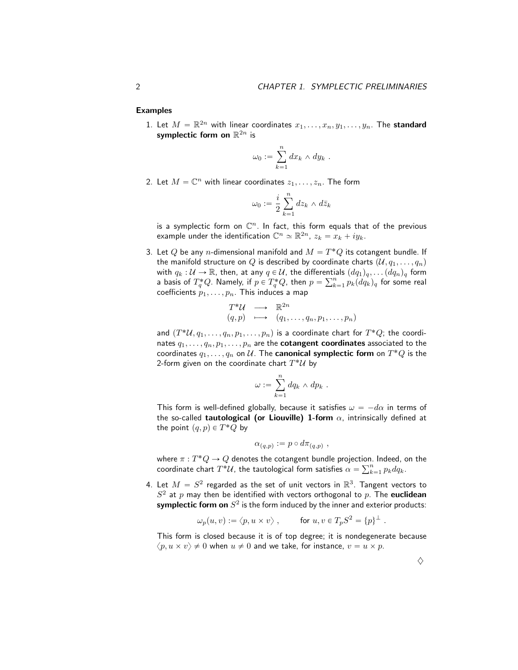Examples

1. Let  $M = \mathbb{R}^{2n}$  with linear coordinates  $x_1, \ldots, x_n, y_1, \ldots, y_n$ . The standard symplectic form on  $\mathbb{R}^{2n}$  is

$$
\omega_0 := \sum_{k=1}^n dx_k \wedge dy_k .
$$

2. Let  $M = \mathbb{C}^n$  with linear coordinates  $z_1, \ldots, z_n$ . The form

$$
\omega_0 := \frac{i}{2} \sum_{k=1}^n dz_k \wedge d\bar{z}_k
$$

is a symplectic form on  $\mathbb{C}^n$ . In fact, this form equals that of the previous example under the identification  $\mathbb{C}^n \simeq \mathbb{R}^{2n}$ ,  $z_k = x_k + iy_k$ .

3. Let  $Q$  be any  $n$ -dimensional manifold and  $M = T^{\ast}Q$  its cotangent bundle. If the manifold structure on Q is described by coordinate charts  $(\mathcal{U}, q_1, \ldots, q_n)$ with  $q_k : U \to \mathbb{R}$ , then, at any  $q \in U$ , the differentials  $(dq_1)_q, \ldots, (dq_n)_q$  form<br>contained  $T^*Q$ . Namely, if  $p \in T^*Q$ , then  $p \in \sum_{k=1}^n (dx_k)$ , for game real a basis of  $T^*_qQ$ . Namely, if  $p\in T^*_qQ$ , then  $p=\sum_{k=1}^np_k(dq_k)_q$  for some real coefficients  $p_1, \ldots, p_n$ . This induces a map

$$
T^*\mathcal{U} \longrightarrow \mathbb{R}^{2n}
$$
  
 $(q,p) \longrightarrow (q_1,\ldots,q_n,p_1,\ldots,p_n)$ 

and  $(T^*\mathcal{U},q_1,\ldots,q_n,p_1,\ldots,p_n)$  is a coordinate chart for  $T^*Q$ ; the coordinates  $q_1, \ldots, q_n, p_1, \ldots, p_n$  are the **cotangent coordinates** associated to the coordinates  $q_1,\ldots,q_n$  on  $\mathcal U.$  The  ${\sf canonical\ symmetric\ form\ on}\ T^*Q$  is the 2-form given on the coordinate chart  $T^*\mathcal U$  by

$$
\omega := \sum_{k=1}^n dq_k \wedge dp_k .
$$

This form is well-defined globally, because it satisfies  $\omega = -d\alpha$  in terms of the so-called **tautological (or Liouville) 1-form**  $\alpha$ , intrinsically defined at the point  $(q, p) \in T^*Q$  by

$$
\alpha_{(q,p)} := p \circ d\pi_{(q,p)} ,
$$

where  $\pi:T^*Q\to Q$  denotes the cotangent bundle projection. Indeed, on the where  $\pi: T^*Q \to Q$  denotes the cotangent bundle projection.<br>coordinate chart  $T^*\mathcal{U},$  the tautological form satisfies  $\alpha = \sum_k^n$  $_{k=1}^n p_k dq_k.$ 

4. Let  $M = S^2$  regarded as the set of unit vectors in  $\mathbb{R}^3$ . Tangent vectors to  $S^2$  at  $p$  may then be identified with vectors orthogonal to  $p$ . The euclidean symplectic form on  $S^2$  is the form induced by the inner and exterior products:

$$
\omega_p(u,v) := \langle p, u \times v \rangle \;, \qquad \text{ for } u, v \in T_p S^2 = \{p\}^\perp \;.
$$

This form is closed because it is of top degree; it is nondegenerate because  $\langle p, u \times v \rangle \neq 0$  when  $u \neq 0$  and we take, for instance,  $v = u \times p$ .

 $\Diamond$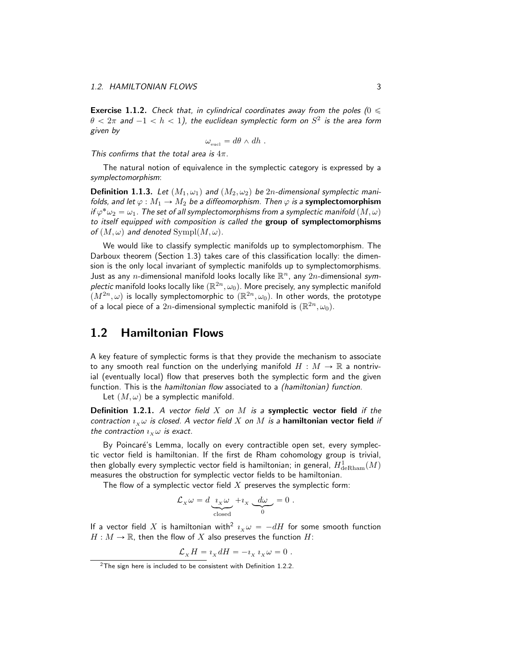**Exercise 1.1.2.** Check that, in cylindrical coordinates away from the poles ( $0 \leq$  $\theta < 2\pi$  and  $-1 < h < 1)$ , the euclidean symplectic form on  $S^2$  is the area form given by

$$
\omega_{\text{eucl}} = d\theta \wedge dh \ .
$$

This confirms that the total area is  $4\pi$ .

The natural notion of equivalence in the symplectic category is expressed by a symplectomorphism:

**Definition 1.1.3.** Let  $(M_1, \omega_1)$  and  $(M_2, \omega_2)$  be 2n-dimensional symplectic manifolds, and let  $\varphi : M_1 \to M_2$  be a diffeomorphism. Then  $\varphi$  is a symplectomorphism if  $\varphi^*\omega_2 = \omega_1$ . The set of all symplectomorphisms from a symplectic manifold  $(M,\omega)$ to itself equipped with composition is called the group of symplectomorphisms of  $(M, \omega)$  and denoted Sympl $(M, \omega)$ .

We would like to classify symplectic manifolds up to symplectomorphism. The Darboux theorem (Section 1.3) takes care of this classification locally: the dimension is the only local invariant of symplectic manifolds up to symplectomorphisms. Just as any n-dimensional manifold looks locally like  $\mathbb{R}^n$ , any  $2n$ -dimensional symplectic manifold looks locally like  $(\mathbb{R}^{2n},\omega_0)$ . More precisely, any symplectic manifold  $\overline{(M^{2n},\omega)}$  is locally symplectomorphic to  $(\mathbb{R}^{2n},\omega_0)$ . In other words, the prototype of a local piece of a  $2n$ -dimensional symplectic manifold is  $(\mathbb{R}^{2n}, \omega_0)$ .

### 1.2 Hamiltonian Flows

A key feature of symplectic forms is that they provide the mechanism to associate to any smooth real function on the underlying manifold  $H : M \to \mathbb{R}$  a nontrivial (eventually local) flow that preserves both the symplectic form and the given function. This is the *hamiltonian flow* associated to a *(hamiltonian) function*.

Let  $(M, \omega)$  be a symplectic manifold.

**Definition 1.2.1.** A vector field X on M is a symplectic vector field if the contraction  $\imath_x \omega$  is closed. A vector field X on M is a hamiltonian vector field if the contraction  $i_x \omega$  is exact.

By Poincaré's Lemma, locally on every contractible open set, every symplectic vector field is hamiltonian. If the first de Rham cohomology group is trivial, then globally every symplectic vector field is hamiltonian; in general,  $H^1_{\mathrm{deRham}}(M)$ measures the obstruction for symplectic vector fields to be hamiltonian.

The flow of a symplectic vector field  $X$  preserves the symplectic form:

$$
\mathcal{L}_X \omega = d \underbrace{\imath_X \omega}_{\text{closed}} + \imath_X \underbrace{d\omega}_{0} = 0.
$$

If a vector field X is hamiltonian with<sup>2</sup>  $\imath_x \omega = - dH$  for some smooth function  $H : M \to \mathbb{R}$ , then the flow of X also preserves the function H:

$$
\mathcal{L}_X H = i_X dH = -i_X i_X \omega = 0.
$$

 $2$ The sign here is included to be consistent with Definition 1.2.2.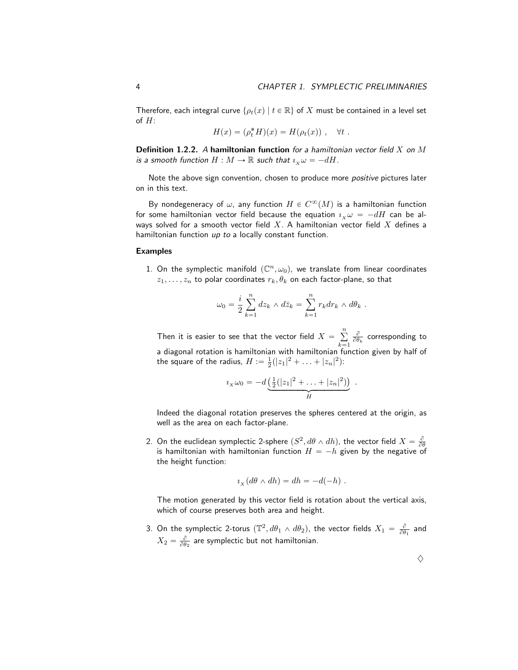Therefore, each integral curve  $\{\rho_t(x) | t \in \mathbb{R}\}$  of X must be contained in a level set of H:

$$
H(x) = (\rho_t^* H)(x) = H(\rho_t(x)), \quad \forall t.
$$

**Definition 1.2.2.** A hamiltonian function for a hamiltonian vector field  $X$  on  $M$ is a smooth function  $H : M \to \mathbb{R}$  such that  $\iota_X \omega = -dH$ .

Note the above sign convention, chosen to produce more *positive* pictures later on in this text.

By nondegeneracy of  $\omega$ , any function  $H\in C^\infty(M)$  is a hamiltonian function for some hamiltonian vector field because the equation  $i_x \omega = -dH$  can be always solved for a smooth vector field  $X$ . A hamiltonian vector field  $X$  defines a hamiltonian function up to a locally constant function.

#### Examples

1. On the symplectic manifold  $(\mathbb{C}^n, \omega_0)$ , we translate from linear coordinates  $z_1, \ldots, z_n$  to polar coordinates  $r_k, \theta_k$  on each factor-plane, so that

$$
\omega_0 = \frac{i}{2} \sum_{k=1}^n dz_k \wedge d\bar{z}_k = \sum_{k=1}^n r_k dr_k \wedge d\theta_k.
$$

Then it is easier to see that the vector field  $X = \mathbb{R}$  $\overline{n}$  $k=1$  $\frac{\partial}{\partial \theta_k}$  corresponding to a diagonal rotation is hamiltonian with hamiltonian function given by half of the square of the radius,  $H := \frac{1}{2}(|z_1|^2 + ... + |z_n|^2)$ :

$$
i_X \omega_0 = -d \underbrace{\left(\frac{1}{2}(|z_1|^2 + \ldots + |z_n|^2)\right)}_H.
$$

Indeed the diagonal rotation preserves the spheres centered at the origin, as well as the area on each factor-plane.

2. On the euclidean symplectic 2-sphere  $(S^2, d\theta \wedge dh)$ , the vector field  $X = \frac{\partial}{\partial \theta}$ is hamiltonian with hamiltonian function  $H = -h$  given by the negative of the height function:

$$
i_X(d\theta \wedge dh) = dh = -d(-h) .
$$

The motion generated by this vector field is rotation about the vertical axis, which of course preserves both area and height.

3. On the symplectic 2-torus  $(\mathbb{T}^2, d\theta_1 \wedge d\theta_2)$ , the vector fields  $X_1 = \frac{\partial}{\partial \theta_1}$  and  $X_2 = \frac{\partial}{\partial \theta_2}$  are symplectic but not hamiltonian.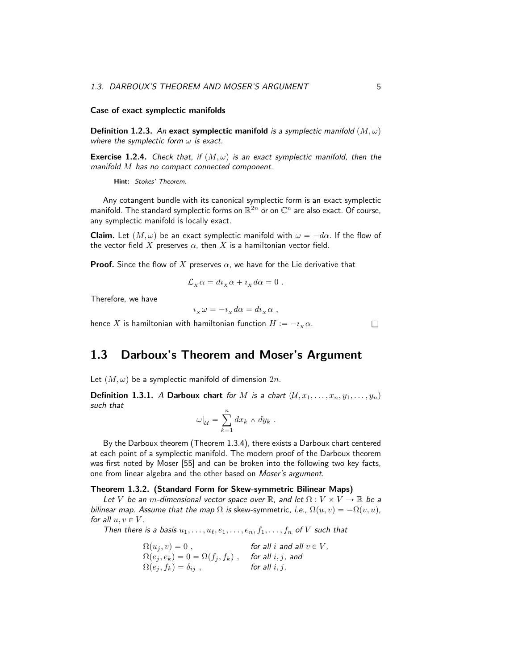#### Case of exact symplectic manifolds

**Definition 1.2.3.** An exact symplectic manifold is a symplectic manifold  $(M, \omega)$ where the symplectic form  $\omega$  is exact.

**Exercise 1.2.4.** Check that, if  $(M, \omega)$  is an exact symplectic manifold, then the manifold M has no compact connected component.

Hint: Stokes' Theorem.

Any cotangent bundle with its canonical symplectic form is an exact symplectic manifold. The standard symplectic forms on  $\mathbb{R}^{2n}$  or on  $\mathbb{C}^n$  are also exact. Of course, any symplectic manifold is locally exact.

**Claim.** Let  $(M, \omega)$  be an exact symplectic manifold with  $\omega = -d\alpha$ . If the flow of the vector field X preserves  $\alpha$ , then X is a hamiltonian vector field.

**Proof.** Since the flow of X preserves  $\alpha$ , we have for the Lie derivative that

$$
\mathcal{L}_X \alpha = d\iota_X \alpha + \iota_X d\alpha = 0.
$$

Therefore, we have

$$
i_X \omega = -i_X d\alpha = d i_X \alpha ,
$$

hence X is hamiltonian with hamiltonian function  $H := -i_{x} \alpha$ .

# 1.3 Darboux's Theorem and Moser's Argument

Let  $(M, \omega)$  be a symplectic manifold of dimension  $2n$ .

**Definition 1.3.1.** A Darboux chart for M is a chart  $(U, x_1, \ldots, x_n, y_1, \ldots, y_n)$ such that

$$
\omega|_{\mathcal{U}} = \sum_{k=1}^n dx_k \wedge dy_k .
$$

By the Darboux theorem (Theorem 1.3.4), there exists a Darboux chart centered at each point of a symplectic manifold. The modern proof of the Darboux theorem was first noted by Moser [55] and can be broken into the following two key facts, one from linear algebra and the other based on Moser's argument.

#### Theorem 1.3.2. (Standard Form for Skew-symmetric Bilinear Maps)

Let V be an m-dimensional vector space over  $\mathbb R$ , and let  $\Omega: V \times V \to \mathbb R$  be a bilinear map. Assume that the map  $\Omega$  is skew-symmetric, i.e.,  $\Omega(u, v) = -\Omega(v, u)$ , for all  $u, v \in V$ .

Then there is a basis  $u_1, \ldots, u_\ell, e_1, \ldots, e_n, f_1, \ldots, f_n$  of V such that

 $\Omega(u_i, v) = 0$ , for all i and all  $v \in V$ ,  $\Omega(e_j, e_k) = 0 = \Omega(f_j, f_k)$ , for all i, j, and  $\Omega(e_j, f_k) = \delta_{ij}$ , for all i, j.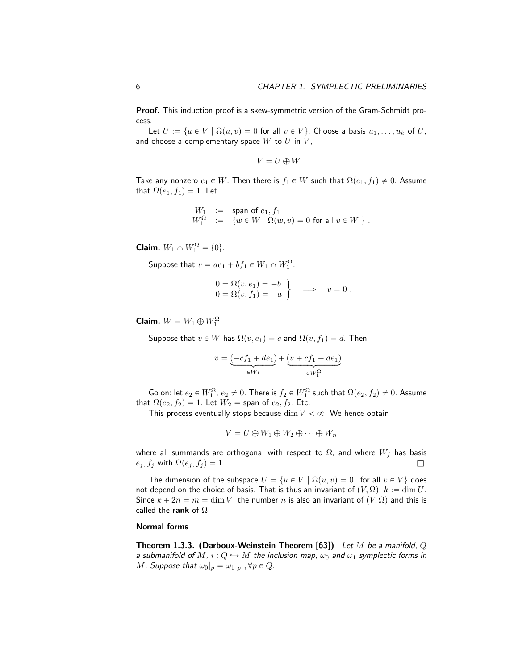.

Proof. This induction proof is a skew-symmetric version of the Gram-Schmidt process.

Let  $U := \{u \in V \mid \Omega(u, v) = 0 \text{ for all } v \in V\}$ . Choose a basis  $u_1, \ldots, u_k$  of U. and choose a complementary space  $W$  to  $U$  in  $V$ ,

$$
V=U\oplus W.
$$

Take any nonzero  $e_1 \in W$ . Then there is  $f_1 \in W$  such that  $\Omega(e_1, f_1) \neq 0$ . Assume that  $\Omega(e_1, f_1) = 1$ . Let

$$
\begin{array}{rcl} W_1 & := & \text{span of } e_1, f_1 \\ W_1^{\Omega} & := & \left\{ w \in W \mid \Omega(w, v) = 0 \text{ for all } v \in W_1 \right\} \,. \end{array}
$$

**Claim.**  $W_1 \cap W_1^{\Omega} = \{0\}.$ 

Suppose that  $v = ae_1 + bf_1 \in W_1 \cap W_1^{\Omega}$ .

$$
0 = \Omega(v, e_1) = -b \n0 = \Omega(v, f_1) = a
$$
 
$$
\implies v = 0.
$$

Claim.  $W = W_1 \oplus W_1^{\Omega}$ .

Suppose that  $v \in W$  has  $\Omega(v, e_1) = c$  and  $\Omega(v, f_1) = d$ . Then

$$
v = \underbrace{(-cf_1 + de_1)}_{\in W_1} + \underbrace{(v + cf_1 - de_1)}_{\in W_1^{\Omega}}
$$

Go on: let  $e_2\in W_1^\Omega$ ,  $e_2\neq 0.$  There is  $f_2\in W_1^\Omega$  such that  $\Omega(e_2,f_2)\neq 0.$  Assume that  $\Omega(e_2, f_2) = 1$ . Let  $W_2$  = span of  $e_2, f_2$ . Etc.

This process eventually stops because  $\dim V < \infty$ . We hence obtain

$$
V = U \oplus W_1 \oplus W_2 \oplus \cdots \oplus W_n
$$

where all summands are orthogonal with respect to  $\Omega$ , and where  $W_j$  has basis  $e_j, f_j$  with  $\Omega(e_j, f_j) = 1$ .

The dimension of the subspace  $U = \{u \in V \mid \Omega(u, v) = 0, \text{ for all } v \in V\}$  does not depend on the choice of basis. That is thus an invariant of  $(V, \Omega)$ ,  $k := \dim U$ . Since  $k + 2n = m = \dim V$ , the number n is also an invariant of  $(V, \Omega)$  and this is called the rank of  $\Omega$ .

#### Normal forms

Theorem 1.3.3. (Darboux-Weinstein Theorem [63]) Let M be a manifold,  $Q$ a submanifold of M,  $i: Q \hookrightarrow M$  the inclusion map,  $\omega_0$  and  $\omega_1$  symplectic forms in *M.* Suppose that  $\omega_0|_p = \omega_1|_p$ ,  $\forall p \in Q$ .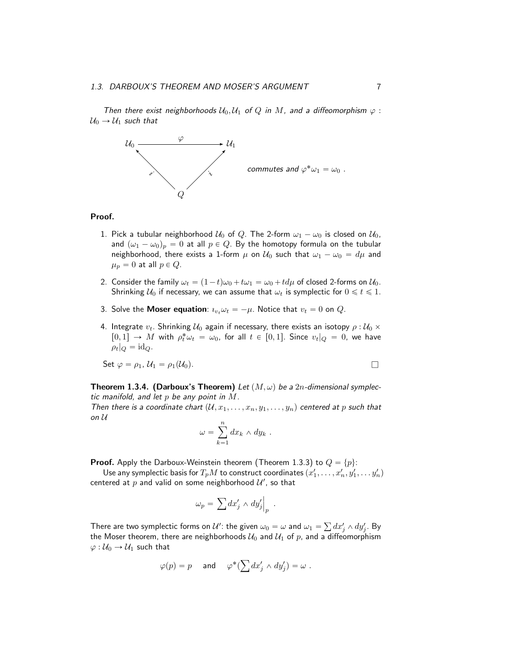Then there exist neighborhoods  $U_0, U_1$  of  $Q$  in  $M$ , and a diffeomorphism  $\varphi$ :  $U_0 \rightarrow U_1$  such that



#### Proof.

- 1. Pick a tubular neighborhood  $U_0$  of Q. The 2-form  $\omega_1 \omega_0$  is closed on  $U_0$ , and  $(\omega_1 - \omega_0)_p = 0$  at all  $p \in Q$ . By the homotopy formula on the tubular neighborhood, there exists a 1-form  $\mu$  on  $\mathcal{U}_0$  such that  $\omega_1 - \omega_0 = d\mu$  and  $\mu_p = 0$  at all  $p \in Q$ .
- 2. Consider the family  $\omega_t = (1 t)\omega_0 + t\omega_1 = \omega_0 + td\mu$  of closed 2-forms on  $\mathcal{U}_0$ . Shrinking  $U_0$  if necessary, we can assume that  $\omega_t$  is symplectic for  $0 \le t \le 1$ .
- 3. Solve the **Moser equation**:  $i_{v_t}\omega_t = -\mu$ . Notice that  $v_t = 0$  on Q.
- 4. Integrate  $v_t$ . Shrinking  $\mathcal{U}_0$  again if necessary, there exists an isotopy  $\rho : \mathcal{U}_0 \times$  $[0,1] \rightarrow M$  with  $\rho_t^* \omega_t = \omega_0$ , for all  $t \in [0,1]$ . Since  $v_t|_Q = 0$ , we have  $\rho_t|_Q = \mathrm{id}_Q.$

Set 
$$
\varphi = \rho_1
$$
,  $\mathcal{U}_1 = \rho_1(\mathcal{U}_0)$ .

$$
\Box
$$

**Theorem 1.3.4. (Darboux's Theorem)** Let  $(M, \omega)$  be a 2n-dimensional symplectic manifold, and let p be any point in  $M$ .

Then there is a coordinate chart  $(U, x_1, \ldots, x_n, y_1, \ldots, y_n)$  centered at p such that on  $U$ 

$$
\omega = \sum_{k=1}^n dx_k \wedge dy_k .
$$

**Proof.** Apply the Darboux-Weinstein theorem (Theorem 1.3.3) to  $Q = \{p\}$ :

Use any symplectic basis for  $T_pM$  to construct coordinates  $(x'_1,\ldots,x'_n,y'_1,\ldots y'_n)$ centered at  $p$  and valid on some neighborhood  $\mathcal{U}'$ , so that

$$
\omega_p = \left. \sum dx'_j \wedge dy'_j \right|_p \ .
$$

There are two symplectic forms on  $\mathcal U'$ : the given  $\omega_0=\omega$  and  $\omega_1=\sum dx'_j\wedge dy'_j.$  By the Moser theorem, there are neighborhoods  $U_0$  and  $U_1$  of p, and a diffeomorphism  $\varphi: U_0 \to U_1$  such that

$$
\varphi(p)=p\quad \text{ and }\quad \varphi^*(\sum dx_j'\wedge dy_j')=\omega\ .
$$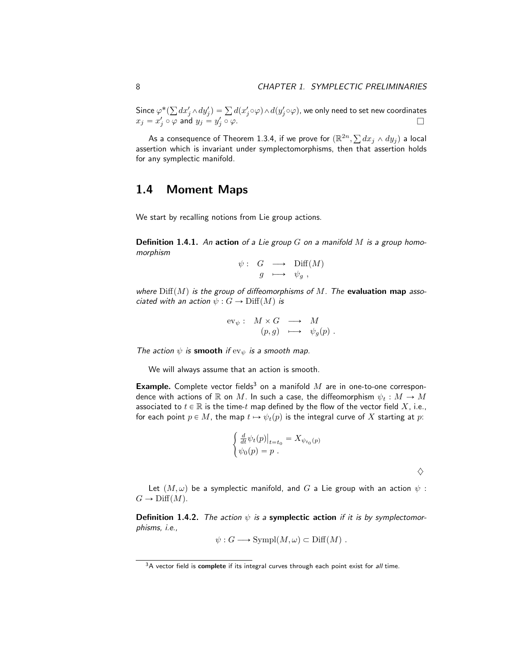Since  $\varphi^*($  $dx_j'\wedge dy_j')=\sum d(x_j'\!\circ\!\varphi)\wedge d(y_j'\!\circ\!\varphi)$ , we only need to set new coordinates  $x_j = x'_j \circ \varphi$  and  $y_j = y'_j \circ \varphi$ .

As a consequence of Theorem 1.3.4, if we prove for  $(\mathbb{R}^{2n},$  $dx_j \wedge dy_j)$  a local assertion which is invariant under symplectomorphisms, then that assertion holds for any symplectic manifold.

### 1.4 Moment Maps

We start by recalling notions from Lie group actions.

**Definition 1.4.1.** An action of a Lie group G on a manifold M is a group homomorphism

$$
\psi: G \longrightarrow \text{Diff}(M)
$$
  

$$
g \longrightarrow \psi_g ,
$$

where  $\text{Diff}(M)$  is the group of diffeomorphisms of M. The evaluation map associated with an action  $\psi : G \to \text{Diff}(M)$  is

$$
\text{ev}_{\psi}: M \times G \longrightarrow M
$$
  

$$
(p, g) \longmapsto \psi_g(p) .
$$

The action  $\psi$  is smooth if  $ev_{\psi}$  is a smooth map.

We will always assume that an action is smooth.

**Example.** Complete vector fields<sup>3</sup> on a manifold  $M$  are in one-to-one correspondence with actions of R on M. In such a case, the diffeomorphism  $\psi_t : M \to M$ associated to  $t \in \mathbb{R}$  is the time-t map defined by the flow of the vector field X, i.e., for each point  $p \in M$ , the map  $t \mapsto \psi_t(p)$  is the integral curve of X starting at p:

$$
\begin{cases} \frac{d}{dt} \psi_t(p)|_{t=t_0} = X_{\psi_{t_0}(p)} \\ \psi_0(p) = p \end{cases}
$$

Let  $(M, \omega)$  be a symplectic manifold, and G a Lie group with an action  $\psi$  :  $G \to \text{Diff}(M)$ .

 $\diamondsuit$ 

**Definition 1.4.2.** The action  $\psi$  is a symplectic action if it is by symplectomorphisms, i.e.,

$$
\psi: G \longrightarrow \text{Sympl}(M,\omega) \subset \text{Diff}(M) .
$$

 $3A$  vector field is complete if its integral curves through each point exist for all time.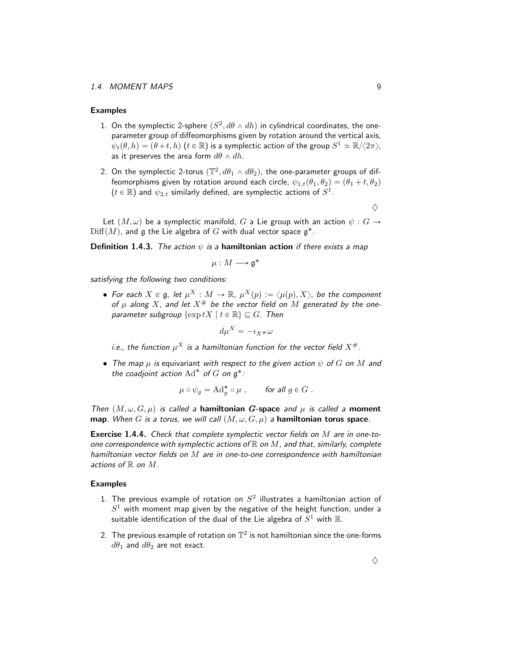#### Examples

- 1. On the symplectic 2-sphere  $(S^2, d\theta \wedge dh)$  in cylindrical coordinates, the oneparameter group of diffeomorphisms given by rotation around the vertical axis,  $\psi_t(\theta, h) = (\theta + t, h)$   $(t \in \mathbb{R})$  is a symplectic action of the group  $S^1 \simeq \mathbb{R}/\langle 2\pi \rangle$ , as it preserves the area form  $d\theta \wedge dh$ .
- 2. On the symplectic 2-torus  $(\mathbb{T}^2, d\theta_1 \wedge d\theta_2)$ , the one-parameter groups of diffeomorphisms given by rotation around each circle,  $\psi_{1,t}(\theta_1, \theta_2) = (\theta_1 + t, \theta_2)$  $(t\in\mathbb{R})$  and  $\psi_{2,t}$  similarly defined, are symplectic actions of  $S^1.$

 $\Diamond$ 

Let  $(M, \omega)$  be a symplectic manifold, G a Lie group with an action  $\psi : G \rightarrow$  $\mathrm{Diff}(M)$ , and  $\mathfrak g$  the Lie algebra of  $G$  with dual vector space  $\mathfrak g^*.$ 

**Definition 1.4.3.** The action  $\psi$  is a **hamiltonian action** if there exists a map

$$
\mu:M\longrightarrow \mathfrak{g}^*
$$

satisfying the following two conditions:

 $\bullet\,$  For each  $X\in \mathfrak{g}$ , let  $\mu^X:M\rightarrow \mathbb{R}$ ,  $\mu^X(p):=\langle \mu(p), X\rangle$ , be the component of  $\mu$  along X, and let  $X^{\#}$  be the vector field on M generated by the oneparameter subgroup  $\{\exp tX \mid t \in \mathbb{R}\}\subseteq G$ . Then

$$
d\mu^X = -i_{X^\#}\omega
$$

i.e., the function  $\mu^X$  is a hamiltonian function for the vector field  $X^\#$ .

• The map  $\mu$  is equivariant with respect to the given action  $\psi$  of G on M and the coadjoint action  $\text{Ad}^*$  of G on  $\mathfrak{g}^*$ :

$$
\mu \circ \psi_g = \mathrm{Ad}_g^* \circ \mu \;, \qquad \text{for all } g \in G \; .
$$

Then  $(M, \omega, G, \mu)$  is called a hamiltonian G-space and  $\mu$  is called a moment map. When G is a torus, we will call  $(M, \omega, G, \mu)$  a hamiltonian torus space.

Exercise 1.4.4. Check that complete symplectic vector fields on M are in one-toone correspondence with symplectic actions of  $\mathbb R$  on  $M$ , and that, similarly, complete hamiltonian vector fields on M are in one-to-one correspondence with hamiltonian actions of  $\mathbb R$  on  $M$ .

#### Examples

- 1. The previous example of rotation on  $S^2$  illustrates a hamiltonian action of  $S^1$  with moment map given by the negative of the height function, under a suitable identification of the dual of the Lie algebra of  $S^1$  with  $\R.$
- 2. The previous example of rotation on  $\mathbb{T}^2$  is not hamiltonian since the one-forms  $d\theta_1$  and  $d\theta_2$  are not exact.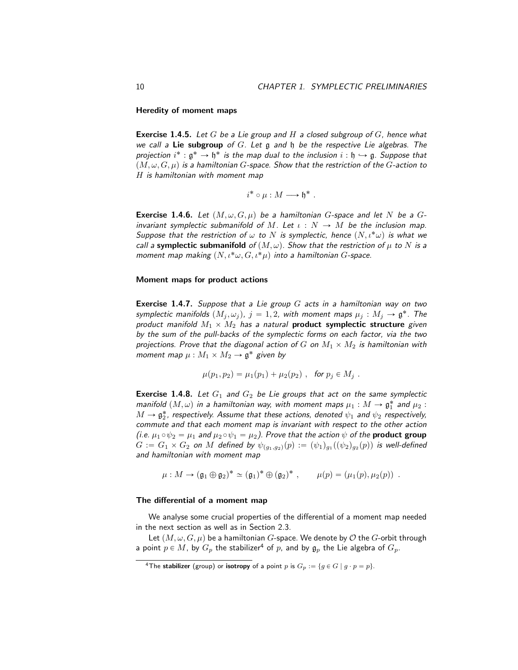Heredity of moment maps

**Exercise 1.4.5.** Let G be a Lie group and H a closed subgroup of G, hence what we call a **Lie subgroup** of  $G$ . Let g and  $\mathfrak h$  be the respective Lie algebras. The projection  $i^* : \mathfrak{g}^* \to \mathfrak{h}^*$  is the map dual to the inclusion  $i : \mathfrak{h} \hookrightarrow \mathfrak{g}$ . Suppose that  $(M, \omega, G, \mu)$  is a hamiltonian G-space. Show that the restriction of the G-action to H is hamiltonian with moment map

$$
i^* \circ \mu : M \longrightarrow \mathfrak{h}^* .
$$

**Exercise 1.4.6.** Let  $(M, \omega, G, \mu)$  be a hamiltonian G-space and let N be a Ginvariant symplectic submanifold of M. Let  $\iota : N \to M$  be the inclusion map. Suppose that the restriction of  $\omega$  to N is symplectic, hence  $(N, \iota^*\omega)$  is what we call a symplectic submanifold of  $(M, \omega)$ . Show that the restriction of  $\mu$  to N is a moment map making  $(N, \iota^*\omega, G, \iota^*\mu)$  into a hamiltonian G-space.

#### Moment maps for product actions

**Exercise 1.4.7.** Suppose that a Lie group  $G$  acts in a hamiltonian way on two symplectic manifolds  $(M_j , \omega_j )$ ,  $j = 1, 2$ , with moment maps  $\mu_j : M_j \to \mathfrak{g}^*.$  The product manifold  $M_1 \times M_2$  has a natural **product symplectic structure** given by the sum of the pull-backs of the symplectic forms on each factor, via the two projections. Prove that the diagonal action of G on  $M_1 \times M_2$  is hamiltonian with moment map  $\mu : M_1 \times M_2 \to \mathfrak{g}^*$  given by

$$
\mu(p_1, p_2) = \mu_1(p_1) + \mu_2(p_2)
$$
, for  $p_j \in M_j$ .

**Exercise 1.4.8.** Let  $G_1$  and  $G_2$  be Lie groups that act on the same symplectic manifold  $(M, \omega)$  in a hamiltonian way, with moment maps  $\mu_1 : M \to \mathfrak{g}_1^\ast$  and  $\mu_2$  :  $M \to \mathfrak{g}_2^\ast$ , respectively. Assume that these actions, denoted  $\psi_1$  and  $\psi_2$  respectively, commute and that each moment map is invariant with respect to the other action (i.e.  $\mu_1 \circ \psi_2 = \mu_1$  and  $\mu_2 \circ \psi_1 = \mu_2$ ). Prove that the action  $\psi$  of the **product group**  $G:=G_1\times G_2$  on  $M$  defined by  $\psi_{(g_1, g_2)}(p)\,:=\, (\psi_1)_{g_1}((\psi_2)_{g_2}(p))$  is well-defined and hamiltonian with moment map

$$
\mu: M \to (\mathfrak{g}_1 \oplus \mathfrak{g}_2)^* \simeq (\mathfrak{g}_1)^* \oplus (\mathfrak{g}_2)^*, \qquad \mu(p) = (\mu_1(p), \mu_2(p)) .
$$

#### The differential of a moment map

We analyse some crucial properties of the differential of a moment map needed in the next section as well as in Section 2.3.

Let  $(M, \omega, G, \mu)$  be a hamiltonian G-space. We denote by O the G-orbit through a point  $p \in M$ , by  $G_p$  the stabilizer<sup>4</sup> of p, and by  $\mathfrak{g}_p$  the Lie algebra of  $G_p$ .

<sup>&</sup>lt;sup>4</sup>The stabilizer (group) or isotropy of a point p is  $G_p := \{g \in G \mid g \cdot p = p\}.$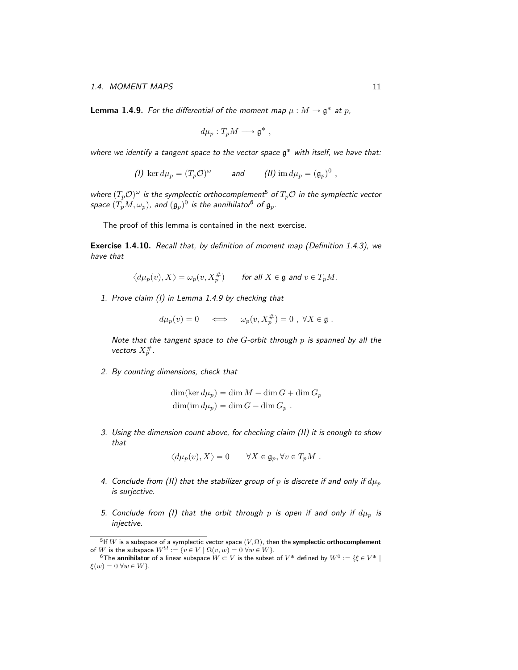**Lemma 1.4.9.** For the differential of the moment map  $\mu : M \to \mathfrak{g}^*$  at  $p$ ,

$$
d\mu_p: T_pM \longrightarrow \mathfrak{g}^*,
$$

where we identify a tangent space to the vector space  $\mathfrak{g}^*$  with itself, we have that:

(*I*) ker  $d\mu_p = (T_p \mathcal{O})^{\omega}$  and (*II*) im  $d\mu_p = (\mathfrak{g}_p)^0$ ,

where  $(T_p \mathcal{O})^{\omega}$  is the symplectic orthocomplement<sup>5</sup> of  $T_p\mathcal{O}$  in the symplectic vector space  $(T_pM, \omega_p)$ , and  $(\mathfrak{g}_p)^0$  is the annihilator<sup>6</sup> of  $\mathfrak{g}_p$ .

The proof of this lemma is contained in the next exercise.

Exercise 1.4.10. Recall that, by definition of moment map (Definition 1.4.3), we have that

$$
\langle d\mu_p(v), X \rangle = \omega_p(v, X_p^{\#}) \quad \text{for all } X \in \mathfrak{g} \text{ and } v \in T_pM.
$$

1. Prove claim (I) in Lemma 1.4.9 by checking that

 $d\mu_p(v) = 0 \quad \Longleftrightarrow \quad \omega_p(v,X_p^{\#}) = 0 \; , \; \forall X \in \mathfrak{g} \;.$ 

Note that the tangent space to the  $G$ -orbit through  $p$  is spanned by all the vectors  $X_p^{\#}.$ 

2. By counting dimensions, check that

 $\dim(\ker d\mu_p) = \dim M - \dim G + \dim G_p$  $\dim(\mathrm{im}\, d\mu_p) = \dim G - \dim G_p$ .

3. Using the dimension count above, for checking claim (II) it is enough to show that

 $\langle d\mu_p(v), X \rangle = 0 \quad \forall X \in \mathfrak{g}_p, \forall v \in T_pM$ .

- 4. Conclude from (II) that the stabilizer group of p is discrete if and only if  $d\mu_p$ is surjective.
- 5. Conclude from (I) that the orbit through p is open if and only if  $d\mu_p$  is injective.

 $^5$ If  $W$  is a subspace of a symplectic vector space  $(V,\Omega)$ , then the symplectic orthocomplement of W is the subspace  $W^{\Omega} := \{v \in V \mid \Omega(v, w) = 0 \,\forall w \in W\}.$ 

 $^6$ The **annihilator** of a linear subspace  $W\subset V$  is the subset of  $V^*$  defined by  $W^0:=\{\xi\in V^*\mid$  $\xi(w) = 0 \,\forall w \in W$ .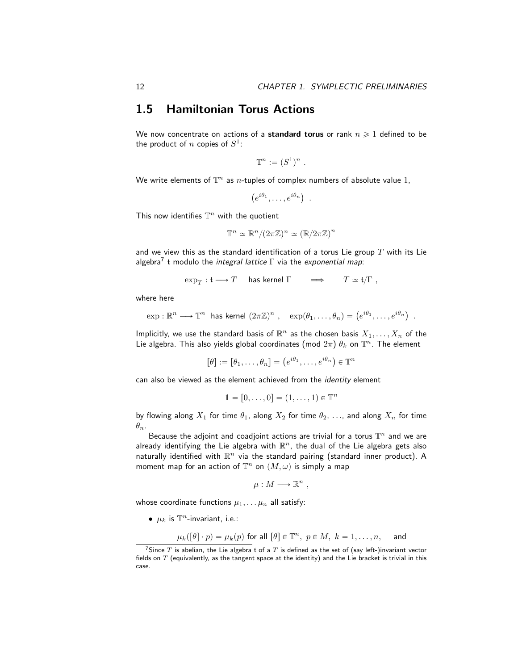### 1.5 Hamiltonian Torus Actions

We now concentrate on actions of a standard torus or rank  $n \geq 1$  defined to be the product of  $n$  copies of  $S^1$ :

$$
\mathbb{T}^n := (S^1)^n .
$$

We write elements of  $\mathbb{T}^n$  as  $n\text{-tuples}$  of complex numbers of absolute value 1,

$$
(e^{i\theta_1},\ldots,e^{i\theta_n})\enspace.
$$

This now identifies  $\mathbb{T}^n$  with the quotient

$$
\mathbb{T}^n \simeq \mathbb{R}^n / (2\pi \mathbb{Z})^n \simeq (\mathbb{R}/2\pi \mathbb{Z})^n
$$

and we view this as the standard identification of a torus Lie group  $T$  with its Lie algebra<sup>7</sup> t modulo the *integral lattice*  $\Gamma$  via the exponential map:

$$
\exp_T: \mathfrak{t} \longrightarrow T \quad \text{ has kernel } \Gamma \qquad \Longrightarrow \qquad T \simeq \mathfrak{t}/\Gamma \ ,
$$

where here

$$
\exp: \mathbb{R}^n \longrightarrow \mathbb{T}^n \text{ has Kernel } (2\pi \mathbb{Z})^n, \quad \exp(\theta_1, \dots, \theta_n) = \left(e^{i\theta_1}, \dots, e^{i\theta_n}\right) \; .
$$

Implicitly, we use the standard basis of  $\mathbb{R}^n$  as the chosen basis  $X_1,\ldots,X_n$  of the Lie algebra. This also yields global coordinates (mod  $2\pi)$   $\theta_k$  on  $\mathbb{T}^n$ . The element

$$
[\theta] := [\theta_1, \dots, \theta_n] = (e^{i\theta_1}, \dots, e^{i\theta_n}) \in \mathbb{T}^n
$$

can also be viewed as the element achieved from the *identity* element

$$
\mathbb{1} = [0,\ldots,0] = (1,\ldots,1) \in \mathbb{T}^n
$$

by flowing along  $X_1$  for time  $\theta_1$ , along  $X_2$  for time  $\theta_2$ , ..., and along  $X_n$  for time  $\theta_n$ .

Because the adjoint and coadjoint actions are trivial for a torus  $\mathbb{T}^n$  and we are already identifying the Lie algebra with  $\mathbb{R}^n$ , the dual of the Lie algebra gets also naturally identified with  $\mathbb{R}^n$  via the standard pairing (standard inner product). A moment map for an action of  $\mathbb{T}^n$  on  $(M,\omega)$  is simply a map

$$
\mu: M \longrightarrow \mathbb{R}^n ,
$$

whose coordinate functions  $\mu_1, \ldots, \mu_n$  all satisfy:

•  $\mu_k$  is  $\mathbb{T}^n$ -invariant, i.e.:

$$
\mu_k([\theta] \cdot p) = \mu_k(p)
$$
 for all  $[\theta] \in \mathbb{T}^n$ ,  $p \in M$ ,  $k = 1, ..., n$ , and

<sup>&</sup>lt;sup>7</sup>Since  $T$  is abelian, the Lie algebra t of a  $T$  is defined as the set of (say left-)invariant vector fields on  $T$  (equivalently, as the tangent space at the identity) and the Lie bracket is trivial in this case.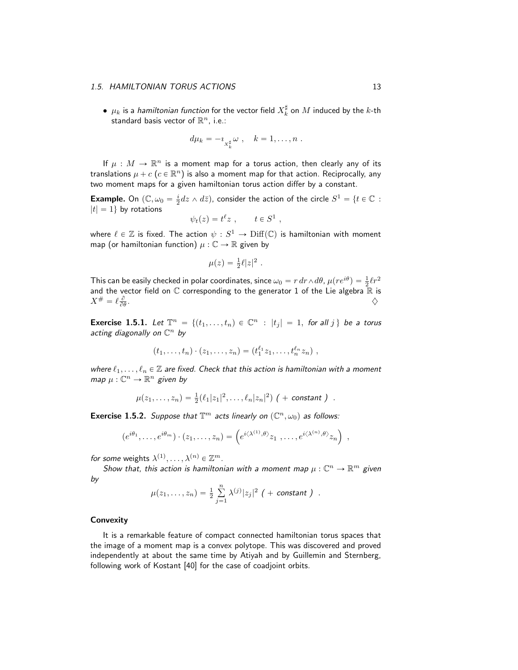$\bullet \;\mu_k$  is a *hamiltonian function* for the vector field  $X_k^\sharp$  on  $M$  induced by the  $k$ -th standard basis vector of  $\mathbb{R}^n$ , i.e.:

$$
d\mu_k = -i_{X_k^{\sharp}} \omega , \quad k = 1, \ldots, n .
$$

If  $\mu : M \to \mathbb{R}^n$  is a moment map for a torus action, then clearly any of its translations  $\mu + c$   $(c \in \mathbb{R}^n)$  is also a moment map for that action. Reciprocally, any two moment maps for a given hamiltonian torus action differ by a constant.

**Example.** On  $(\mathbb{C}, \omega_0 = \frac{i}{2} dz \wedge d\bar{z})$ , consider the action of the circle  $S^1 = \{t \in \mathbb{C} :$  $|t| = 1$  by rotations

$$
\psi_t(z) = t^{\ell} z \ , \qquad t \in S^1 \ ,
$$

where  $\ell \in \mathbb{Z}$  is fixed. The action  $\psi : S^1 \to \mathrm{Diff}(\mathbb{C})$  is hamiltonian with moment map (or hamiltonian function)  $\mu : \mathbb{C} \to \mathbb{R}$  given by

$$
\mu(z) = \frac{1}{2}\ell|z|^2.
$$

This can be easily checked in polar coordinates, since  $\omega_0 = r dr \wedge d\theta$ ,  $\mu(re^{i\theta}) = \frac{1}{2}\ell r^2$ and the vector field on  $\mathbb C$  corresponding to the generator 1 of the Lie algebra  $\mathbb{\mathbb R}$  is  $X^\# = \ell \frac{\partial}{\partial \theta}$ . And the contract of the contract of the contract of  $\Diamond$ 

**Exercise 1.5.1.** Let  $\mathbb{T}^n = \{(t_1, \ldots, t_n) \in \mathbb{C}^n : |t_j| = 1, \text{ for all } j \}$  be a torus acting diagonally on  $\mathbb{C}^n$  by

$$
(t_1,\ldots,t_n)\cdot(z_1,\ldots,z_n)=(t_1^{\ell_1}z_1,\ldots,t_n^{\ell_n}z_n)\;,
$$

where  $\ell_1, \ldots, \ell_n \in \mathbb{Z}$  are fixed. Check that this action is hamiltonian with a moment map  $\mu: \mathbb{C}^n \to \mathbb{R}^n$  given by

$$
\mu(z_1,\ldots,z_n) = \frac{1}{2}(\ell_1|z_1|^2,\ldots,\ell_n|z_n|^2) \; (+ \text{ constant } ) \; .
$$

**Exercise 1.5.2.** Suppose that  $\mathbb{T}^m$  acts linearly on  $(\mathbb{C}^n, \omega_0)$  as follows:

$$
(e^{i\theta_1}, \ldots, e^{i\theta_m}) \cdot (z_1, \ldots, z_n) = \left( e^{i\langle \lambda^{(1)}, \theta \rangle} z_1, \ldots, e^{i\langle \lambda^{(n)}, \theta \rangle} z_n \right) ,
$$

for some weights  $\lambda^{(1)}, \ldots, \lambda^{(n)} \in \mathbb{Z}^m$ .

Show that, this action is hamiltonian with a moment map  $\mu: \mathbb{C}^n \to \mathbb{R}^m$  given by

$$
\mu(z_1,...,z_n) = \frac{1}{2} \sum_{j=1}^n \lambda^{(j)} |z_j|^2
$$
 (+ constant).

#### **Convexity**

It is a remarkable feature of compact connected hamiltonian torus spaces that the image of a moment map is a convex polytope. This was discovered and proved independently at about the same time by Atiyah and by Guillemin and Sternberg, following work of Kostant [40] for the case of coadjoint orbits.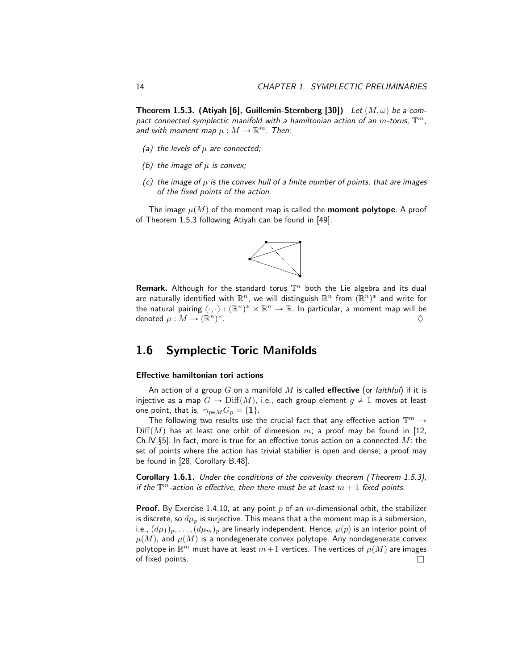**Theorem 1.5.3. (Atiyah [6], Guillemin-Sternberg [30])** Let  $(M, \omega)$  be a compact connected symplectic manifold with a hamiltonian action of an  $m$ -torus,  $\mathbb{T}^m$ , and with moment map  $\mu : M \to \mathbb{R}^m$ . Then:

- (a) the levels of  $\mu$  are connected;
- (b) the image of  $\mu$  is convex;
- (c) the image of  $\mu$  is the convex hull of a finite number of points, that are images of the fixed points of the action.

The image  $\mu(M)$  of the moment map is called the **moment polytope**. A proof of Theorem 1.5.3 following Atiyah can be found in [49].



Remark. Although for the standard torus  $\mathbb{T}^n$  both the Lie algebra and its dual are naturally identified with  $\mathbb{R}^n$ , we will distinguish  $\mathbb{R}^n$  from  $(\bar{\mathbb{R}}^n)^*$  and write for the natural pairing  $\langle \cdot, \cdot \rangle : ({\mathbb R}^n)^* \times {\mathbb R}^n \to {\mathbb R}$ . In particular, a moment map will be denoted  $\mu : M \to (\mathbb{R}^n)^\mathbb{R}$  $\ast$  . The contract of the contract of the contract of the contract of the contract of the contract of the contract of the contract of the contract of the contract of the contract of the contract of the contract of the co

# 1.6 Symplectic Toric Manifolds

#### Effective hamiltonian tori actions

An action of a group  $G$  on a manifold  $M$  is called effective (or faithful) if it is injective as a map  $G \to \text{Diff}(M)$ , i.e., each group element  $g \neq \mathbb{1}$  moves at least one point, that is,  $\cap_{p\in M}G_p = \{\mathbb{1}\}.$ 

The following two results use the crucial fact that any effective action  $\mathbb{T}^m \to$  $\text{Diff}(M)$  has at least one orbit of dimension m; a proof may be found in [12, Ch.IV, §5]. In fact, more is true for an effective torus action on a connected  $M$ : the set of points where the action has trivial stabilier is open and dense; a proof may be found in [28, Corollary B.48].

Corollary 1.6.1. Under the conditions of the convexity theorem (Theorem 1.5.3), if the  $\mathbb{T}^m$ -action is effective, then there must be at least  $m+1$  fixed points.

**Proof.** By Exercise 1.4.10, at any point p of an m-dimensional orbit, the stabilizer is discrete, so  $d\mu_p$  is surjective. This means that a the moment map is a submersion, i.e.,  $(d\mu_1)_p, \ldots, (d\mu_m)_p$  are linearly independent. Hence,  $\mu(p)$  is an interior point of  $\mu(M)$ , and  $\mu(M)$  is a nondegenerate convex polytope. Any nondegenerate convex polytope in  $\mathbb{R}^m$  must have at least  $m+1$  vertices. The vertices of  $\mu(M)$  are images of fixed points.  $\Box$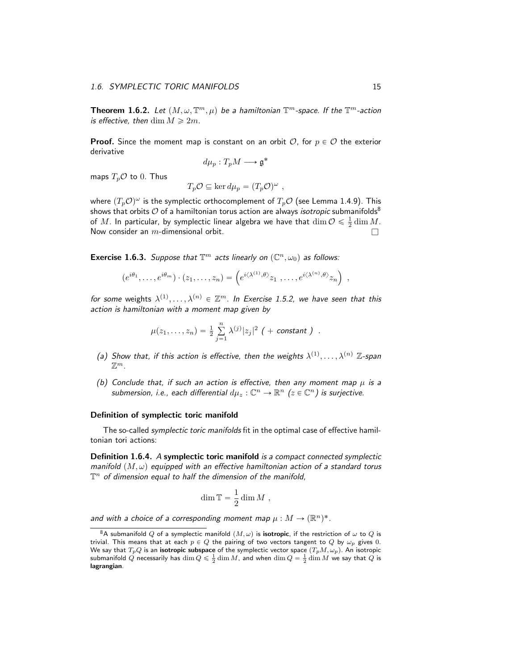**Theorem 1.6.2.** Let  $(M, \omega, \mathbb{T}^m, \mu)$  be a hamiltonian  $\mathbb{T}^m$ -space. If the  $\mathbb{T}^m$ -action is effective, then  $\dim M \geq 2m$ .

**Proof.** Since the moment map is constant on an orbit  $O$ , for  $p \in O$  the exterior derivative

$$
d\mu_p: T_pM \longrightarrow \mathfrak{g}^*
$$

maps  $T_p \mathcal{O}$  to 0. Thus

$$
T_p \mathcal{O} \subseteq \ker d\mu_p = (T_p \mathcal{O})^{\omega} ,
$$

where  $(T_p\mathcal{O})^\omega$  is the symplectic orthocomplement of  $T_p\mathcal{O}$  (see Lemma 1.4.9). This shows that orbits  $O$  of a hamiltonian torus action are always *isotropic* submanifolds<sup>8</sup> of  $M.$  In particular, by symplectic linear algebra we have that  $\dim \mathcal{O}\leqslant \frac{1}{2}\dim M.$ Now consider an  $m$ -dimensional orbit.  $\Box$ 

**Exercise 1.6.3.** Suppose that  $\mathbb{T}^m$  acts linearly on  $(\mathbb{C}^n, \omega_0)$  as follows:

$$
(e^{i\theta_1}, \ldots, e^{i\theta_m}) \cdot (z_1, \ldots, z_n) = \left(e^{i\langle \lambda^{(1)}, \theta \rangle} z_1, \ldots, e^{i\langle \lambda^{(n)}, \theta \rangle} z_n\right)
$$

for some weights  $\lambda^{(1)}, \ldots, \lambda^{(n)} \in \mathbb{Z}^m$ . In Exercise 1.5.2, we have seen that this action is hamiltonian with a moment map given by

$$
\mu(z_1,...,z_n) = \frac{1}{2} \sum_{j=1}^n \lambda^{(j)} |z_j|^2
$$
 (+ constant).

- (a) Show that, if this action is effective, then the weights  $\lambda^{(1)}, \ldots, \lambda^{(n)}$  Z-span  $\mathbb{Z}^m$ .
- (b) Conclude that, if such an action is effective, then any moment map  $\mu$  is a submersion, i.e., each differential  $d\mu_z : \mathbb{C}^n \to \mathbb{R}^n$   $(z \in \mathbb{C}^n)$  is surjective.

#### Definition of symplectic toric manifold

The so-called *symplectic toric manifolds* fit in the optimal case of effective hamiltonian tori actions:

Definition 1.6.4. A symplectic toric manifold is a compact connected symplectic manifold  $(M, \omega)$  equipped with an effective hamiltonian action of a standard torus  $\mathbb{T}^n$  of dimension equal to half the dimension of the manifold,

$$
\dim \mathbb{T} = \frac{1}{2} \dim M ,
$$

and with a choice of a corresponding moment map  $\mu : M \to (\mathbb{R}^n)^*$ .

,

<sup>&</sup>lt;sup>8</sup>A submanifold Q of a symplectic manifold  $(M, \omega)$  is **isotropic**, if the restriction of  $\omega$  to Q is trivial. This means that at each  $p \in Q$  the pairing of two vectors tangent to Q by  $\omega_p$  gives 0. We say that  $T_pQ$  is an **isotropic subspace** of the symplectic vector space  $(T_pM, \omega_p)$ . An isotropic<br>submanifold  $Q$  necessarily has  $\dim Q \leqslant \frac{1}{2} \dim M$ , and when  $\dim Q = \frac{1}{2} \dim M$  we say that  $Q$  is lagrangian.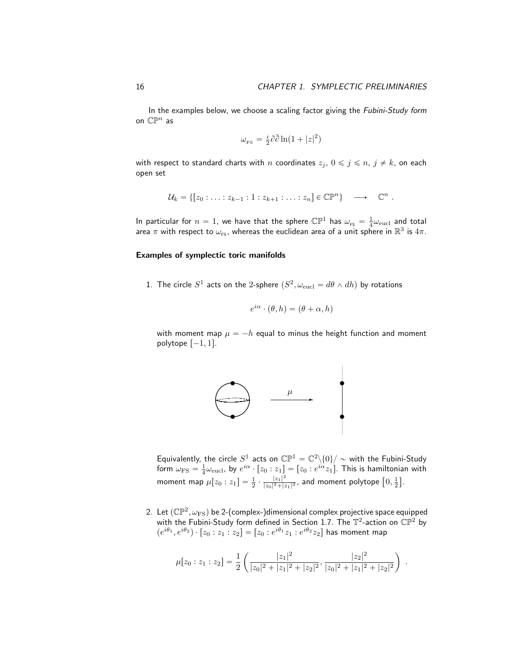In the examples below, we choose a scaling factor giving the Fubini-Study form on  $\mathbb{CP}^n$  as

$$
\omega_{\rm \scriptscriptstyle FS} = \tfrac{i}{2}\partial\bar\partial\ln(1+|z|^2)
$$

with respect to standard charts with n coordinates  $z_j$ ,  $0 \leq j \leq n$ ,  $j \neq k$ , on each open set

$$
\mathcal{U}_k = \{ [z_0 : \ldots : z_{k-1} : 1 : z_{k+1} : \ldots : z_n] \in \mathbb{C}\mathbb{P}^n \} \longrightarrow \mathbb{C}^n .
$$

In particular for  $n=1$ , we have that the sphere  $\mathbb{CP}^1$  has  $\omega_{\text{\tiny FS}} = \frac{1}{4}\omega_{\text{\tiny eucl}}$  and total area  $\pi$  with respect to  $\omega_{\mathsf{rs}}$ , whereas the euclidean area of a unit sphere in  $\mathbb{R}^3$  is  $4\pi.$ 

#### Examples of symplectic toric manifolds

1. The circle  $S^1$  acts on the 2-sphere  $(S^2, \omega_{\text{eucl}} = d\theta \wedge dh)$  by rotations

$$
e^{i\alpha} \cdot (\theta, h) = (\theta + \alpha, h)
$$

with moment map  $\mu = -h$  equal to minus the height function and moment polytope  $[-1, 1]$ .



Equivalently, the circle  $S^1$  acts on  $\mathbb{CP}^1 = \mathbb{C}^2 \backslash \{0\} / \sim$  with the Fubini-Study form  $\omega_{\rm FS}=\frac{1}{4}\omega_{\rm eucl}$ , by  $e^{i\alpha}\cdot [z_0:z_1]=[z_0:e^{i\alpha}z_1].$  This is hamiltonian with moment map  $\mu[z_0:z_1] = \frac{1}{2} \cdot \frac{|z_1|^2}{|z_0|^2 + |z|}$  $\frac{|z_1|^2}{|z_0|^2+|z_1|^2}$ , and moment polytope  $[0, \frac{1}{2}]$ ‰ .

2. Let  $(\mathbb{CP}^2,\omega_{\rm FS})$  be 2-(complex-)dimensional complex projective space equipped with the Fubini-Study form defined in Section 1.7. The  $\mathbb{T}^2$ -action on  $\mathbb{CP}^2$  by  $(e^{i\theta_1}, e^{i\theta_2}) \cdot [z_0 : z_1 : z_2] = [z_0 : e^{i\theta_1} z_1 : e^{i\theta_2} z_2]$  has moment map

$$
\mu[z_0:z_1:z_2] = \frac{1}{2} \left( \frac{|z_1|^2}{|z_0|^2 + |z_1|^2 + |z_2|^2}, \frac{|z_2|^2}{|z_0|^2 + |z_1|^2 + |z_2|^2} \right) .
$$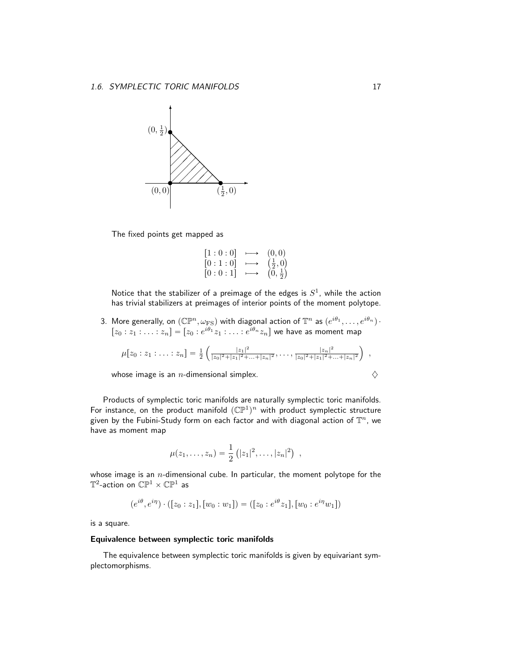

The fixed points get mapped as

$$
\begin{array}{ccc} [1:0:0] & \longmapsto & (0,0) \\ [0:1:0] & \longmapsto & \left(\frac{1}{2},0\right) \\ [0:0:1] & \longmapsto & \left(0,\frac{1}{2}\right) \end{array}
$$

Notice that the stabilizer of a preimage of the edges is  $S^1$ , while the action has trivial stabilizers at preimages of interior points of the moment polytope.

3. More generally, on  $(\mathbb{CP}^n, \omega_{\text{FS}})$  with diagonal action of  $\mathbb{T}^n$  as  $(e^{i\theta_1}, \ldots, e^{i\theta_n})\cdot$  $[z_0 : z_1 : \ldots : z_n] = [z_0 : e^{i\theta_1} z_1 : \ldots : e^{i\theta_n} z_n]$  we have as moment map

$$
\mu[z_0:z_1:\ldots:z_n]=\frac{1}{2}\left(\frac{|z_1|^2}{|z_0|^2+|z_1|^2+\ldots+|z_n|^2},\ldots,\frac{|z_n|^2}{|z_0|^2+|z_1|^2+\ldots+|z_n|^2}\right) ,
$$

whose image is an *n*-dimensional simplex.  $\diamondsuit$ 

Products of symplectic toric manifolds are naturally symplectic toric manifolds. For instance, on the product manifold  $(\mathbb{CP}^1)^n$  with product symplectic structure given by the Fubini-Study form on each factor and with diagonal action of  $\mathbb{T}^n$ , we have as moment map

$$
\mu(z_1,\ldots,z_n) = \frac{1}{2} (|z_1|^2,\ldots,|z_n|^2) ,
$$

whose image is an  $n$ -dimensional cube. In particular, the moment polytope for the  $\mathbb{T}^2$ -action on  $\mathbb{CP}^1 \times \mathbb{CP}^1$  as

$$
(e^{i\theta}, e^{i\eta}) \cdot ([z_0 : z_1], [w_0 : w_1]) = ([z_0 : e^{i\theta} z_1], [w_0 : e^{i\eta} w_1])
$$

is a square.

#### Equivalence between symplectic toric manifolds

The equivalence between symplectic toric manifolds is given by equivariant symplectomorphisms.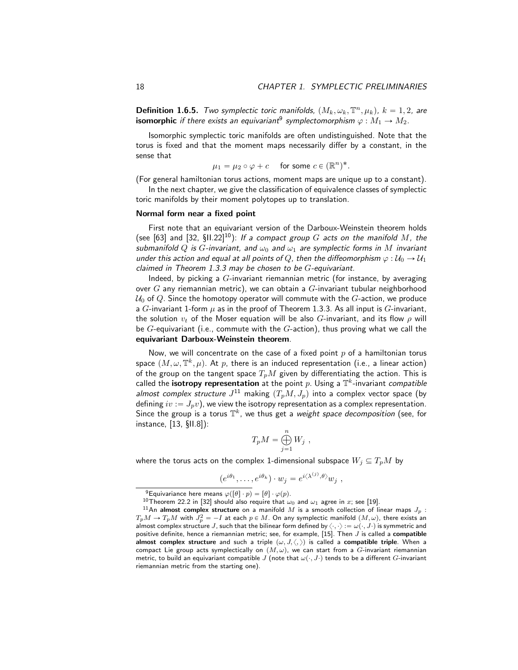.

**Definition 1.6.5.** Two symplectic toric manifolds,  $(M_k, \omega_k, \mathbb{T}^n, \mu_k)$ ,  $k = 1, 2$ , are  $\mathbf i$ somorphic if there exists an equivariant $^9$  symplectomorphism  $\varphi: M_1 \to M_2.$ 

Isomorphic symplectic toric manifolds are often undistinguished. Note that the torus is fixed and that the moment maps necessarily differ by a constant, in the sense that

$$
\mu_1 = \mu_2 \circ \varphi + c \quad \text{ for some } c \in (\mathbb{R}^n)^*
$$

(For general hamiltonian torus actions, moment maps are unique up to a constant).

In the next chapter, we give the classification of equivalence classes of symplectic toric manifolds by their moment polytopes up to translation.

#### Normal form near a fixed point

First note that an equivariant version of the Darboux-Weinstein theorem holds (see [63] and [32, §II.22]<sup>10</sup>): If a compact group G acts on the manifold M, the submanifold Q is G-invariant, and  $\omega_0$  and  $\omega_1$  are symplectic forms in M invariant under this action and equal at all points of Q, then the diffeomorphism  $\varphi : \mathcal{U}_0 \to \mathcal{U}_1$ claimed in Theorem 1.3.3 may be chosen to be  $G$ -equivariant.

Indeed, by picking a  $G$ -invariant riemannian metric (for instance, by averaging over  $G$  any riemannian metric), we can obtain a  $G$ -invariant tubular neighborhood  $U_0$  of Q. Since the homotopy operator will commute with the G-action, we produce a G-invariant 1-form  $\mu$  as in the proof of Theorem 1.3.3. As all input is G-invariant, the solution  $v_t$  of the Moser equation will be also G-invariant, and its flow  $\rho$  will be  $G$ -equivariant (i.e., commute with the  $G$ -action), thus proving what we call the equivariant Darboux-Weinstein theorem.

Now, we will concentrate on the case of a fixed point  $p$  of a hamiltonian torus space  $(M, \omega, \mathbb{T}^k, \mu).$  At  $p$ , there is an induced representation (i.e., a linear action) of the group on the tangent space  $T_pM$  given by differentiating the action. This is called the **isotropy representation** at the point p. Using a  $\mathbb{T}^k$ -invariant compatible almost complex structure  $J^{11}$  making  $(T_pM, J_p)$  into a complex vector space (by defining  $iv := J_p v$ ), we view the isotropy representation as a complex representation. Since the group is a torus  $\mathbb{T}^k$ , we thus get a *weight space decomposition* (see, for instance, [13, §II.8]):

$$
T_p M = \bigoplus_{j=1}^n W_j ,
$$

where the torus acts on the complex 1-dimensional subspace  $W_j \subseteq T_pM$  by

$$
(e^{i\theta_1},\ldots,e^{i\theta_k})\cdot w_j=e^{i\langle\lambda^{(j)},\theta\rangle}w_j\ ,
$$

<sup>&</sup>lt;sup>9</sup>Equivariance here means  $\varphi([\theta] \cdot p) = [\theta] \cdot \varphi(p)$ .

<sup>&</sup>lt;sup>10</sup>Theorem 22.2 in [32] should also require that  $\omega_0$  and  $\omega_1$  agree in x; see [19].

<sup>&</sup>lt;sup>11</sup>An almost complex structure on a manifold M is a smooth collection of linear maps  $J_p$  :  $T_pM\to T_pM$  with  $J_p^2=-I$  at each  $p\in M.$  On any symplectic manifold  $(M,\omega),$  there exists an almost complex structure  $J$ , such that the bilinear form defined by  $\langle \cdot, \cdot \rangle := \omega(\cdot, J \cdot)$  is symmetric and positive definite, hence a riemannian metric; see, for example, [15]. Then  $J$  is called a compatible almost complex structure and such a triple  $(\omega, J, \langle, \rangle)$  is called a compatible triple. When a compact Lie group acts symplectically on  $(M, \omega)$ , we can start from a G-invariant riemannian metric, to build an equivariant compatible J (note that  $\omega(\cdot, J\cdot)$  tends to be a different G-invariant riemannian metric from the starting one).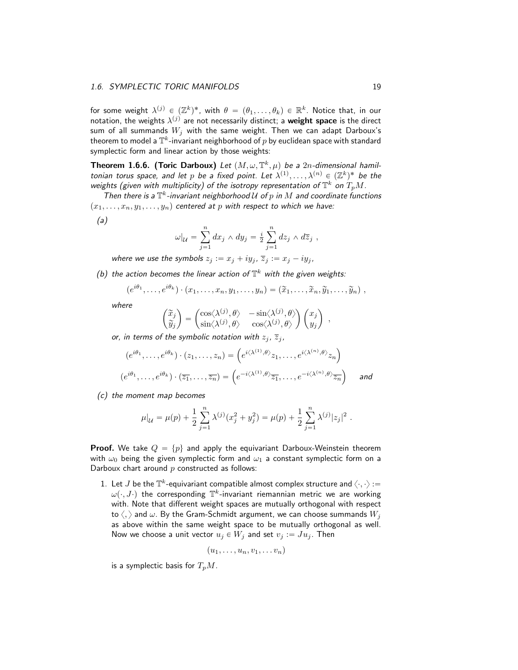for some weight  $\lambda^{(j)}\in (\mathbb{Z}^k)^*$ , with  $\theta\,=\, (\theta_1,\ldots,\theta_k)\,\in\, \mathbb{R}^k.$  Notice that, in our notation, the weights  $\lambda^{(j)}$  are not necessarily distinct; a **weight space** is the direct sum of all summands  $W_i$  with the same weight. Then we can adapt Darboux's theorem to model a  $\mathbb{T}^k$ -invariant neighborhood of  $p$  by euclidean space with standard symplectic form and linear action by those weights:

**Theorem 1.6.6. (Toric Darboux)** Let  $(M, \omega, \mathbb{T}^k, \mu)$  be a 2n-dimensional hamiltonian torus space, and let p be a fixed point. Let  $\lambda^{(1)},\ldots,\lambda^{(n)}\in (\mathbb{Z}^k)^*$  be the weights (given with multiplicity) of the isotropy representation of  $\mathbb{T}^k$  on  $T_pM$ .

Then there is a  $\mathbb{T}^k$ -invariant neighborhood  $\mathcal U$  of  $p$  in  $M$  and coordinate functions  $p(x_1, \ldots, x_n, y_1, \ldots, y_n)$  centered at p with respect to which we have:

(a)

$$
\omega|_{\mathcal{U}} = \sum_{j=1}^n dx_j \wedge dy_j = \frac{i}{2} \sum_{j=1}^n dz_j \wedge d\overline{z}_j ,
$$

where we use the symbols  $z_j := x_j + iy_j$ ,  $\overline{z}_j := x_j - iy_j$ ,

(b) the action becomes the linear action of  $\mathbb{T}^k$  with the given weights:

$$
(e^{i\theta_1},\ldots,e^{i\theta_k})\cdot(x_1,\ldots,x_n,y_1,\ldots,y_n)=(\widetilde{x}_1,\ldots,\widetilde{x}_n,\widetilde{y}_1,\ldots,\widetilde{y}_n),
$$

where

$$
\begin{pmatrix} \widetilde{x}_j \\ \widetilde{y}_j \end{pmatrix} = \begin{pmatrix} \cos(\lambda^{(j)}, \theta) & -\sin(\lambda^{(j)}, \theta) \\ \sin(\lambda^{(j)}, \theta) & \cos(\lambda^{(j)}, \theta) \end{pmatrix} \begin{pmatrix} x_j \\ y_j \end{pmatrix} ,
$$

or, in terms of the symbolic notation with  $z_j$ ,  $\overline{z}_j$ ,

$$
(e^{i\theta_1}, \dots, e^{i\theta_k}) \cdot (z_1, \dots, z_n) = \left( e^{i\langle \lambda^{(1)}, \theta \rangle} z_1, \dots, e^{i\langle \lambda^{(n)}, \theta \rangle} z_n \right)
$$

$$
(e^{i\theta_1}, \dots, e^{i\theta_k}) \cdot (\overline{z_1}, \dots, \overline{z_n}) = \left( e^{-i\langle \lambda^{(1)}, \theta \rangle} \overline{z_1}, \dots, e^{-i\langle \lambda^{(n)}, \theta \rangle} \overline{z_n} \right) \quad \text{and}
$$

(c) the moment map becomes

$$
\mu|_{\mathcal{U}} = \mu(p) + \frac{1}{2} \sum_{j=1}^{n} \lambda^{(j)} (x_j^2 + y_j^2) = \mu(p) + \frac{1}{2} \sum_{j=1}^{n} \lambda^{(j)} |z_j|^2.
$$

**Proof.** We take  $Q = \{p\}$  and apply the equivariant Darboux-Weinstein theorem with  $\omega_0$  being the given symplectic form and  $\omega_1$  a constant symplectic form on a Darboux chart around  $p$  constructed as follows:

1. Let  $J$  be the  $\mathbb{T}^k$ -equivariant compatible almost complex structure and  $\langle \cdot, \cdot \rangle$  :=  $\omega(\cdot, J \cdot)$  the corresponding  $\mathbb{T}^k$ -invariant riemannian metric we are working with. Note that different weight spaces are mutually orthogonal with respect to  $\langle , \rangle$  and  $\omega$ . By the Gram-Schmidt argument, we can choose summands  $W_j$ as above within the same weight space to be mutually orthogonal as well. Now we choose a unit vector  $u_j \in W_j$  and set  $v_j := Ju_j$ . Then

$$
(u_1,\ldots,u_n,v_1,\ldots v_n)
$$

is a symplectic basis for  $T_pM$ .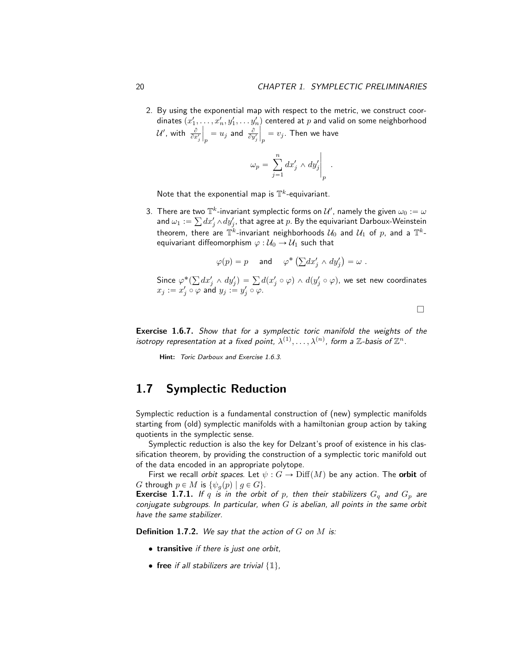2. By using the exponential map with respect to the metric, we construct coordinates  $(x'_1, \ldots, x'_n, y'_1, \ldots y'_n)$  centered at  $p$  and valid on some neighborhood  $\mathcal{U}^{\prime}$ , with  $\frac{\partial}{\partial x_{j}^{\prime}}$ ˇ ˇ  $\frac{\partial}{\partial p} = u_j$  and  $\frac{\partial}{\partial y'_j}$ ˇ ˇ  $\displaystyle p_p=v_j.$  Then we have

$$
\omega_p = \left. \sum_{j=1}^n dx'_j \wedge dy'_j \right|_p.
$$

Note that the exponential map is  $\mathbb{T}^k$ -equivariant.

3. There are two  $\mathbb{T}^k$ -invariant symplectic forms on  $\mathcal{U}'$ , namely the given  $\omega_0:=\omega$ and  $\omega_1 := \sum dx_j' \wedge dy_j'$ , that agree at  $p.$  By the equivariant Darboux-Weinstein theorem, there are  $\mathbb{T}^k$ -invariant neighborhoods  $\mathcal{U}_0$  and  $\mathcal{U}_1$  of  $p$ , and a  $\mathbb{T}^k$ equivariant diffeomorphism  $\varphi : \mathcal{U}_0 \to \mathcal{U}_1$  such that

$$
\varphi(p) = p
$$
 and  $\varphi^* \left( \sum dx'_j \wedge dy'_j \right) = \omega$ .

Since  $\varphi^*($  $dx_j' \wedge dy_j') = \sum d(x_j' \circ \varphi) \wedge d(y_j' \circ \varphi)$ , we set new coordinates  $x_j := x'_j \circ \varphi$  and  $y_j := y'_j \circ \varphi$ .

 $\Box$ 

Exercise 1.6.7. Show that for a symplectic toric manifold the weights of the isotropy representation at a fixed point,  $\lambda^{(1)}, \ldots, \lambda^{(n)}$ , form a  $\mathbb Z$ -basis of  $\mathbb Z^n$ .

Hint: Toric Darboux and Exercise 1.6.3.

### 1.7 Symplectic Reduction

Symplectic reduction is a fundamental construction of (new) symplectic manifolds starting from (old) symplectic manifolds with a hamiltonian group action by taking quotients in the symplectic sense.

Symplectic reduction is also the key for Delzant's proof of existence in his classification theorem, by providing the construction of a symplectic toric manifold out of the data encoded in an appropriate polytope.

First we recall orbit spaces. Let  $\psi : G \to \text{Diff}(M)$  be any action. The orbit of G through  $p \in M$  is  $\{\psi_q(p) | q \in G\}.$ 

**Exercise 1.7.1.** If q is in the orbit of p, then their stabilizers  $G_q$  and  $G_p$  are conjugate subgroups. In particular, when  $G$  is abelian, all points in the same orbit have the same stabilizer.

**Definition 1.7.2.** We say that the action of  $G$  on  $M$  is:

- transitive if there is just one orbit,
- free if all stabilizers are trivial  $\{1\}$ ,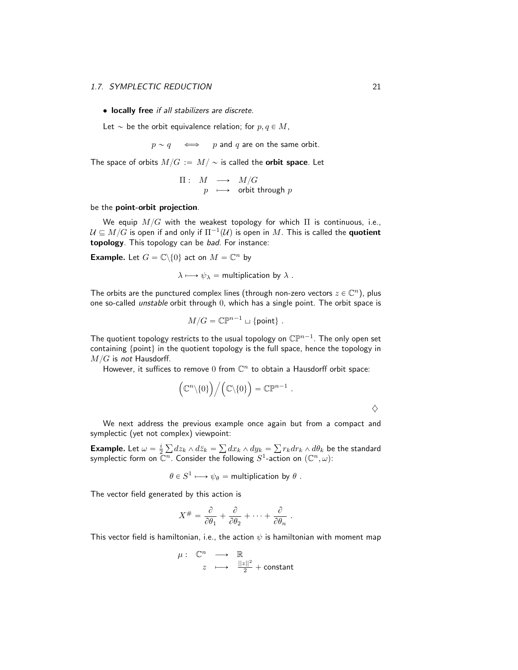#### 1.7. SYMPLECTIC REDUCTION 21

• locally free if all stabilizers are discrete.

Let  $\sim$  be the orbit equivalence relation; for  $p, q \in M$ ,

 $p \sim q \iff p$  and q are on the same orbit.

The space of orbits  $M/G := M/\sim$  is called the **orbit space**. Let

$$
\begin{array}{rcl} \Pi : & M & \longrightarrow & M/G \\ & p & \longmapsto & \text{orbit through } p \end{array}
$$

#### be the point-orbit projection.

We equip  $M/G$  with the weakest topology for which  $\Pi$  is continuous, i.e.,  $\mathcal{U} \subseteq M/G$  is open if and only if  $\Pi^{-1}(\mathcal{U})$  is open in  $M.$  This is called the  ${\bf quotient}$ topology. This topology can be bad. For instance:

**Example.** Let  $G = \mathbb{C} \backslash \{0\}$  act on  $M = \mathbb{C}^n$  by

$$
\lambda \longmapsto \psi_{\lambda} = \text{multiplication by } \lambda .
$$

The orbits are the punctured complex lines (through non-zero vectors  $z \in \mathbb{C}^n$ ), plus one so-called unstable orbit through 0, which has a single point. The orbit space is

$$
M/G = \mathbb{CP}^{n-1} \sqcup \{\text{point}\}.
$$

The quotient topology restricts to the usual topology on  $\mathbb{CP}^{n-1}.$  The only open set containing  $\{point\}$  in the quotient topology is the full space, hence the topology in  $M/G$  is not Hausdorff.

However, it suffices to remove  $0$  from  $\mathbb{C}^n$  to obtain a Hausdorff orbit space:

$$
\Big(\mathbb{C}^n\backslash\{0\}\Big)\Big/\Big(\mathbb{C}\backslash\{0\}\Big)=\mathbb{C}\mathbb{P}^{n-1}\;.
$$

 $\Diamond$ 

We next address the previous example once again but from a compact and symplectic (yet not complex) viewpoint:

**Example.** Let  $\omega = \frac{i}{2}$  $dz_k \wedge d\bar{z}_k =$  $dx_k \wedge dy_k =$  $r_kdr_k \wedge d\theta_k$  be the standard symplectic form on  $\overline{\mathbb{C}^n}.$  Consider the following  $S^1$ -action on  $(\mathbb{C}^n,\omega)$ :

$$
\theta \in S^1 \longmapsto \psi_{\theta} = \text{multiplication by } \theta.
$$

The vector field generated by this action is

$$
X^{\#} = \frac{\partial}{\partial \theta_1} + \frac{\partial}{\partial \theta_2} + \cdots + \frac{\partial}{\partial \theta_n}.
$$

This vector field is hamiltonian, i.e., the action  $\psi$  is hamiltonian with moment map

$$
\mu: \begin{array}{ccc}\n\mathbb{C}^n & \longrightarrow & \mathbb{R} \\
z & \longmapsto & \frac{||z||^2}{2} + \text{constant}\n\end{array}
$$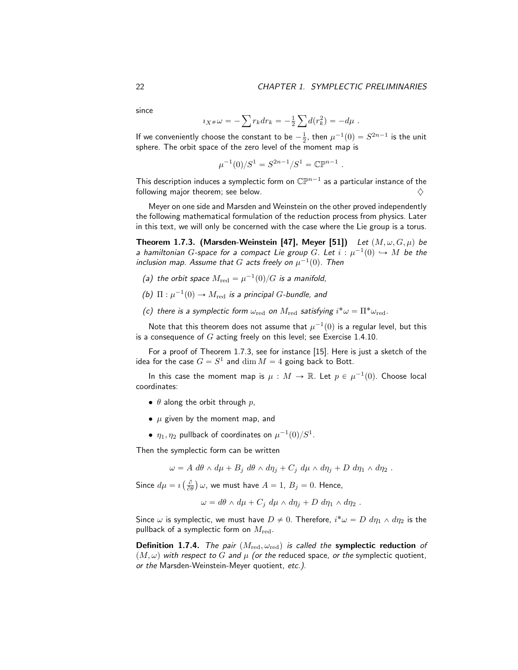since

$$
i_{X} * \omega = -\sum r_k dr_k = -\frac{1}{2} \sum d(r_k^2) = -d\mu.
$$

If we conveniently choose the constant to be  $-\frac{1}{2}$ , then  $\mu^{-1}(0) = S^{2n-1}$  is the unit sphere. The orbit space of the zero level of the moment map is

$$
\mu^{-1}(0)/S^1 = S^{2n-1}/S^1 = \mathbb{CP}^{n-1} .
$$

This description induces a symplectic form on  $\mathbb{CP}^{n-1}$  as a particular instance of the following major theorem; see below.

Meyer on one side and Marsden and Weinstein on the other proved independently the following mathematical formulation of the reduction process from physics. Later in this text, we will only be concerned with the case where the Lie group is a torus.

Theorem 1.7.3. (Marsden-Weinstein [47], Meyer [51]) Let  $(M, \omega, G, \mu)$  be a hamiltonian  $G$ -space for a compact Lie group  $G.$  Let  $i:\mu^{-1}(0) \hookrightarrow M$  be the inclusion map. Assume that  $G$  acts freely on  $\mu^{-1}(0).$  Then

- (a) the orbit space  $M_{\rm red} = \mu^{-1}(0)/G$  is a manifold,
- (b)  $\Pi : \mu^{-1}(0) \to M_{\text{red}}$  is a principal G-bundle, and
- (c) there is a symplectic form  $\omega_{\rm red}$  on  $M_{\rm red}$  satisfying  $i^*\omega = \Pi^*\omega_{\rm red}$ .

Note that this theorem does not assume that  $\mu^{-1}(0)$  is a regular level, but this is a consequence of  $G$  acting freely on this level; see Exercise 1.4.10.

For a proof of Theorem 1.7.3, see for instance [15]. Here is just a sketch of the idea for the case  $G = S^1$  and  $\dim M = 4$  going back to Bott.

In this case the moment map is  $\mu : M \rightarrow \mathbb{R}$ . Let  $p \in \mu^{-1}(0)$ . Choose local coordinates:

- $\theta$  along the orbit through p,
- $\mu$  given by the moment map, and
- $\bullet$   $\eta_1, \eta_2$  pullback of coordinates on  $\mu^{-1}(0)/S^1.$

Then the symplectic form can be written

 $\omega = A d\theta \wedge d\mu + B_i d\theta \wedge d\eta_i + C_i d\mu \wedge d\eta_i + D d\eta_1 \wedge d\eta_2$ .

Since  $d\mu = \imath$  $\left(\frac{\partial}{\partial \theta}\right)$  $\omega$ , we must have  $A = 1$ ,  $B_j = 0$ . Hence,

$$
\omega = d\theta \wedge d\mu + C_j \, d\mu \wedge d\eta_j + D \, d\eta_1 \wedge d\eta_2 \; .
$$

Since  $\omega$  is symplectic, we must have  $D\neq 0.$  Therefore,  $i^*\omega=D\ d\eta_1\wedge d\eta_2$  is the pullback of a symplectic form on  $M_{\rm red}$ .

**Definition 1.7.4.** The pair  $(M_{\text{red}}, \omega_{\text{red}})$  is called the symplectic reduction of  $(M, \omega)$  with respect to G and  $\mu$  (or the reduced space, or the symplectic quotient, or the Marsden-Weinstein-Meyer quotient, etc.).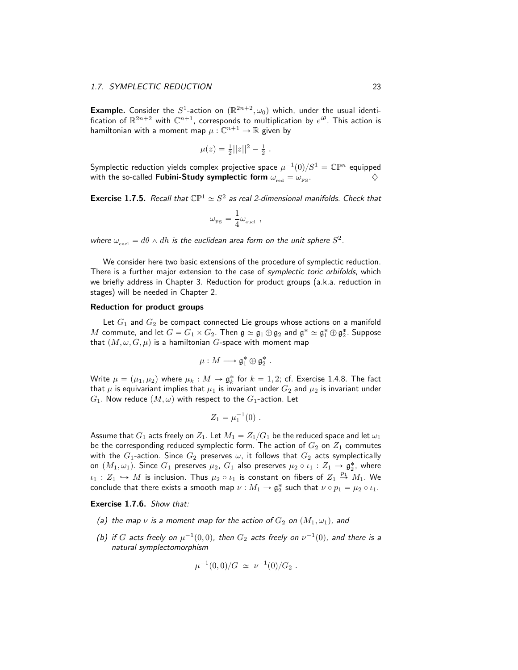**Example.** Consider the  $S^1$ -action on  $(\mathbb{R}^{2n+2}, \omega_0)$  which, under the usual identification of  $\mathbb{R}^{2n+2}$  with  $\mathbb{C}^{n+1}$ , corresponds to multiplication by  $e^{i\theta}$ . This action is hamiltonian with a moment map  $\mu: \mathbb{C}^{n+1} \rightarrow \mathbb{R}$  given by

$$
\mu(z) = \frac{1}{2}||z||^2 - \frac{1}{2}.
$$

Symplectic reduction yields complex projective space  $\mu^{-1}(0)/S^1 = \mathbb{CP}^n$  equipped with the so-called **Fubini-Study symplectic form**  $\omega_{\text{red}} = \omega_{\text{FS}}$ .

**Exercise 1.7.5.** Recall that  $\mathbb{CP}^1 \simeq S^2$  as real 2-dimensional manifolds. Check that

$$
\omega_{\mbox{\tiny FS}} = \frac{1}{4} \omega_{\mbox{\tiny eucl}} \ ,
$$

where  $\omega_{\text{eucl}} = d\theta \wedge dh$  is the euclidean area form on the unit sphere  $S^2$ .

We consider here two basic extensions of the procedure of symplectic reduction. There is a further major extension to the case of *symplectic toric orbifolds*, which we briefly address in Chapter 3. Reduction for product groups (a.k.a. reduction in stages) will be needed in Chapter 2.

#### Reduction for product groups

Let  $G_1$  and  $G_2$  be compact connected Lie groups whose actions on a manifold  $M$  commute, and let  $G=G_1\times G_2$ . Then  $\mathfrak{g}\simeq\mathfrak{g}_1\oplus\mathfrak{g}_2$  and  $\mathfrak{g}^*\simeq\mathfrak{g}_1^*\oplus\mathfrak{g}_2^*.$  Suppose that  $(M, \omega, G, \mu)$  is a hamiltonian G-space with moment map

$$
\mu: M \longrightarrow \mathfrak{g}_1^* \oplus \mathfrak{g}_2^*.
$$

Write  $\mu = (\mu_1, \mu_2)$  where  $\mu_k : M \to \mathfrak{g}_k^*$  for  $k = 1, 2$ ; cf. Exercise 1.4.8. The fact that  $\mu$  is equivariant implies that  $\mu_1$  is invariant under  $G_2$  and  $\mu_2$  is invariant under  $G_1$ . Now reduce  $(M, \omega)$  with respect to the  $G_1$ -action. Let

$$
Z_1 = \mu_1^{-1}(0) \ .
$$

Assume that  $G_1$  acts freely on  $Z_1.$  Let  $M_1 = Z_1/G_1$  be the reduced space and let  $\omega_1$ be the corresponding reduced symplectic form. The action of  $G_2$  on  $Z_1$  commutes with the  $G_1$ -action. Since  $G_2$  preserves  $\omega$ , it follows that  $G_2$  acts symplectically on  $(M_1, \omega_1)$ . Since  $G_1$  preserves  $\mu_2$ ,  $G_1$  also preserves  $\mu_2 \circ \iota_1 : Z_1 \to \mathfrak{g}_2^*$ , where  $\iota_1:Z_1\hookrightarrow M$  is inclusion. Thus  $\mu_2\circ\iota_1$  is constant on fibers of  $Z_1\stackrel{p_1}{\rightarrow} M_1$ . We conclude that there exists a smooth map  $\nu : M_1 \to \mathfrak{g}_2^*$  such that  $\nu \circ p_1 = \mu_2 \circ \iota_1$ .

Exercise 1.7.6. Show that:

- (a) the map  $\nu$  is a moment map for the action of  $G_2$  on  $(M_1, \omega_1)$ , and
- (b) if G acts freely on  $\mu^{-1}(0,0)$ , then  $G_2$  acts freely on  $\nu^{-1}(0)$ , and there is a natural symplectomorphism

$$
\mu^{-1}(0,0)/G \simeq \nu^{-1}(0)/G_2 .
$$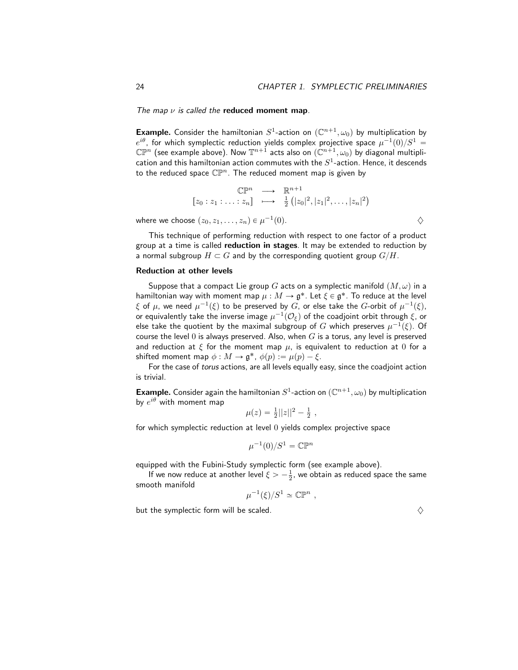The map  $\nu$  is called the reduced moment map.

**Example.** Consider the hamiltonian  $S^1$ -action on  $(\mathbb{C}^{n+1}, \omega_0)$  by multiplication by  $e^{i\theta}$ , for which symplectic reduction yields complex projective space  $\mu^{-1}(0)/S^1=$  $\mathbb{CP}^n$  (see example above). Now  $\mathbb{T}^{n+1}$  acts also on  $(\mathbb{C}^{n+1},\omega_0)$  by diagonal multiplication and this hamiltonian action commutes with the  $S^1$ -action. Hence, it descends to the reduced space  $\mathbb{CP}^n$ . The reduced moment map is given by

$$
\mathbb{CP}^n \longrightarrow \mathbb{R}^{n+1}
$$
  

$$
[z_0:z_1:\ldots:z_n] \longrightarrow \frac{1}{2}(|z_0|^2,|z_1|^2,\ldots,|z_n|^2)
$$

where we choose  $(z_0, z_1, \ldots, z_n) \in \mu^{-1}$ (0).  $\diamondsuit$ 

This technique of performing reduction with respect to one factor of a product group at a time is called **reduction in stages**. It may be extended to reduction by a normal subgroup  $H \subset G$  and by the corresponding quotient group  $G/H$ .

#### Reduction at other levels

Suppose that a compact Lie group G acts on a symplectic manifold  $(M, \omega)$  in a hamiltonian way with moment map  $\mu : M \to \mathfrak{g}^*.$  Let  $\xi \in \mathfrak{g}^*.$  To reduce at the level  $\xi$  of  $\mu$ , we need  $\mu^{-1}(\xi)$  to be preserved by  $G$ , or else take the  $G$ -orbit of  $\mu^{-1}(\xi),$ or equivalently take the inverse image  $\mu^{-1}(\mathcal{O}_\xi)$  of the coadjoint orbit through  $\xi$ , or else take the quotient by the maximal subgroup of  $G$  which preserves  $\mu^{-1}(\xi)$ . Of course the level 0 is always preserved. Also, when  $G$  is a torus, any level is preserved and reduction at  $\xi$  for the moment map  $\mu$ , is equivalent to reduction at 0 for a shifted moment map  $\phi : M \to \mathfrak{g}^*, \ \phi(p) := \mu(p) - \xi.$ 

For the case of torus actions, are all levels equally easy, since the coadjoint action is trivial.

**Example.** Consider again the hamiltonian  $S^1$ -action on  $(\mathbb{C}^{n+1}, \omega_0)$  by multiplication by  $e^{i\theta}$  with moment map

$$
\mu(z) = \frac{1}{2}||z||^2 - \frac{1}{2} \ ,
$$

for which symplectic reduction at level 0 yields complex projective space

$$
\mu^{-1}(0)/S^1 = \mathbb{CP}^n
$$

equipped with the Fubini-Study symplectic form (see example above).

If we now reduce at another level  $\xi > -\frac{1}{2}$ , we obtain as reduced space the same smooth manifold

$$
\mu^{-1}(\xi)/S^1 \simeq \mathbb{CP}^n ,
$$

but the symplectic form will be scaled.  $\Diamond$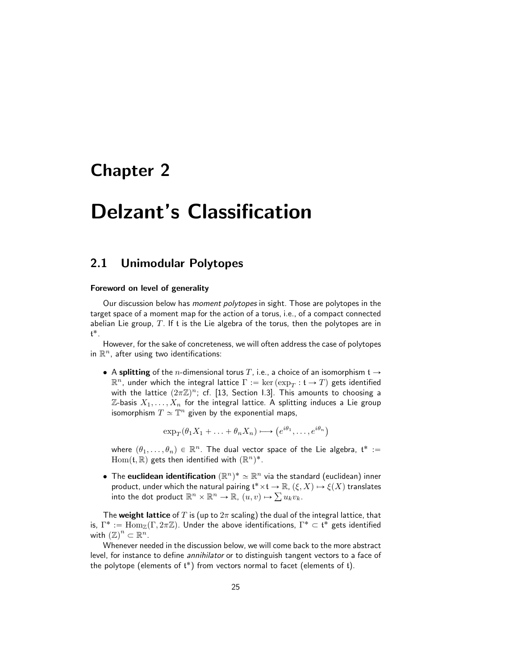# Chapter 2

# Delzant's Classification

# 2.1 Unimodular Polytopes

#### Foreword on level of generality

Our discussion below has moment polytopes in sight. Those are polytopes in the target space of a moment map for the action of a torus, i.e., of a compact connected abelian Lie group,  $T$ . If t is the Lie algebra of the torus, then the polytopes are in t ˚.

However, for the sake of concreteness, we will often address the case of polytopes in  $\mathbb{R}^n$ , after using two identifications:

• A splitting of the *n*-dimensional torus T, i.e., a choice of an isomorphism  $t \rightarrow$  $\mathbb{R}^n$ , under which the integral lattice  $\Gamma:=\ker\left(\exp_T:\mathfrak{t}\to T\right)$  gets identified with the lattice  $(2\pi\mathbb{Z})^n$ ; cf. [13, Section I.3]. This amounts to choosing a Z-basis  $X_1, \ldots, X_n$  for the integral lattice. A splitting induces a Lie group isomorphism  $T\simeq{\mathbb T}^n$  given by the exponential maps,

$$
\exp_T(\theta_1 X_1 + \ldots + \theta_n X_n) \longmapsto (e^{i\theta_1}, \ldots, e^{i\theta_n})
$$

where  $(\theta_1, \ldots, \theta_n) \in \mathbb{R}^n$ . The dual vector space of the Lie algebra,  $\mathfrak{t}^* :=$  $\mathrm{Hom}(\mathfrak{t},\mathbb{R})$  gets then identified with  $(\mathbb{R}^n)^*.$ 

• The euclidean identification  $(\mathbb{R}^n)^* \simeq \mathbb{R}^n$  via the standard (euclidean) inner product, under which the natural pairing  $\mathfrak{t}^*{\times}\mathfrak{t}\to\mathbb{R}$ ,  $(\xi,X)\mapsto\zeta(X)$  translates product, under which the natural pairing  $\mathfrak{t}^* \times \mathfrak{t} \to \mathbb{R}, \, (\xi, \xi)$  into the dot product  $\mathbb{R}^n \times \mathbb{R}^n \to \mathbb{R}, \, (u, v) \mapsto \sum u_k v_k.$ 

The weight lattice of T is (up to  $2\pi$  scaling) the dual of the integral lattice, that is,  $\Gamma^* := \text{Hom}_{\mathbb{Z}}(\Gamma, 2\pi\mathbb{Z})$ . Under the above identifications,  $\Gamma^* \subset \mathfrak{t}^*$  gets identified with  $(\mathbb{Z})^n \subset \mathbb{R}^n$ .

Whenever needed in the discussion below, we will come back to the more abstract level, for instance to define *annihilator* or to distinguish tangent vectors to a face of the polytope (elements of  $t^*$ ) from vectors normal to facet (elements of  $t$ ).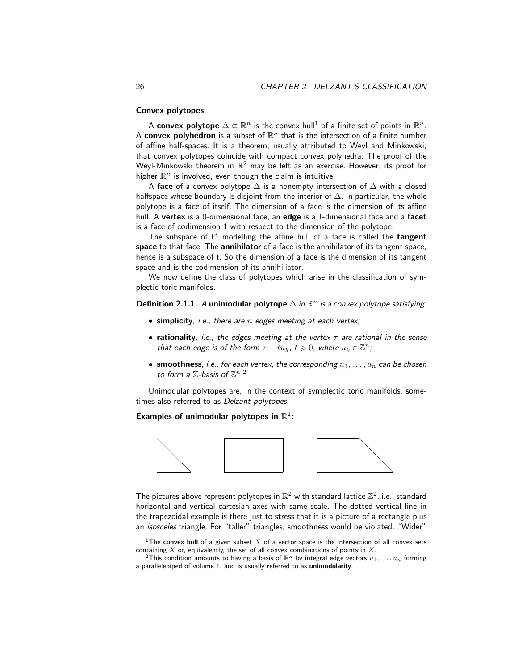#### Convex polytopes

A convex polytope  $\Delta \subset \mathbb{R}^n$  is the convex hull<sup>1</sup> of a finite set of points in  $\mathbb{R}^n.$ A convex polyhedron is a subset of  $\mathbb{R}^n$  that is the intersection of a finite number of affine half-spaces. It is a theorem, usually attributed to Weyl and Minkowski, that convex polytopes coincide with compact convex polyhedra. The proof of the Weyl-Minkowski theorem in  $\mathbb{R}^2$  may be left as an exercise. However, its proof for higher  $\mathbb{R}^n$  is involved, even though the claim is intuitive.

A face of a convex polytope  $\Delta$  is a nonempty intersection of  $\Delta$  with a closed halfspace whose boundary is disjoint from the interior of  $\Delta$ . In particular, the whole polytope is a face of itself. The dimension of a face is the dimension of its affine hull. A vertex is a 0-dimensional face, an edge is a 1-dimensional face and a facet is a face of codimension 1 with respect to the dimension of the polytope.

The subspace of  $t^*$  modelling the affine hull of a face is called the tangent space to that face. The annihilator of a face is the annihilator of its tangent space, hence is a subspace of t. So the dimension of a face is the dimension of its tangent space and is the codimension of its annihiliator.

We now define the class of polytopes which arise in the classification of symplectic toric manifolds.

### Definition 2.1.1. A unimodular polytope  $\Delta$  in  $\mathbb{R}^n$  is a convex polytope satisfying:

- $\bullet$  simplicity, i.e., there are n edges meeting at each vertex;
- rationality, i.e., the edges meeting at the vertex  $\tau$  are rational in the sense that each edge is of the form  $\tau + tu_k$ ,  $t \geq 0$ , where  $u_k \in \mathbb{Z}^n$ ;
- smoothness, i.e., for each vertex, the corresponding  $u_1, \ldots, u_n$  can be chosen to form a  $\mathbb Z$ -basis of  $\mathbb Z^n$ .<sup>2</sup>

Unimodular polytopes are, in the context of symplectic toric manifolds, sometimes also referred to as *Delzant polytopes*.

Examples of unimodular polytopes in  $\mathbb{R}^2$ :



The pictures above represent polytopes in  $\mathbb{R}^2$  with standard lattice  $\mathbb{Z}^2$ , i.e., standard horizontal and vertical cartesian axes with same scale. The dotted vertical line in the trapezoidal example is there just to stress that it is a picture of a rectangle plus an isosceles triangle. For "taller" triangles, smoothness would be violated. "Wider"

<sup>&</sup>lt;sup>1</sup>The convex hull of a given subset X of a vector space is the intersection of all convex sets containing  $X$  or, equivalently, the set of all convex combinations of points in  $X$ .

<sup>&</sup>lt;sup>2</sup>This condition amounts to having a basis of  $\mathbb{R}^n$  by integral edge vectors  $u_1, \ldots, u_n$  forming a parallelepiped of volume 1, and is usually referred to as unimodularity.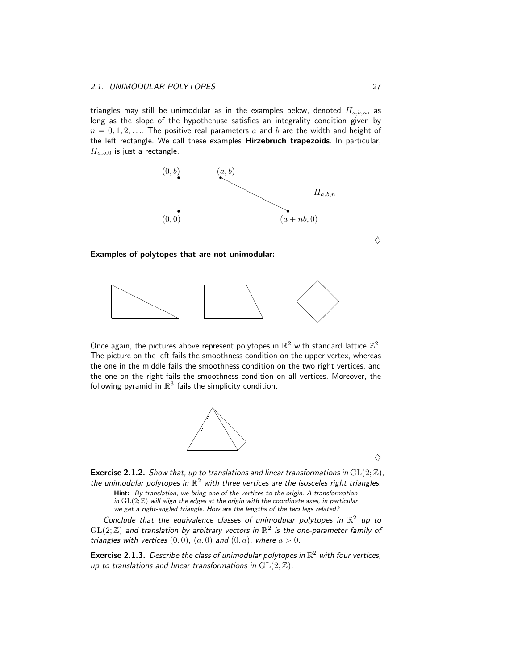triangles may still be unimodular as in the examples below, denoted  $H_{a,b,n}$ , as long as the slope of the hypothenuse satisfies an integrality condition given by  $n = 0, 1, 2, \ldots$  The positive real parameters a and b are the width and height of the left rectangle. We call these examples Hirzebruch trapezoids. In particular,  $H_{a,b,0}$  is just a rectangle.



#### Examples of polytopes that are not unimodular:



Once again, the pictures above represent polytopes in  $\mathbb{R}^2$  with standard lattice  $\mathbb{Z}^2$ . The picture on the left fails the smoothness condition on the upper vertex, whereas the one in the middle fails the smoothness condition on the two right vertices, and the one on the right fails the smoothness condition on all vertices. Moreover, the following pyramid in  $\mathbb{R}^3$  fails the simplicity condition.



 $\Diamond$ 

**Exercise 2.1.2.** Show that, up to translations and linear transformations in  $GL(2;\mathbb{Z})$ , the unimodular polytopes in  $\mathbb{R}^2$  with three vertices are the isosceles right triangles. Hint: By translation, we bring one of the vertices to the origin. A transformation

in  $GL(2; \mathbb{Z})$  will align the edges at the origin with the coordinate axes, in particular we get a right-angled triangle. How are the lengths of the two legs related?

Conclude that the equivalence classes of unimodular polytopes in  $\mathbb{R}^2$  up to  $\operatorname{GL}(2;\mathbb{Z})$  and translation by arbitrary vectors in  $\mathbb{R}^2$  is the one-parameter family of triangles with vertices  $(0, 0)$ ,  $(a, 0)$  and  $(0, a)$ , where  $a > 0$ .

**Exercise 2.1.3.** Describe the class of unimodular polytopes in  $\mathbb{R}^2$  with four vertices, up to translations and linear transformations in  $GL(2;\mathbb{Z})$ .

 $\Diamond$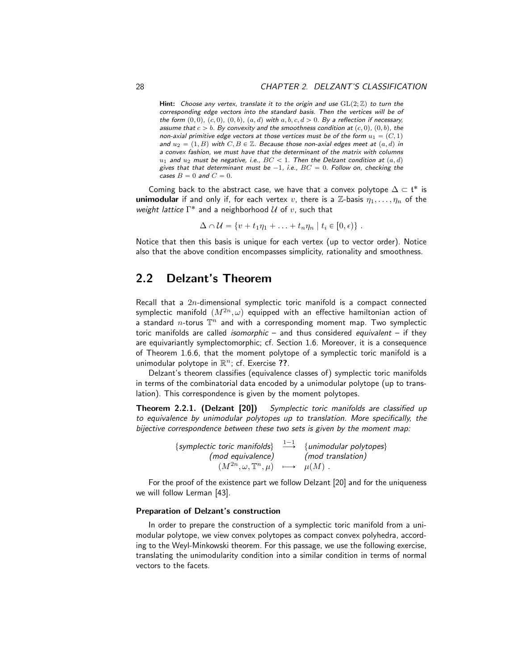Hint: Choose any vertex, translate it to the origin and use  $GL(2;\mathbb{Z})$  to turn the corresponding edge vectors into the standard basis. Then the vertices will be of the form  $(0, 0)$ ,  $(c, 0)$ ,  $(0, b)$ ,  $(a, d)$  with  $a, b, c, d > 0$ . By a reflection if necessary, assume that  $c > b$ . By convexity and the smoothness condition at  $(c, 0)$ ,  $(0, b)$ , the non-axial primitive edge vectors at those vertices must be of the form  $u_1 = (C, 1)$ and  $u_2 = (1, B)$  with  $C, B \in \mathbb{Z}$ . Because those non-axial edges meet at  $(a, d)$  in a convex fashion, we must have that the determinant of the matrix with columns  $u_1$  and  $u_2$  must be negative, i.e.,  $BC < 1$ . Then the Delzant condition at  $(a, d)$ gives that that determinant must be  $-1$ , i.e.,  $BC = 0$ . Follow on, checking the cases  $B = 0$  and  $C = 0$ .

Coming back to the abstract case, we have that a convex polytope  $\Delta \subset \mathfrak{t}^*$  is **unimodular** if and only if, for each vertex v, there is a  $\mathbb{Z}$ -basis  $\eta_1, \ldots, \eta_n$  of the weight lattice  $\Gamma^*$  and a neighborhood  $\mathcal U$  of  $v$ , such that

$$
\Delta \cap \mathcal{U} = \{v + t_1\eta_1 + \ldots + t_n\eta_n \mid t_i \in [0, \epsilon)\}.
$$

Notice that then this basis is unique for each vertex (up to vector order). Notice also that the above condition encompasses simplicity, rationality and smoothness.

### 2.2 Delzant's Theorem

Recall that a  $2n$ -dimensional symplectic toric manifold is a compact connected symplectic manifold  $(M^{2n}, \omega)$  equipped with an effective hamiltonian action of a standard n-torus  $\mathbb{T}^n$  and with a corresponding moment map. Two symplectic toric manifolds are called *isomorphic* – and thus considered *equivalent* – if they are equivariantly symplectomorphic; cf. Section 1.6. Moreover, it is a consequence of Theorem 1.6.6, that the moment polytope of a symplectic toric manifold is a unimodular polytope in  $\mathbb{R}^n$ ; cf. Exercise ??.

Delzant's theorem classifies (equivalence classes of) symplectic toric manifolds in terms of the combinatorial data encoded by a unimodular polytope (up to translation). This correspondence is given by the moment polytopes.

**Theorem 2.2.1. (Delzant [20])** Symplectic toric manifolds are classified up to equivalence by unimodular polytopes up to translation. More specifically, the bijective correspondence between these two sets is given by the moment map:

| {symplectic toric manifolds} $\stackrel{1-1}{\longrightarrow}$ {unimodular polytopes} |                   |
|---------------------------------------------------------------------------------------|-------------------|
| (mod equivalence)                                                                     | (mod translation) |
| $(M^{2n}, \omega, \mathbb{T}^n, \mu) \longrightarrow \mu(M)$ .                        |                   |

For the proof of the existence part we follow Delzant [20] and for the uniqueness we will follow Lerman [43].

#### Preparation of Delzant's construction

In order to prepare the construction of a symplectic toric manifold from a unimodular polytope, we view convex polytopes as compact convex polyhedra, according to the Weyl-Minkowski theorem. For this passage, we use the following exercise, translating the unimodularity condition into a similar condition in terms of normal vectors to the facets.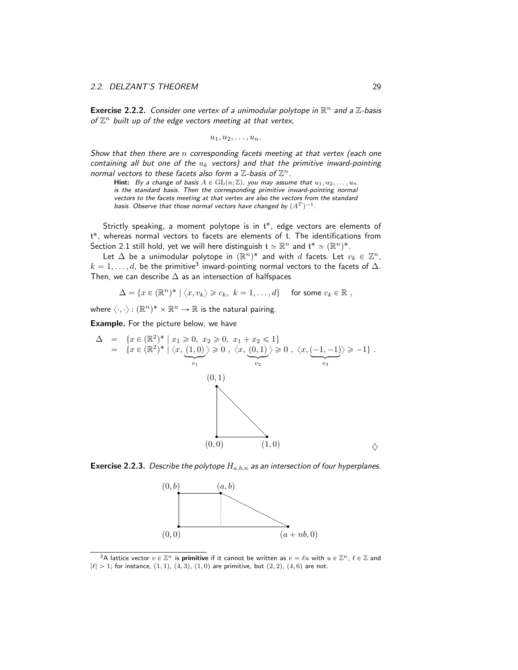**Exercise 2.2.2.** Consider one vertex of a unimodular polytope in  $\mathbb{R}^n$  and a  $\mathbb{Z}$ -basis of  $\mathbb{Z}^n$  built up of the edge vectors meeting at that vertex,

$$
u_1, u_2, \ldots, u_n.
$$

Show that then there are  $n$  corresponding facets meeting at that vertex (each one containing all but one of the  $u_k$  vectors) and that the primitive inward-pointing normal vectors to these facets also form a  $\mathbb{Z}$ -basis of  $\mathbb{Z}^n$ .

Hint: By a change of basis  $A \in GL(n; \mathbb{Z})$ , you may assume that  $u_1, u_2, \ldots, u_n$ is the standard basis. Then the corresponding primitive inward-pointing normal vectors to the facets meeting at that vertex are also the vectors from the standard basis. Observe that those normal vectors have changed by  $(A^T)^{-1}.$ 

Strictly speaking, a moment polytope is in  $t^*$ , edge vectors are elements of t ˚, whereas normal vectors to facets are elements of t. The identifications from Section 2.1 still hold, yet we will here distinguish  $\mathfrak{t} \simeq \mathbb{R}^n$  and  $\mathfrak{t}^* \simeq (\mathbb{R}^n)^*$ .

Let  $\Delta$  be a unimodular polytope in  $(\mathbb{R}^n)^*$  and with  $d$  facets. Let  $v_k \in \mathbb{Z}^n$ ,  $k = 1, \ldots, d$ , be the primitive $^3$  inward-pointing normal vectors to the facets of  $\Delta$ . Then, we can describe  $\Delta$  as an intersection of halfspaces

 $\Delta = \{x \in (\mathbb{R}^n)^* \mid \langle x, v_k \rangle \geqslant c_k, \ k = 1, \ldots, d\}$  for some  $c_k \in \mathbb{R}$ ,

where  $\langle \cdot, \cdot \rangle : (\mathbb{R}^n)^* \times \mathbb{R}^n \to \mathbb{R}$  is the natural pairing.

Example. For the picture below, we have

$$
\Delta = \{x \in (\mathbb{R}^2)^* \mid x_1 \ge 0, x_2 \ge 0, x_1 + x_2 \le 1\}
$$
  
=  $\{x \in (\mathbb{R}^2)^* \mid \langle x, (1,0) \rangle \ge 0, \langle x, (0,1) \rangle \ge 0, \langle x, (-1,-1) \rangle \ge -1\}$ .  
(0,1)  
  
(0,0)  
(1,0)

**Exercise 2.2.3.** Describe the polytope  $H_{a,b,n}$  as an intersection of four hyperplanes.



<sup>&</sup>lt;sup>3</sup>A lattice vector  $v \in \mathbb{Z}^n$  is **primitive** if it cannot be written as  $v = \ell u$  with  $u \in \mathbb{Z}^n$ ,  $\ell \in \mathbb{Z}$  and  $|\ell| > 1$ ; for instance,  $(1, 1)$ ,  $(4, 3)$ ,  $(1, 0)$  are primitive, but  $(2, 2)$ ,  $(4, 6)$  are not.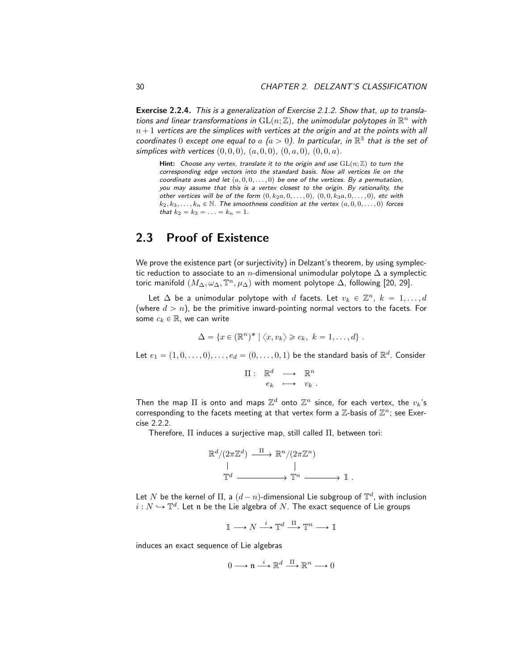Exercise 2.2.4. This is a generalization of Exercise 2.1.2. Show that, up to translations and linear transformations in  $\mathrm{GL}(n;\mathbb{Z})$ , the unimodular polytopes in  $\mathbb{R}^n$  with  $n + 1$  vertices are the simplices with vertices at the origin and at the points with all coordinates 0 except one equal to  $a$   $(a > 0)$ . In particular, in  $\mathbb{R}^3$  that is the set of simplices with vertices  $(0, 0, 0)$ ,  $(a, 0, 0)$ ,  $(0, a, 0)$ ,  $(0, 0, a)$ .

Hint: Choose any vertex, translate it to the origin and use  $GL(n;\mathbb{Z})$  to turn the corresponding edge vectors into the standard basis. Now all vertices lie on the coordinate axes and let  $(a, 0, 0, \ldots, 0)$  be one of the vertices. By a permutation, you may assume that this is a vertex closest to the origin. By rationality, the other vertices will be of the form  $(0, k_2a, 0, \ldots, 0)$ ,  $(0, 0, k_3a, 0, \ldots, 0)$ , etc with  $k_2, k_3, \ldots, k_n \in \mathbb{N}$ . The smoothness condition at the vertex  $(a, 0, 0, \ldots, 0)$  forces that  $k_2 = k_3 = \ldots = k_n = 1$ .

# 2.3 Proof of Existence

We prove the existence part (or surjectivity) in Delzant's theorem, by using symplectic reduction to associate to an n-dimensional unimodular polytope  $\Delta$  a symplectic toric manifold  $(M_\Delta, \omega_\Delta, \mathbb{T}^n, \mu_\Delta)$  with moment polytope  $\Delta$ , following [20, 29].

Let  $\Delta$  be a unimodular polytope with  $d$  facets. Let  $v_k \in \mathbb{Z}^n$ ,  $k = 1, ..., d$ (where  $d > n$ ), be the primitive inward-pointing normal vectors to the facets. For some  $c_k \in \mathbb{R}$ , we can write

$$
\Delta = \{x \in (\mathbb{R}^n)^* \mid \langle x, v_k \rangle \geqslant c_k, \ k = 1, \ldots, d\}.
$$

Let  $e_1 = (1, 0, \ldots, 0), \ldots, e_d = (0, \ldots, 0, 1)$  be the standard basis of  $\mathbb{R}^d$ . Consider

$$
\Pi: \mathbb{R}^d \longrightarrow \mathbb{R}^n
$$

$$
e_k \longrightarrow v_k.
$$

Then the map  $\Pi$  is onto and maps  $\mathbb{Z}^d$  onto  $\mathbb{Z}^n$  since, for each vertex, the  $v_k$ 's corresponding to the facets meeting at that vertex form a  $\mathbb{Z}$ -basis of  $\mathbb{Z}^n$ ; see Exercise 2.2.2.

Therefore, Π induces a surjective map, still called Π, between tori:

$$
\mathbb{R}^d/(2\pi\mathbb{Z}^d) \xrightarrow{\Pi} \mathbb{R}^n/(2\pi\mathbb{Z}^n)
$$
  
\n
$$
\parallel \qquad \qquad \parallel
$$
  
\n
$$
\mathbb{T}^d \longrightarrow \mathbb{T}^n \longrightarrow \mathbb{1}.
$$

Let  $N$  be the kernel of  $\Pi$ , a  $(d-n)$ -dimensional Lie subgroup of  $\mathbb{T}^d$ , with inclusion  $i: N \hookrightarrow \mathbb{T}^d$ . Let  $\mathfrak n$  be the Lie algebra of  $N$ . The exact sequence of Lie groups

$$
\mathbb{1}\longrightarrow N\stackrel{i}{\longrightarrow}\mathbb{T}^d\stackrel{\Pi}{\longrightarrow}\mathbb{T}^n\longrightarrow\mathbb{1}
$$

induces an exact sequence of Lie algebras

$$
0 \longrightarrow \mathfrak{n} \stackrel{i}{\longrightarrow} \mathbb{R}^d \stackrel{\Pi}{\longrightarrow} \mathbb{R}^n \longrightarrow 0
$$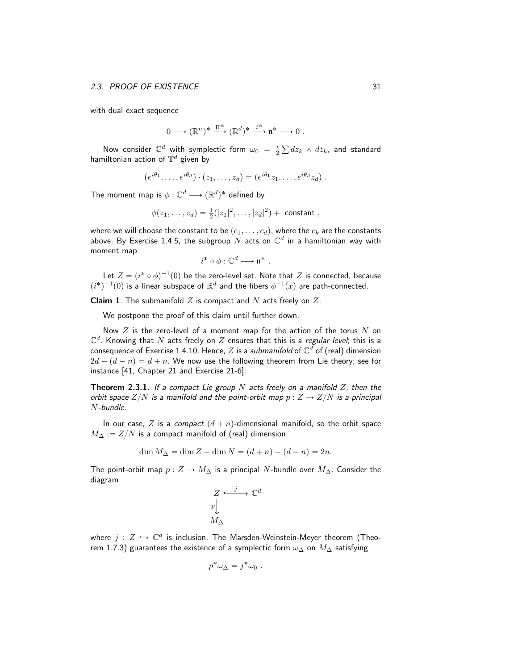with dual exact sequence

$$
0 \longrightarrow (\mathbb{R}^n)^* \stackrel{\Pi^*}{\longrightarrow} (\mathbb{R}^d)^* \stackrel{i^*}{\longrightarrow} \mathfrak{n}^* \longrightarrow 0.
$$

Now consider  $\mathbb{C}^d$  with symplectic form  $\omega_0 = \frac{i}{2}$  $dz_k$   $\wedge$   $d\bar{z}_k$ , and standard hamiltonian action of  $\mathbb{T}^d$  given by

$$
(e^{i\theta_1},\ldots,e^{i\theta_d})\cdot(z_1,\ldots,z_d)=(e^{i\theta_1}z_1,\ldots,e^{i\theta_d}z_d).
$$

The moment map is  $\phi: \mathbb{C}^d \longrightarrow (\mathbb{R}^d)^*$  defined by

$$
\phi(z_1,\ldots,z_d) = \frac{1}{2}(|z_1|^2,\ldots,|z_d|^2) +
$$
 constant,

where we will choose the constant to be  $(c_1, \ldots, c_d)$ , where the  $c_k$  are the constants above. By Exercise 1.4.5, the subgroup  $N$  acts on  $\mathbb{C}^d$  in a hamiltonian way with moment map

$$
i^* \circ \phi : \mathbb{C}^d \longrightarrow \mathfrak{n}^* .
$$

Let  $Z = (i^* \circ \phi)^{-1}(0)$  be the zero-level set. Note that  $Z$  is connected, because  $(i^*)^{-1}(0)$  is a linear subspace of  $\mathbb{R}^d$  and the fibers  $\phi^{-1}(x)$  are path-connected.

**Claim 1**. The submanifold  $Z$  is compact and  $N$  acts freely on  $Z$ .

We postpone the proof of this claim until further down.

Now  $Z$  is the zero-level of a moment map for the action of the torus  $N$  on  $\mathbb{C}^d$ . Knowing that  $N$  acts freely on  $Z$  ensures that this is a regular level; this is a consequence of Exercise 1.4.10. Hence,  $Z$  is a submanifold of  $\mathbb{C}^d$  of (real) dimension  $2d - (d - n) = d + n$ . We now use the following theorem from Lie theory; see for instance [41, Chapter 21 and Exercise 21-6]:

**Theorem 2.3.1.** If a compact Lie group N acts freely on a manifold Z, then the orbit space  $Z/N$  is a manifold and the point-orbit map  $p : Z \rightarrow Z/N$  is a principal N-bundle.

In our case, Z is a compact  $(d + n)$ -dimensional manifold, so the orbit space  $M_{\Delta} := Z/N$  is a compact manifold of (real) dimension

$$
\dim M_{\Delta} = \dim Z - \dim N = (d + n) - (d - n) = 2n.
$$

The point-orbit map  $p : Z \to M_\Delta$  is a principal N-bundle over  $M_\Delta$ . Consider the diagram

$$
\begin{array}{ccc}\nZ & \xrightarrow{j} & \mathbb{C}^d \\
p & & \\
M_{\Delta} & & \n\end{array}
$$

where  $j \, : \, Z \, \hookrightarrow \, \mathbb{C}^d$  is inclusion. The Marsden-Weinstein-Meyer theorem (Theorem 1.7.3) guarantees the existence of a symplectic form  $\omega_{\Delta}$  on  $M_{\Delta}$  satisfying

$$
p^*\omega_{\Delta} = j^*\omega_0.
$$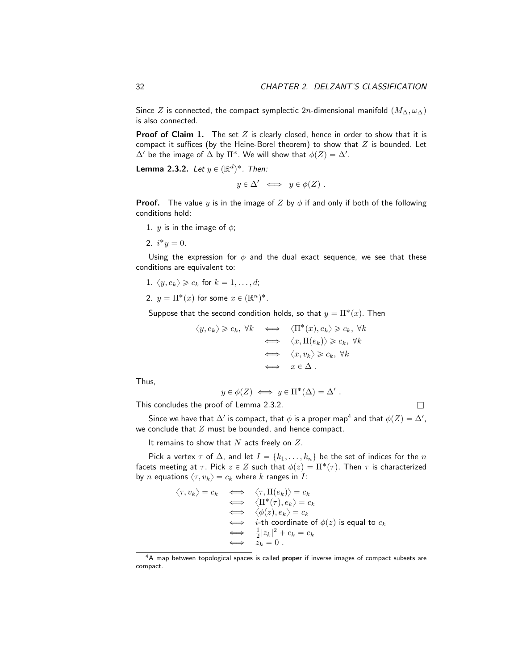Since Z is connected, the compact symplectic 2n-dimensional manifold  $(M_\Delta, \omega_\Delta)$ is also connected.

**Proof of Claim 1.** The set  $Z$  is clearly closed, hence in order to show that it is compact it suffices (by the Heine-Borel theorem) to show that  $Z$  is bounded. Let  $\Delta'$  be the image of  $\Delta$  by  $\Pi^*.$  We will show that  $\phi(Z)=\Delta'.$ 

**Lemma 2.3.2.** Let  $y \in (\mathbb{R}^d)^*$ . Then:

$$
y \in \Delta' \iff y \in \phi(Z)
$$
.

**Proof.** The value y is in the image of Z by  $\phi$  if and only if both of the following conditions hold:

1. *y* is in the image of  $\phi$ ;

2.  $i^*y = 0$ .

Using the expression for  $\phi$  and the dual exact sequence, we see that these conditions are equivalent to:

1.  $\langle y, e_k \rangle \geq c_k$  for  $k = 1, \ldots, d;$ 

2.  $y = \Pi^*(x)$  for some  $x \in (\mathbb{R}^n)^*$ .

Suppose that the second condition holds, so that  $y = \Pi^*(x)$ . Then

$$
\langle y, e_k \rangle \geq c_k, \forall k \iff \langle \Pi^*(x), e_k \rangle \geq c_k, \forall k
$$
  

$$
\iff \langle x, \Pi(e_k) \rangle \geq c_k, \forall k
$$
  

$$
\iff \langle x, v_k \rangle \geq c_k, \forall k
$$
  

$$
\iff x \in \Delta.
$$

Thus,

$$
y \in \phi(Z) \iff y \in \Pi^*(\Delta) = \Delta'.
$$

This concludes the proof of Lemma 2.3.2.  $\Box$ 

Since we have that  $\Delta'$  is compact, that  $\phi$  is a proper map<sup>4</sup> and that  $\phi(Z)=\Delta',$ we conclude that  $Z$  must be bounded, and hence compact.

It remains to show that  $N$  acts freely on  $Z$ .

Pick a vertex  $\tau$  of  $\Delta$ , and let  $I = \{k_1, \ldots, k_n\}$  be the set of indices for the n facets meeting at  $\tau$ . Pick  $z \in Z$  such that  $\phi(z) = \Pi^*(\tau)$ . Then  $\tau$  is characterized by *n* equations  $\langle \tau, v_k \rangle = c_k$  where *k* ranges in *I*:

$$
\langle \tau, v_k \rangle = c_k \iff \langle \tau, \Pi(e_k) \rangle = c_k
$$
  
\n
$$
\iff \langle \Pi^*(\tau), e_k \rangle = c_k
$$
  
\n
$$
\iff \langle \phi(z), e_k \rangle = c_k
$$
  
\n
$$
\iff i \text{-th coordinate of } \phi(z) \text{ is equal to } c_k
$$
  
\n
$$
\iff \frac{1}{2} |z_k|^2 + c_k = c_k
$$
  
\n
$$
\iff z_k = 0.
$$

<sup>&</sup>lt;sup>4</sup>A map between topological spaces is called proper if inverse images of compact subsets are compact.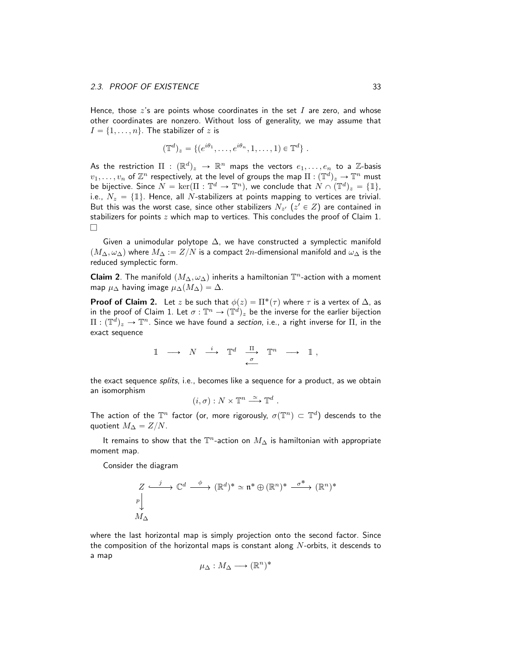Hence, those  $z$ 's are points whose coordinates in the set  $I$  are zero, and whose other coordinates are nonzero. Without loss of generality, we may assume that  $I = \{1, \ldots, n\}$ . The stabilizer of z is

$$
(\mathbb{T}^d)_z = \{ (e^{i\theta_1}, \dots, e^{i\theta_n}, 1, \dots, 1) \in \mathbb{T}^d \} .
$$

As the restriction  $\Pi$  :  $(\mathbb{R}^d)_z$   $\;\rightarrow$   $\mathbb{R}^n$  maps the vectors  $e_1,\ldots,e_n$  to a  $\mathbb{Z}$ -basis  $v_1,\ldots,v_n$  of  $\mathbb{Z}^n$  respectively, at the level of groups the map  $\Pi:(\mathbb{T}^d)_z\to \mathbb{T}^n$  must be bijective. Since  $N = \ker(\Pi : \mathbb{T}^d \to \mathbb{T}^n)$ , we conclude that  $N \cap (\mathbb{T}^d)_z = \{\mathbb{1}\},$ i.e.,  $N_z = \{1\}$ . Hence, all *N*-stabilizers at points mapping to vertices are trivial. But this was the worst case, since other stabilizers  $N_{z'}$  ( $z' \in Z$ ) are contained in stabilizers for points  $z$  which map to vertices. This concludes the proof of Claim 1.  $\Box$ 

Given a unimodular polytope  $\Delta$ , we have constructed a symplectic manifold  $p(M_{\Delta}, \omega_{\Delta})$  where  $M_{\Delta} := Z/N$  is a compact  $2n$ -dimensional manifold and  $\omega_{\Delta}$  is the reduced symplectic form.

**Claim 2**. The manifold  $(M_\Delta, \omega_\Delta)$  inherits a hamiltonian  $\mathbb{T}^n$ -action with a moment map  $\mu_{\Delta}$  having image  $\mu_{\Delta}(M_{\Delta}) = \Delta$ .

**Proof of Claim 2.** Let z be such that  $\phi(z) = \Pi^*(\tau)$  where  $\tau$  is a vertex of  $\Delta$ , as in the proof of Claim 1. Let  $\sigma: \mathbb{T}^n \to (\mathbb{T}^d)_z$  be the inverse for the earlier bijection  $\Pi:(\mathbb{T}^d)_z\to \mathbb{T}^n.$  Since we have found a section, i.e., a right inverse for  $\Pi,$  in the exact sequence

$$
\mathbb{1} \longrightarrow N \stackrel{i}{\longrightarrow} \mathbb{T}^d \stackrel{\Pi}{\longrightarrow} \mathbb{T}^n \longrightarrow \mathbb{1},
$$

the exact sequence splits, i.e., becomes like a sequence for a product, as we obtain an isomorphism

$$
(i, \sigma) : N \times \mathbb{T}^n \stackrel{\simeq}{\longrightarrow} \mathbb{T}^d
$$
.

The action of the  $\mathbb{T}^n$  factor (or, more rigorously,  $\sigma(\mathbb{T}^n) \subset \mathbb{T}^d$ ) descends to the quotient  $M_{\Delta} = Z/N$ .

It remains to show that the  $\mathbb{T}^n$ -action on  $M_\Delta$  is hamiltonian with appropriate moment map.

Consider the diagram

$$
\begin{array}{ccc}\nZ & \xrightarrow{j} & \mathbb{C}^d & \xrightarrow{\phi} & (\mathbb{R}^d)^* \simeq \mathfrak{n}^* \oplus (\mathbb{R}^n)^* & \xrightarrow{\sigma^*} & (\mathbb{R}^n)^* \\
M_{\Delta} & & & & \n\end{array}
$$

where the last horizontal map is simply projection onto the second factor. Since the composition of the horizontal maps is constant along  $N$ -orbits, it descends to a map

$$
\mu_{\Delta}: M_{\Delta} \longrightarrow (\mathbb{R}^n)^*
$$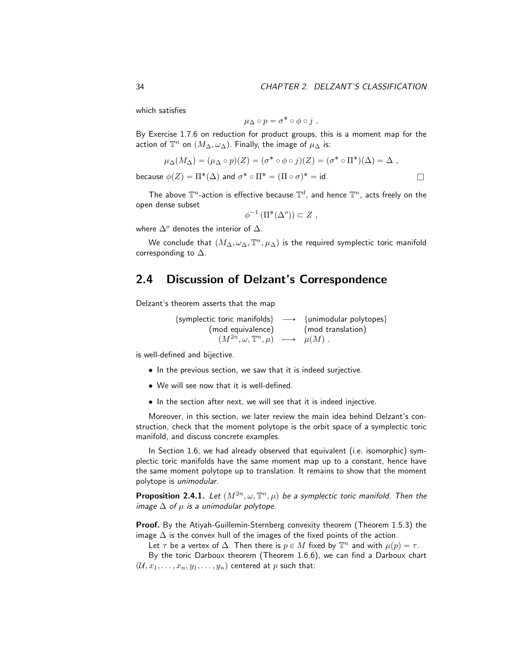which satisfies

$$
\mu_{\Delta}\circ p=\sigma^*\circ\phi\circ j\ .
$$

By Exercise 1.7.6 on reduction for product groups, this is a moment map for the action of  $\mathbb{T}^n$  on  $(M_\Delta, \omega_\Delta)$ . Finally, the image of  $\mu_\Delta$  is:

$$
\mu_{\Delta}(M_{\Delta}) = (\mu_{\Delta} \circ p)(Z) = (\sigma^* \circ \phi \circ j)(Z) = (\sigma^* \circ \Pi^*)(\Delta) = \Delta ,
$$
  
because  $\phi(Z) = \Pi^*(\Delta)$  and  $\sigma^* \circ \Pi^* = (\Pi \circ \sigma)^* = \text{id}.$ 

The above  $\mathbb{T}^n$ -action is effective because  $\mathbb{T}^d$ , and hence  $\mathbb{T}^n$ , acts freely on the open dense subset

$$
\phi^{-1}(\Pi^*(\Delta^o)) \subset Z ,
$$

where  $\Delta^o$  denotes the interior of  $\Delta$ .

We conclude that  $(M_\Delta, \omega_\Delta, \mathbb{T}^n, \mu_\Delta)$  is the required symplectic toric manifold corresponding to  $\Delta$ .

# 2.4 Discussion of Delzant's Correspondence

Delzant's theorem asserts that the map

{symplectic toric manifolds}  $\longrightarrow$  {unimodular polytopes} (mod equivalence) (mod translation)  $(M^{2n}, \omega, \mathbb{T}^n, \mu) \longrightarrow \mu(M)$ .

is well-defined and bijective.

- In the previous section, we saw that it is indeed surjective.
- We will see now that it is well-defined.
- In the section after next, we will see that it is indeed injective.

Moreover, in this section, we later review the main idea behind Delzant's construction, check that the moment polytope is the orbit space of a symplectic toric manifold, and discuss concrete examples.

In Section 1.6, we had already observed that equivalent (i.e. isomorphic) symplectic toric manifolds have the same moment map up to a constant, hence have the same moment polytope up to translation. It remains to show that the moment polytope is unimodular.

**Proposition 2.4.1.** Let  $(M^{2n}, \omega, \mathbb{T}^n, \mu)$  be a symplectic toric manifold. Then the image  $\Delta$  of  $\mu$  is a unimodular polytope.

Proof. By the Atiyah-Guillemin-Sternberg convexity theorem (Theorem 1.5.3) the image  $\Delta$  is the convex hull of the images of the fixed points of the action.

Let  $\tau$  be a vertex of  $\Delta$ . Then there is  $p \in M$  fixed by  $\mathbb{T}^n$  and with  $\mu(p) = \tau$ .

By the toric Darboux theorem (Theorem 1.6.6), we can find a Darboux chart  $(\mathcal{U}, x_1, \ldots, x_n, y_1, \ldots, y_n)$  centered at p such that: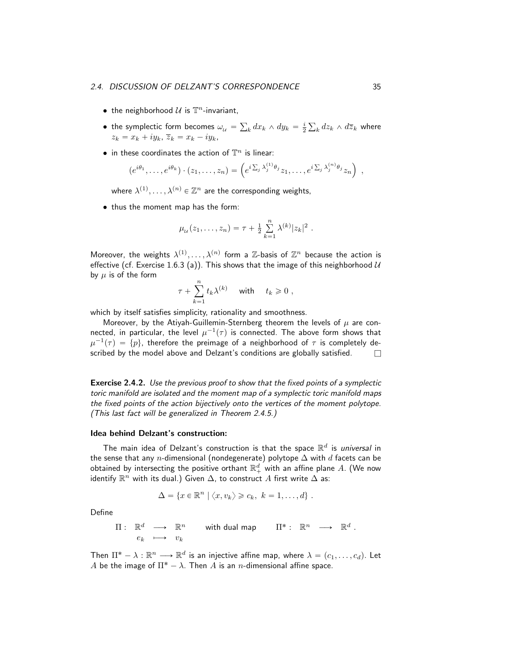- the neighborhood  $\mathcal U$  is  $\mathbb T^n$ -invariant,
- $\bullet\,$  the symplectic form becomes  $\omega_{_{\cal U}}=0$  $\int_k dx_k \wedge dy_k = \frac{i}{2}$  $_k dz_k \wedge d\overline{z}_k$  where  $z_k = x_k + iy_k, \overline{z}_k = x_k - iy_k,$
- in these coordinates the action of  $\mathbb{T}^n$  is linear:

$$
(e^{i\theta_1}, \ldots, e^{i\theta_k}) \cdot (z_1, \ldots, z_n) = \left(e^{i\sum_j \lambda_j^{(1)}\theta_j} z_1, \ldots, e^{i\sum_j \lambda_j^{(n)}\theta_j} z_n\right) ,
$$

where  $\lambda^{(1)},\ldots,\lambda^{(n)}\in\mathbb{Z}^n$  are the corresponding weights,

• thus the moment map has the form:

$$
\mu_{\mathcal{U}}(z_1,\ldots,z_n) = \tau + \frac{1}{2} \sum_{k=1}^n \lambda^{(k)} |z_k|^2
$$

.

Moreover, the weights  $\lambda^{(1)}, \ldots, \lambda^{(n)}$  form a  $\mathbb{Z}$ -basis of  $\mathbb{Z}^n$  because the action is effective (cf. Exercise 1.6.3 (a)). This shows that the image of this neighborhood  $U$ by  $\mu$  is of the form

$$
\tau + \sum_{k=1}^n t_k \lambda^{(k)} \quad \text{with} \quad t_k \geq 0 ,
$$

which by itself satisfies simplicity, rationality and smoothness.

Moreover, by the Atiyah-Guillemin-Sternberg theorem the levels of  $\mu$  are connected, in particular, the level  $\mu^{-1}(\tau)$  is connected. The above form shows that  $\mu^{-1}(\tau) \,=\, \{p\},$  therefore the preimage of a neighborhood of  $\tau$  is completely described by the model above and Delzant's conditions are globally satisfied.  $\Box$ 

Exercise 2.4.2. Use the previous proof to show that the fixed points of a symplectic toric manifold are isolated and the moment map of a symplectic toric manifold maps the fixed points of the action bijectively onto the vertices of the moment polytope. (This last fact will be generalized in Theorem 2.4.5.)

#### Idea behind Delzant's construction:

The main idea of Delzant's construction is that the space  $\mathbb{R}^d$  is *universal* in the sense that any n-dimensional (nondegenerate) polytope  $\Delta$  with d facets can be obtained by intersecting the positive orthant  $\mathbb{R}^d_+$  with an affine plane  $A$ . (We now identify  $\mathbb{R}^n$  with its dual.) Given  $\Delta$ , to construct  $A$  first write  $\Delta$  as:

$$
\Delta = \{x \in \mathbb{R}^n \mid \langle x, v_k \rangle \geqslant c_k, \ k = 1, \ldots, d\}.
$$

Define

$$
\Pi: \mathbb{R}^d \longrightarrow \mathbb{R}^n \quad \text{with dual map} \quad \Pi^*: \mathbb{R}^n \longrightarrow \mathbb{R}^d.
$$
  
 $e_k \longrightarrow v_k$ 

Then  $\Pi^* - \lambda : \mathbb{R}^n \longrightarrow \mathbb{R}^d$  is an injective affine map, where  $\lambda = (c_1, \ldots, c_d)$ . Let A be the image of  $\Pi^* - \lambda$ . Then A is an *n*-dimensional affine space.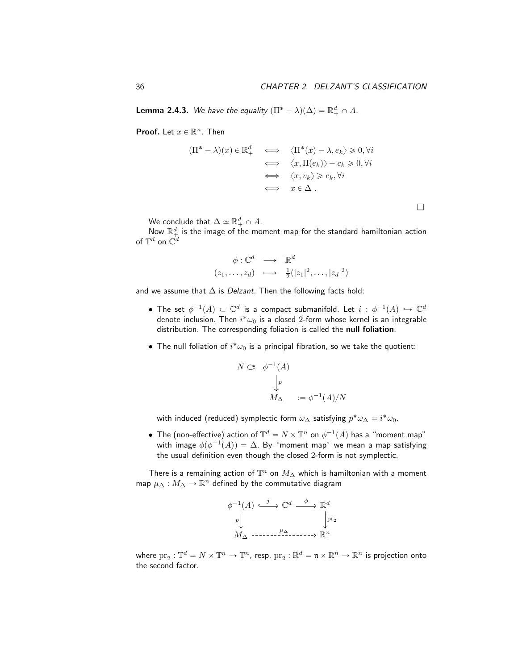$\Box$ 

**Lemma 2.4.3.** We have the equality  $(\Pi^* - \lambda)(\Delta) = \mathbb{R}^d_+ \cap A$ .

**Proof.** Let  $x \in \mathbb{R}^n$ . Then

$$
(\Pi^* - \lambda)(x) \in \mathbb{R}^d_+ \iff \langle \Pi^*(x) - \lambda, e_k \rangle \geq 0, \forall i
$$
  

$$
\iff \langle x, \Pi(e_k) \rangle - c_k \geq 0, \forall i
$$
  

$$
\iff \langle x, v_k \rangle \geq c_k, \forall i
$$
  

$$
\iff x \in \Delta.
$$

We conclude that  $\Delta \simeq \mathbb{R}^d_+ \cap A$ .

Now  $\mathbb{R}^d_+$  is the image of the moment map for the standard hamiltonian action of  $\mathbb{T}^d$  on  $\mathbb{C}^d$ 

$$
\begin{array}{rcl}\n\phi: \mathbb{C}^d & \longrightarrow & \mathbb{R}^d \\
(z_1, \ldots, z_d) & \longmapsto & \frac{1}{2}(|z_1|^2, \ldots, |z_d|^2)\n\end{array}
$$

and we assume that  $\Delta$  is *Delzant*. Then the following facts hold:

- $\bullet$  The set  $\phi^{-1}(A)\, \subset\, {\mathbb C}^d$  is a compact submanifold. Let  $i\,:\,\phi^{-1}(A)\, \hookrightarrow\, {\mathbb C}^d$ denote inclusion. Then  $i^*\omega_0$  is a closed 2-form whose kernel is an integrable distribution. The corresponding foliation is called the null foliation.
- The null foliation of  $i^*\omega_0$  is a principal fibration, so we take the quotient:

$$
N \subset \phi^{-1}(A)
$$

$$
\downarrow p
$$

$$
M_{\Delta} := \phi^{-1}(A)/N
$$

with induced (reduced) symplectic form  $\omega_{\Delta}$  satisfying  $p^*\omega_{\Delta} = i^*\omega_0$ .

• The (non-effective) action of  $\mathbb{T}^d = N \times \mathbb{T}^n$  on  $\phi^{-1}(A)$  has a "moment map" with image  $\phi(\phi^{-1}(A)) = \Delta$ . By "moment map" we mean a map satisfying the usual definition even though the closed 2-form is not symplectic.

There is a remaining action of  $\mathbb{T}^n$  on  $M_\Delta$  which is hamiltonian with a moment map  $\mu_{\Delta}:M_{\Delta}\to \mathbb{R}^n$  defined by the commutative diagram

$$
\phi^{-1}(A) \xrightarrow{j} \mathbb{C}^d \xrightarrow{\phi} \mathbb{R}^d
$$
  
\n
$$
p \downarrow \qquad \qquad \downarrow \text{pr}_2
$$
  
\n
$$
M_{\Delta} \xrightarrow{P_{\Delta}} \dots \xrightarrow{P_{\Delta}} \mathbb{R}^n
$$

where  $\mathrm{pr}_2:\mathbb{T}^d=N\times\mathbb{T}^n\to\mathbb{T}^n$ , resp.  $\mathrm{pr}_2:\mathbb{R}^d=\mathfrak{n}\times\mathbb{R}^n\to\mathbb{R}^n$  is projection onto the second factor.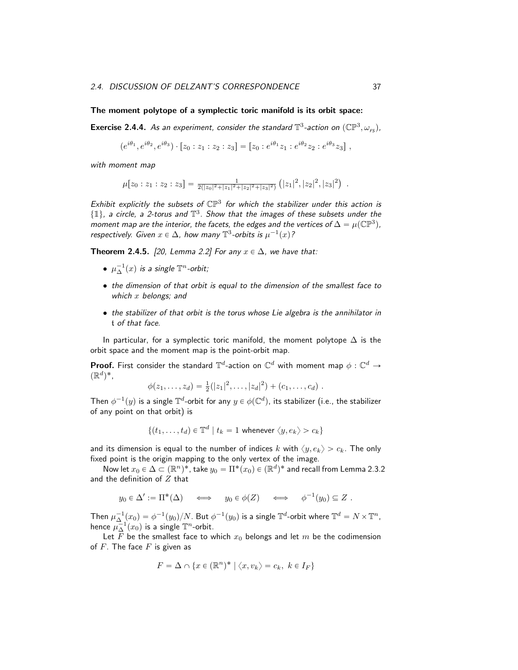#### The moment polytope of a symplectic toric manifold is its orbit space:

**Exercise 2.4.4.** As an experiment, consider the standard  $\mathbb{T}^3$ -action on  $(\mathbb{CP}^3, \omega_{FS})$ ,

$$
(e^{i\theta_1}, e^{i\theta_2}, e^{i\theta_3}) \cdot [z_0 : z_1 : z_2 : z_3] = [z_0 : e^{i\theta_1} z_1 : e^{i\theta_2} z_2 : e^{i\theta_3} z_3],
$$

with moment map

$$
\mu[z_0:z_1:z_2:z_3]=\frac{1}{2(|z_0|^2+|z_1|^2+|z_2|^2+|z_3|^2)}(|z_1|^2,|z_2|^2,|z_3|^2).
$$

Exhibit explicitly the subsets of  $\mathbb{CP}^3$  for which the stabilizer under this action is  $\{\mathbb{1}\}\$ , a circle, a 2-torus and  $\mathbb{T}^3$ . Show that the images of these subsets under the moment map are the interior, the facets, the edges and the vertices of  $\Delta = \mu(\mathbb{CP}^3)$ , respectively. Given  $x \in \Delta$ , how many  $\mathbb{T}^3$ -orbits is  $\mu^{-1}(x)$ ?

Theorem 2.4.5. [20, Lemma 2.2] For any  $x \in \Delta$ , we have that:

- $\mu_{\Delta}^{-1}(x)$  is a single  $\mathbb{T}^n$ -orbit;
- the dimension of that orbit is equal to the dimension of the smallest face to which  $x$  belongs; and
- the stabilizer of that orbit is the torus whose Lie algebra is the annihilator in t of that face.

In particular, for a symplectic toric manifold, the moment polytope  $\Delta$  is the orbit space and the moment map is the point-orbit map.

**Proof.** First consider the standard  $\mathbb{T}^d$ -action on  $\mathbb{C}^d$  with moment map  $\phi : \mathbb{C}^d \to$  $(\mathbb{R}^d)^*$ ,

$$
\phi(z_1,\ldots,z_d)=\tfrac{1}{2}(|z_1|^2,\ldots,|z_d|^2)+(c_1,\ldots,c_d).
$$

Then  $\phi^{-1}(y)$  is a single  $\mathbb{T}^d$ -orbit for any  $y\in \phi(\mathbb{C}^d)$ , its stabilizer (i.e., the stabilizer of any point on that orbit) is

$$
\{(t_1,\ldots,t_d)\in\mathbb{T}^d\mid t_k=1\text{ whenever }\langle y,e_k\rangle>c_k\}
$$

and its dimension is equal to the number of indices k with  $\langle y, e_k \rangle > c_k$ . The only fixed point is the origin mapping to the only vertex of the image.

Now let  $x_0 \in \Delta \subset (\mathbb{R}^n)^*$ , take  $y_0 = \Pi^*(x_0) \in (\mathbb{R}^d)^*$  and recall from Lemma 2.3.2 and the definition of  $Z$  that

$$
y_0 \in \Delta' := \Pi^*(\Delta) \iff y_0 \in \phi(Z) \iff \phi^{-1}(y_0) \subseteq Z.
$$

Then  $\mu_{\Delta}^{-1}(x_0)=\phi^{-1}(y_0)/N.$  But  $\phi^{-1}(y_0)$  is a single  $\mathbb{T}^d$ -orbit where  $\mathbb{T}^d=N\times\mathbb{T}^n.$ hence  $\mu_{\Delta}^{-1}(x_0)$  is a single  $\mathbb{T}^n$ -orbit.

Let  $\overline{F}$  be the smallest face to which  $x_0$  belongs and let m be the codimension of  $F$ . The face  $F$  is given as

$$
F = \Delta \cap \{x \in (\mathbb{R}^n)^* \mid \langle x, v_k \rangle = c_k, \ k \in I_F\}
$$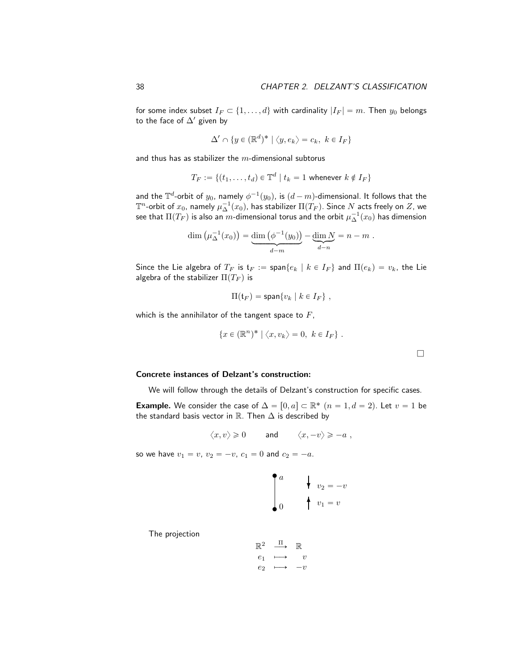for some index subset  $I_F \subset \{1, \ldots, d\}$  with cardinality  $|I_F| = m$ . Then  $y_0$  belongs to the face of  $\Delta'$  given by

$$
\Delta' \cap \{y \in (\mathbb{R}^d)^* \mid \langle y, e_k \rangle = c_k, \ k \in I_F\}
$$

and thus has as stabilizer the  $m$ -dimensional subtorus

$$
T_F := \{(t_1, \ldots, t_d) \in \mathbb{T}^d \mid t_k = 1 \text{ whenever } k \notin I_F\}
$$

and the  $\mathbb{T}^d$ -orbit of  $y_0$ , namely  $\phi^{-1}(y_0)$ , is  $(d-m)$ -dimensional. It follows that the  $\mathbb T^n$ -orbit of  $x_0$ , namely  $\mu_\Delta^{-1}(x_0)$ , has stabilizer  $\Pi(\hat{T}_F).$  Since  $N$  acts freely on  $Z$ , we see that  $\Pi(T_F)$  is also an  $\overline{m}$ -dimensional torus and the orbit  $\mu_{\Delta}^{-1}(x_0)$  has dimension

$$
\dim \left(\mu_{\Delta}^{-1}(x_0)\right) = \underbrace{\dim \left(\phi^{-1}(y_0)\right)}_{d-m} - \underbrace{\dim N}_{d-n} = n-m.
$$

Since the Lie algebra of  $T_F$  is  $\mathfrak{t}_F := \text{span}\{e_k \mid k \in I_F\}$  and  $\Pi(e_k) = v_k$ , the Lie algebra of the stabilizer  $\Pi(T_F)$  is

$$
\Pi(\mathfrak{t}_F) = \text{span}\{v_k \mid k \in I_F\},\,
$$

which is the annihilator of the tangent space to  $F$ ,

$$
\{x \in (\mathbb{R}^n)^* \mid \langle x, v_k \rangle = 0, \ k \in I_F \} .
$$

 $\Box$ 

#### Concrete instances of Delzant's construction:

We will follow through the details of Delzant's construction for specific cases.

**Example.** We consider the case of  $\Delta = [0, a] \subset \mathbb{R}^*$   $(n = 1, d = 2)$ . Let  $v = 1$  be the standard basis vector in  $\mathbb R$ . Then  $\Delta$  is described by

$$
\langle x,v\rangle\geqslant 0\qquad\text{ and }\qquad \langle x,-v\rangle\geqslant -a\;,
$$

so we have  $v_1 = v$ ,  $v_2 = -v$ ,  $c_1 = 0$  and  $c_2 = -a$ .

$$
\begin{cases}\na & \downarrow \quad v_2 = -v \\
0 & \downarrow \quad v_1 = v\n\end{cases}
$$

The projection

$$
\begin{array}{ccc}\n\mathbb{R}^2 & \xrightarrow{\Pi} & \mathbb{R} \\
e_1 & \longmapsto & v \\
e_2 & \longmapsto & -v\n\end{array}
$$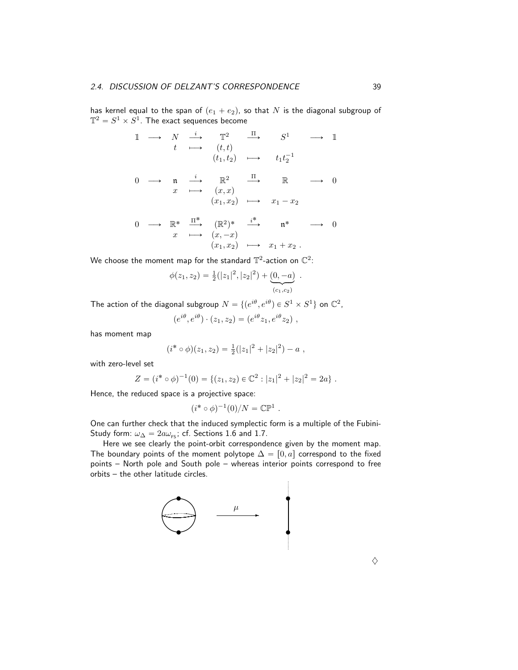has kernel equal to the span of  $(e_1 + e_2)$ , so that N is the diagonal subgroup of  $\mathbb{T}^2 = S^1 \times S^1$ . The exact sequences become

1 ÝÑ N <sup>i</sup> ÝÑ T <sup>2</sup> <sup>Π</sup>ÝÑ S <sup>1</sup> ÝÑ 1 t ÞÝÑ pt, tq pt1, t2q ÞÝÑ t1t ´1 2 0 ÝÑ n <sup>i</sup> ÝÑ R <sup>2</sup> <sup>Π</sup>ÝÑ R ÝÑ 0 x ÞÝÑ px, xq px1, x2q ÞÝÑ x<sup>1</sup> ´ x<sup>2</sup> 0 ÝÑ R ˚ Π ˚ ÝÑ pR 2 q ˚ i ˚ ÝÑ n ˚ ÝÑ 0 x ÞÝÑ px, ´xq px1, x2q ÞÝÑ x<sup>1</sup> ` x<sup>2</sup> .

We choose the moment map for the standard  $\mathbb{T}^2$ -action on  $\mathbb{C}^2$ :

$$
\phi(z_1, z_2) = \frac{1}{2}(|z_1|^2, |z_2|^2) + \underbrace{(0, -a)}_{(c_1, c_2)}.
$$

The action of the diagonal subgroup  $N = \{(e^{i\theta}, e^{i\theta}) \in S^1 \times S^1\}$  on  $\mathbb{C}^2$ ,

$$
(e^{i\theta}, e^{i\theta}) \cdot (z_1, z_2) = (e^{i\theta} z_1, e^{i\theta} z_2) ,
$$

has moment map

$$
(i^* \circ \phi)(z_1, z_2) = \frac{1}{2}(|z_1|^2 + |z_2|^2) - a,
$$

with zero-level set

$$
Z = (i^* \circ \phi)^{-1}(0) = \{(z_1, z_2) \in \mathbb{C}^2 : |z_1|^2 + |z_2|^2 = 2a\}.
$$

Hence, the reduced space is a projective space:

$$
(i^* \circ \phi)^{-1}(0)/N = \mathbb{CP}^1.
$$

One can further check that the induced symplectic form is a multiple of the Fubini-Study form:  $\omega_{\Delta} = 2a\omega_{\text{FS}}$ ; cf. Sections 1.6 and 1.7.

Here we see clearly the point-orbit correspondence given by the moment map. The boundary points of the moment polytope  $\Delta = [0, a]$  correspond to the fixed points – North pole and South pole – whereas interior points correspond to free orbits – the other latitude circles.

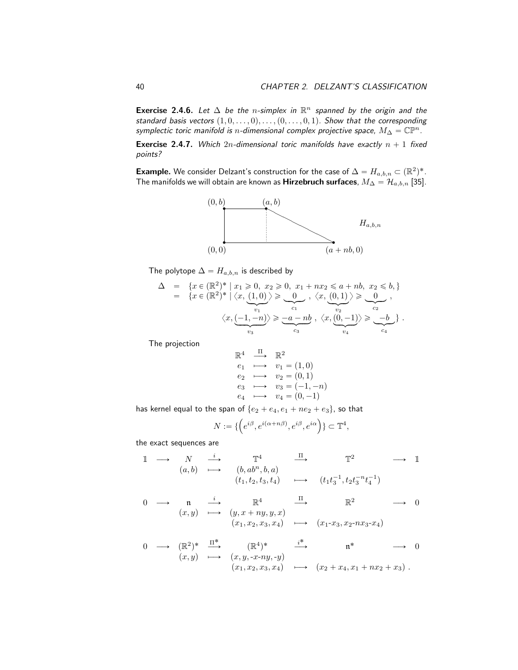Exercise 2.4.6. Let  $\Delta$  be the n-simplex in  $\mathbb{R}^n$  spanned by the origin and the standard basis vectors  $(1, 0, \ldots, 0), \ldots, (0, \ldots, 0, 1)$ . Show that the corresponding symplectic toric manifold is n-dimensional complex projective space,  $M_{\Delta} = \mathbb{CP}^n$ .

**Exercise 2.4.7.** Which  $2n$ -dimensional toric manifolds have exactly  $n + 1$  fixed points?

**Example.** We consider Delzant's construction for the case of  $\Delta = H_{a,b,n} \subset (\mathbb{R}^2)^*$ . The manifolds we will obtain are known as **Hirzebruch surfaces**,  $M_{\Delta} = \mathcal{H}_{a,b,n}$  [35].



The polytope  $\Delta = H_{a,b,n}$  is described by

$$
\Delta = \left\{ x \in (\mathbb{R}^2)^* \mid x_1 \geq 0, x_2 \geq 0, x_1 + nx_2 \leq a + nb, x_2 \leq b, \right\}
$$
  
\n
$$
= \left\{ x \in (\mathbb{R}^2)^* \mid \langle x, \underbrace{(1,0)}_{v_1} \rangle \geq \underbrace{0}_{c_1}, \langle x, \underbrace{(0,1)}_{v_2} \rangle \geq \underbrace{0}_{c_2}, \right\}
$$
  
\n
$$
\left\langle x, \underbrace{(-1,-n)}_{v_3} \right\rangle \geq \underbrace{-a-nb}_{c_3}, \left\langle x, \underbrace{(0,-1)}_{v_4} \right\rangle \geq \underbrace{-b}_{c_4} \right\}.
$$

The projection

$$
\begin{array}{ccc}\n\mathbb{R}^4 & \xrightarrow{\Pi} & \mathbb{R}^2 \\
e_1 & \longmapsto & v_1 = (1,0) \\
e_2 & \longmapsto & v_2 = (0,1) \\
e_3 & \longmapsto & v_3 = (-1,-n) \\
e_4 & \longmapsto & v_4 = (0,-1)\n\end{array}
$$

has kernel equal to the span of  $\{e_2 + e_4, e_1 + ne_2 + e_3\}$ , so that<br> $N := \{ \left( e^{i \beta}, e^{i(\alpha+n\beta)}, e^{i\beta}, e^{i\alpha} \right) \} \subset \mathbb{T}^4,$ 

$$
N:=\{\left(e^{i\beta},e^{i(\alpha+n\beta)},e^{i\beta},e^{i\alpha}\right)\}\subset \mathbb{T}^4,
$$

the exact sequences are

1 ÝÑ N <sup>i</sup> ÝÑ T <sup>4</sup> <sup>Π</sup>ÝÑ T <sup>2</sup> ÝÑ 1 pa, bq ÞÝÑ pb, ab<sup>n</sup>, b, aq pt1, t2, t3, t4q ÞÝÑ pt1t ´1 3 , t2t ´n 3 t ´1 4 q

$$
\begin{array}{ccccccc}\n0 & \longrightarrow & \mathfrak{n} & \xrightarrow{i} & \mathbb{R}^4 & \xrightarrow{\Pi} & \mathbb{R}^2 & \longrightarrow & 0 \\
(x, y) & \longmapsto & (y, x + ny, y, x) & & & & \\
(x_1, x_2, x_3, x_4) & \longmapsto & (x_1 - x_3, x_2 - nx_3 - x_4)\n\end{array}
$$

0 ÝÑ pR 2 q ˚ Π ˚ ÝÑ pR 4 q ˚ i ˚ ÝÑ n ˚ ÝÑ 0 px, yq ÞÝÑ px, y, -x-ny, -yq px1, x2, x3, x4q ÞÝÑ px<sup>2</sup> ` x4, x<sup>1</sup> ` nx<sup>2</sup> ` x3q .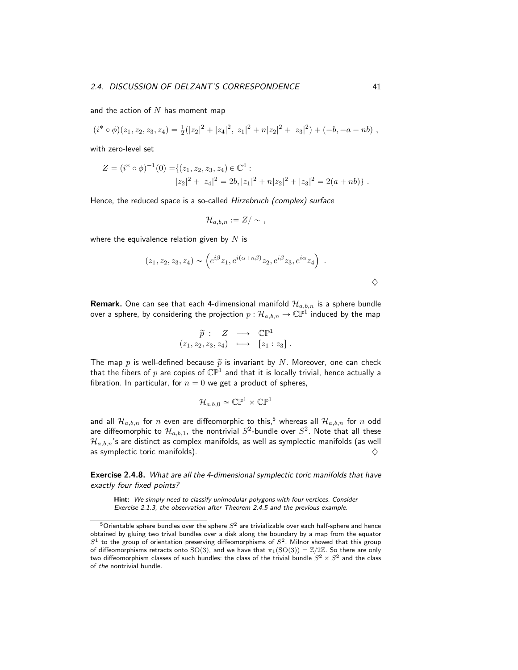and the action of  $N$  has moment map

$$
(i^* \circ \phi)(z_1, z_2, z_3, z_4) = \frac{1}{2}(|z_2|^2 + |z_4|^2, |z_1|^2 + n|z_2|^2 + |z_3|^2) + (-b, -a - nb),
$$

with zero-level set

$$
Z = (i^* \circ \phi)^{-1}(0) = \{(z_1, z_2, z_3, z_4) \in \mathbb{C}^4 : |z_2|^2 + |z_4|^2 = 2b, |z_1|^2 + n|z_2|^2 + |z_3|^2 = 2(a + nb)\}.
$$

Hence, the reduced space is a so-called Hirzebruch (complex) surface

$$
\mathcal{H}_{a,b,n}:=Z/\sim\ ,
$$

where the equivalence relation given by  $N$  is

$$
(z_1, z_2, z_3, z_4) \sim \left(e^{i\beta}z_1, e^{i(\alpha + n\beta)}z_2, e^{i\beta}z_3, e^{i\alpha}z_4\right) .
$$

**Remark.** One can see that each 4-dimensional manifold  $\mathcal{H}_{a,b,n}$  is a sphere bundle over a sphere, by considering the projection  $p:\mathcal{H}_{a,b,n}\to \mathbb{CP}^1$  induced by the map

$$
\widetilde{p}: Z \longrightarrow \mathbb{CP}^1
$$
  

$$
(z_1, z_2, z_3, z_4) \longrightarrow [z_1 : z_3].
$$

The map  $p$  is well-defined because  $\widetilde{p}$  is invariant by  $N$ . Moreover, one can check that the fibers of  $p$  are copies of  $\mathbb{CP}^1$  and that it is locally trivial, hence actually a fibration. In particular, for  $n = 0$  we get a product of spheres,

$$
\mathcal{H}_{a,b,0}\simeq\mathbb{CP}^1\times\mathbb{CP}^1
$$

and all  $\mathcal{H}_{a,b,n}$  for n even are diffeomorphic to this,<sup>5</sup> whereas all  $\mathcal{H}_{a,b,n}$  for n odd are diffeomorphic to  $\mathcal{H}_{a,b,1}$ , the nontrivial  $S^2$ -bundle over  $S^2.$  Note that all these  $\mathcal{H}_{a,b,n}$ 's are distinct as complex manifolds, as well as symplectic manifolds (as well as symplectic toric manifolds).  $\Diamond$ 

Exercise 2.4.8. What are all the 4-dimensional symplectic toric manifolds that have exactly four fixed points?

Hint: We simply need to classify unimodular polygons with four vertices. Consider Exercise 2.1.3, the observation after Theorem 2.4.5 and the previous example.

 $^5$ Orientable sphere bundles over the sphere  $S^2$  are trivializable over each half-sphere and hence obtained by gluing two trival bundles over a disk along the boundary by a map from the equator  $S<sup>1</sup>$  to the group of orientation preserving diffeomorphisms of  $S<sup>2</sup>$ . Milnor showed that this group of diffeomorphisms retracts onto SO(3), and we have that  $\pi_1(SO(3)) = \mathbb{Z}/2\mathbb{Z}$ . So there are only two diffeomorphism classes of such bundles: the class of the trivial bundle  $S^2 \times S^2$  and the class of the nontrivial bundle.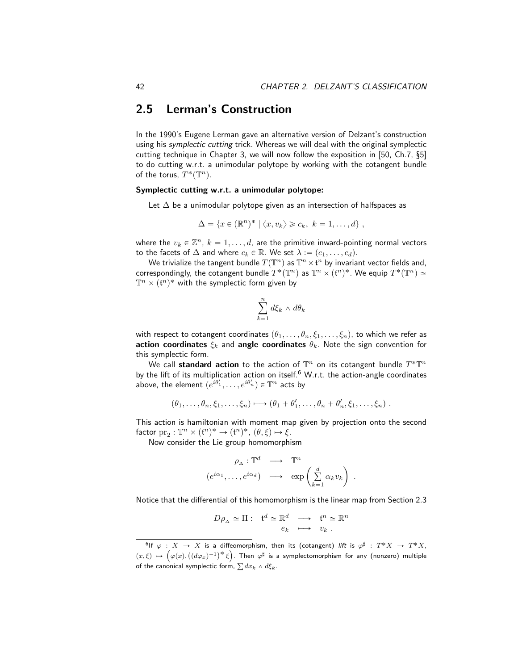# 2.5 Lerman's Construction

In the 1990's Eugene Lerman gave an alternative version of Delzant's construction using his symplectic cutting trick. Whereas we will deal with the original symplectic cutting technique in Chapter 3, we will now follow the exposition in [50, Ch.7, §5] to do cutting w.r.t. a unimodular polytope by working with the cotangent bundle of the torus,  $T^*(\mathbb{T}^n)$ .

### Symplectic cutting w.r.t. a unimodular polytope:

Let  $\Delta$  be a unimodular polytope given as an intersection of halfspaces as

$$
\Delta = \{x \in (\mathbb{R}^n)^* \mid \langle x, v_k \rangle \geq c_k, \ k = 1, \ldots, d\},\
$$

where the  $v_k \in \mathbb{Z}^n$ ,  $k = 1, \ldots, d$ , are the primitive inward-pointing normal vectors to the facets of  $\Delta$  and where  $c_k \in \mathbb{R}$ . We set  $\lambda := (c_1, \ldots, c_d)$ .

We trivialize the tangent bundle  $T(\mathbb{T}^n)$  as  $\mathbb{T}^n\times \mathfrak{t}^n$  by invariant vector fields and, correspondingly, the cotangent bundle  $T^*({\mathbb T}^n)$  as  ${\mathbb T}^n\times (\mathfrak{t}^n)^*.$  We equip  $T^*({\mathbb T}^n)\simeq$  $\mathbb{T}^n \times (\mathfrak{t}^n)^*$  with the symplectic form given by

$$
\sum_{k=1}^{n} d\xi_k \wedge d\theta_k
$$

with respect to cotangent coordinates  $(\theta_1, \ldots, \theta_n, \xi_1, \ldots, \xi_n)$ , to which we refer as action coordinates  $\xi_k$  and angle coordinates  $\theta_k$ . Note the sign convention for this symplectic form.

We call standard action to the action of  $\mathbb{T}^n$  on its cotangent bundle  $T^*\mathbb{T}^n$ by the lift of its multiplication action on itself.<sup>6</sup> W.r.t. the action-angle coordinates above, the element  $(e^{i\theta_1'}, \ldots, e^{i\theta_n'}) \in \mathbb{T}^n$  acts by

$$
(\theta_1,\ldots,\theta_n,\xi_1,\ldots,\xi_n)\longmapsto (\theta_1+\theta'_1,\ldots,\theta_n+\theta'_n,\xi_1,\ldots,\xi_n).
$$

This action is hamiltonian with moment map given by projection onto the second factor  $\mathrm{pr}_2 : \mathbb{T}^n \times (\mathfrak{t}^n)^* \to (\mathfrak{t}^n)^*, \ (\theta, \xi) \mapsto \xi.$ 

Now consider the Lie group homomorphism

$$
\rho_{\Delta}: \mathbb{T}^d \longrightarrow \mathbb{T}^n
$$
  

$$
(e^{i\alpha_1}, \dots, e^{i\alpha_d}) \longrightarrow \exp\left(\sum_{k=1}^d \alpha_k v_k\right)
$$

.

Notice that the differential of this homomorphism is the linear map from Section 2.3

$$
D\rho_{\Delta} \simeq \Pi: \quad \mathfrak{t}^d \simeq \mathbb{R}^d \quad \longrightarrow \quad \mathfrak{t}^n \simeq \mathbb{R}^n
$$

$$
e_k \quad \longmapsto \quad v_k \ .
$$

 ${}^{6}$ If  $\varphi : X \to X$  is a diffeomorphism, then its (cotangent) *lift* is  $\varphi^{\sharp} : T^{*}X \to T^{*}X$ ,  $\varphi: X \to X$  is a diffeomorphism, then its (cotangent) *lift* is  $\varphi^{\mu}: T^*X \to T^*X$ ,<br>  $(x,\xi) \mapsto (\varphi(x), ((d\varphi_x)^{-1})^* \xi)$ . Then  $\varphi^{\sharp}$  is a symplectomorphism for any (nonzero) multiple of the canonical symplectic form,  $\sum dx_k \wedge d\xi_k$ .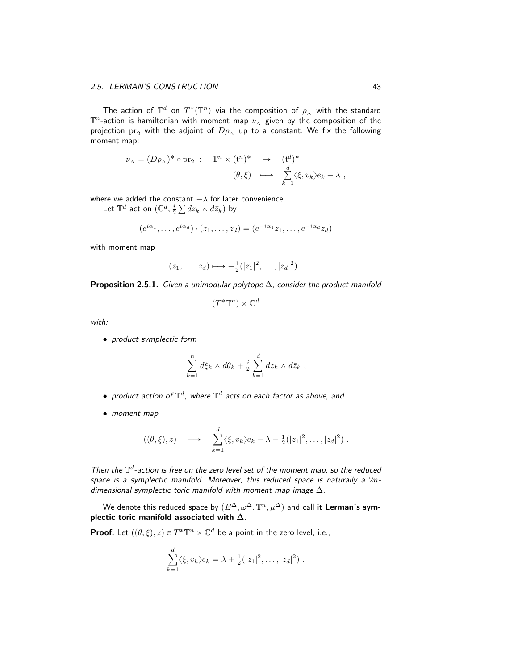The action of  $\mathbb{T}^d$  on  $T^*(\mathbb{T}^n)$  via the composition of  $\rho_{\Delta}$  with the standard  $\mathbb{T}^n$ -action is hamiltonian with moment map  $\nu_{\Delta}$  given by the composition of the projection  $\text{pr}_2$  with the adjoint of  $D\rho_{\Delta}$  up to a constant. We fix the following moment map:

$$
\begin{array}{cccc} \nu_{\Delta}=(D\rho_{\Delta})^*\circ\mathrm{pr}_2&:&\mathbb{T}^n\times (\mathfrak{t}^n)^* &\to& (\mathfrak{t}^d)^*\\ & &(\theta,\xi)&\longmapsto&\sum\limits_{k=1}^d\langle\xi,v_k\rangle e_k-\lambda\ , \end{array}
$$

where we added the constant  $-\lambda$  for later convenience.

Let  $\mathbb{T}^d$  act on  $(\mathbb{C}^d, \frac{i}{2}\sum dz_k \wedge d\bar{z}_k)$  by

$$
(e^{i\alpha_1},\ldots,e^{i\alpha_d})\cdot(z_1,\ldots,z_d)=(e^{-i\alpha_1}z_1,\ldots,e^{-i\alpha_d}z_d)
$$

with moment map

$$
(z_1,\ldots,z_d)\longmapsto -\frac{1}{2}(|z_1|^2,\ldots,|z_d|^2).
$$

**Proposition 2.5.1.** Given a unimodular polytope  $\Delta$ , consider the product manifold

$$
(T^*\mathbb{T}^n)\times\mathbb{C}^d
$$

with:

• product symplectic form

$$
\sum_{k=1}^n d\xi_k \wedge d\theta_k + \frac{i}{2} \sum_{k=1}^d dz_k \wedge d\overline{z}_k ,
$$

- $\bullet\,$  product action of  $\mathbb{T}^d$ , where  $\mathbb{T}^d\,$  acts on each factor as above, and
- moment map

$$
((\theta,\xi),z) \quad \longmapsto \quad \sum_{k=1}^d \langle \xi, v_k \rangle e_k - \lambda - \frac{1}{2}(|z_1|^2,\ldots,|z_d|^2) \; .
$$

Then the  $\mathbb{T}^d$ -action is free on the zero level set of the moment map, so the reduced space is a symplectic manifold. Moreover, this reduced space is naturally a  $2n$ dimensional symplectic toric manifold with moment map image  $\Delta$ .

We denote this reduced space by  $(E^{\Delta}, \omega^{\Delta}, \mathbb{T}^n, \mu^{\Delta})$  and call it <code>Lerman's sym-</code> plectic toric manifold associated with ∆.

**Proof.** Let  $((\theta, \xi), z) \in T^* \mathbb{T}^n \times \mathbb{C}^d$  be a point in the zero level, i.e.,

$$
\sum_{k=1}^d \langle \xi, v_k \rangle e_k = \lambda + \frac{1}{2} (|z_1|^2, \dots, |z_d|^2) .
$$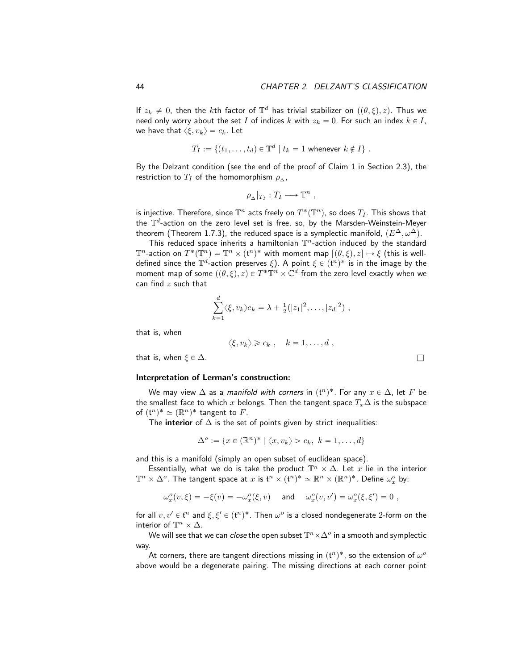If  $z_k \neq 0$ , then the kth factor of  $\mathbb{T}^d$  has trivial stabilizer on  $((\theta,\xi), z)$ . Thus we need only worry about the set I of indices k with  $z_k = 0$ . For such an index  $k \in I$ , we have that  $\langle \xi, v_k \rangle = c_k$ . Let

$$
T_I := \{(t_1, \ldots, t_d) \in \mathbb{T}^d \mid t_k = 1 \text{ whenever } k \notin I\}.
$$

By the Delzant condition (see the end of the proof of Claim 1 in Section 2.3), the restriction to  $T_I$  of the homomorphism  $\rho_{\Delta}$ ,

$$
\rho_{\Delta}|_{T_I}:T_I\longrightarrow \mathbb{T}^n,
$$

is injective. Therefore, since  $\mathbb{T}^n$  acts freely on  $T^*(\mathbb{T}^n)$ , so does  $T_I$ . This shows that the  $\mathbb{T}^d$ -action on the zero level set is free, so, by the Marsden-Weinstein-Meyer theorem (Theorem 1.7.3), the reduced space is a symplectic manifold,  $(E^{\Delta}, \omega^{\Delta})$ .

This reduced space inherits a hamiltonian  $\mathbb{T}^n$ -action induced by the standard  $\mathbb{T}^n$ -action on  $T^*(\mathbb{T}^n)=\mathbb{T}^n\times (\mathfrak{t}^n)^*$  with moment map  $[(\theta,\xi), z]\mapsto \xi$  (this is welldefined since the  $\mathbb{T}^d$ -action preserves  $\xi$ ). A point  $\xi \in (\mathfrak{t}^n)^*$  is in the image by the moment map of some  $((\theta, \xi), z) \in T^* \mathbb{T}^n \times \mathbb{C}^d$  from the zero level exactly when we can find  $z$  such that

$$
\sum_{k=1}^d \langle \xi, v_k \rangle e_k = \lambda + \frac{1}{2} (|z_1|^2, \dots, |z_d|^2) ,
$$

that is, when

$$
\langle \xi, v_k \rangle \geqslant c_k \; , \quad k = 1, \ldots, d \; ,
$$

that is, when  $\xi \in \Delta$ .

#### Interpretation of Lerman's construction:

We may view  $\Delta$  as a *manifold with corners* in  $({\mathfrak{t}}^n)^*$ . For any  $x\in \Delta,$  let  $F$  be the smallest face to which x belongs. Then the tangent space  $T_x\Delta$  is the subspace of  $({\mathfrak{t}}^n)^* \simeq (\mathbb{R}^n)^*$  tangent to  $F$ .

The interior of  $\Delta$  is the set of points given by strict inequalities:

$$
\Delta^o := \{x \in (\mathbb{R}^n)^* \mid \langle x, v_k \rangle > c_k, \ k = 1, \dots, d\}
$$

and this is a manifold (simply an open subset of euclidean space).

Essentially, what we do is take the product  $\mathbb{T}^n\times \Delta$ . Let  $x$  lie in the interior  $\mathbb{T}^n\times\Delta^o$ . The tangent space at  $x$  is  $\mathfrak{t}^n\times(\mathfrak{t}^n)^*\simeq\mathbb{R}^n\times(\mathbb{R}^n)^*.$  Define  $\omega_x^o$  by:

$$
\omega_x^o(v,\xi) = -\xi(v) = -\omega_x^o(\xi,v) \quad \text{ and } \quad \omega_x^o(v,v') = \omega_x^o(\xi,\xi') = 0 \ ,
$$

for all  $v, v' \in \mathfrak{t}^n$  and  $\xi, \xi' \in (\mathfrak{t}^n)^*$ . Then  $\omega^o$  is a closed nondegenerate 2-form on the interior of  $\mathbb{T}^n \times \Delta$ .

We will see that we can *close* the open subset  $\mathbb{T}^n\times\Delta^o$  in a smooth and symplectic way.

At corners, there are tangent directions missing in  $(\mathfrak{t}^n)^*$ , so the extension of  $\omega^o$ above would be a degenerate pairing. The missing directions at each corner point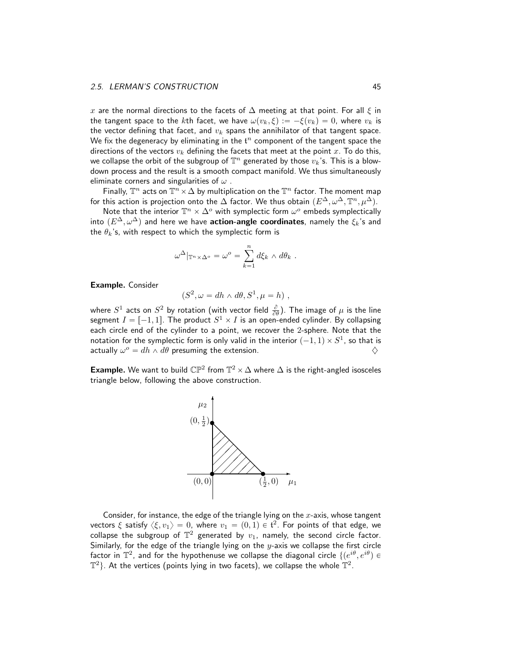x are the normal directions to the facets of  $\Delta$  meeting at that point. For all  $\xi$  in the tangent space to the kth facet, we have  $\omega(v_k, \xi) := -\xi(v_k) = 0$ , where  $v_k$  is the vector defining that facet, and  $v_k$  spans the annihilator of that tangent space. We fix the degeneracy by eliminating in the  $t^n$  component of the tangent space the directions of the vectors  $v_k$  defining the facets that meet at the point x. To do this, we collapse the orbit of the subgroup of  $\mathbb{T}^n$  generated by those  $v_k$ 's. This is a blowdown process and the result is a smooth compact manifold. We thus simultaneously eliminate corners and singularities of  $\omega$ .

Finally,  $\mathbb{T}^n$  acts on  $\mathbb{T}^n\times \Delta$  by multiplication on the  $\mathbb{T}^n$  factor. The moment map for this action is projection onto the  $\Delta$  factor. We thus obtain  $(E^{\Delta}, \omega^{\Delta}, \mathbb{T}^n, \mu^{\Delta}).$ 

Note that the interior  $\mathbb{T}^n \times \Delta^o$  with symplectic form  $\omega^o$  embeds symplectically into  $(E^{\Delta}, \omega^{\Delta})$  and here we have **action-angle coordinates**, namely the  $\xi_k$ 's and the  $\theta_k$ 's, with respect to which the symplectic form is

$$
\omega^{\Delta}|_{\mathbb{T}^n \times \Delta^o} = \omega^o = \sum_{k=1}^n d\xi_k \wedge d\theta_k.
$$

Example. Consider

$$
(S^2, \omega = dh \wedge d\theta, S^1, \mu = h) ,
$$

where  $S^1$  acts on  $S^2$  by rotation (with vector field  $\frac{\partial}{\partial \theta}$ ). The image of  $\mu$  is the line segment  $I = [-1, 1].$  The product  $S^1 \times I$  is an open-ended cylinder. By collapsing each circle end of the cylinder to a point, we recover the 2-sphere. Note that the notation for the symplectic form is only valid in the interior  $(-1,1)\times S^1$ , so that is actually  $\omega^o = dh \wedge d\theta$  presuming the extension.  $\diamondsuit$ 

**Example.** We want to build  $\mathbb{CP}^2$  from  $\mathbb{T}^2 \times \Delta$  where  $\Delta$  is the right-angled isosceles triangle below, following the above construction.



Consider, for instance, the edge of the triangle lying on the  $x$ -axis, whose tangent vectors  $\xi$  satisfy  $\langle \xi, v_1 \rangle = 0$ , where  $v_1 = (0,1) \in \mathfrak{t}^2.$  For points of that edge, we collapse the subgroup of  $\mathbb{T}^2$  generated by  $v_1$ , namely, the second circle factor. Similarly, for the edge of the triangle lying on the  $y$ -axis we collapse the first circle factor in  $\mathbb{T}^2$ , and for the hypothenuse we collapse the diagonal circle  $\{(e^{i\theta}, e^{i\theta}) \in$  $\mathbb{T}^{2}$ }. At the vertices (points lying in two facets), we collapse the whole  $\mathbb{\hat{T}}^{2}$ .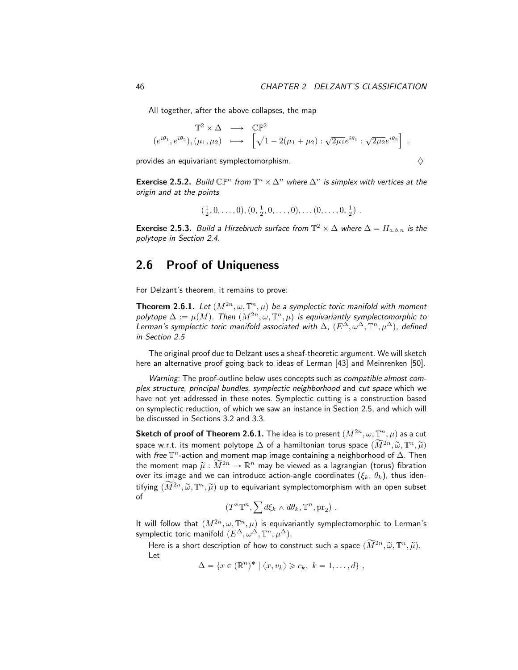All together, after the above collapses, the map

$$
\mathbb{T}^2 \times \Delta \longrightarrow \mathbb{CP}^2
$$
  

$$
(e^{i\theta_1}, e^{i\theta_2}), (\mu_1, \mu_2) \longrightarrow \left[ \sqrt{1 - 2(\mu_1 + \mu_2)} : \sqrt{2\mu_1}e^{i\theta_1} : \sqrt{2\mu_2}e^{i\theta_2} \right].
$$

provides an equivariant symplectomorphism.

$$
\diamondsuit
$$

**Exercise 2.5.2.** Build  $\mathbb{CP}^n$  from  $\mathbb{T}^n \times \Delta^n$  where  $\Delta^n$  is simplex with vertices at the origin and at the points

$$
(\frac{1}{2},0,\ldots,0),(0,\frac{1}{2},0,\ldots,0),\ldots(0,\ldots,0,\frac{1}{2})
$$
.

**Exercise 2.5.3.** Build a Hirzebruch surface from  $\mathbb{T}^2 \times \Delta$  where  $\Delta = H_{a,b,n}$  is the polytope in Section 2.4.

# 2.6 Proof of Uniqueness

For Delzant's theorem, it remains to prove:

**Theorem 2.6.1.** Let  $(M^{2n}, \omega, \mathbb{T}^n, \mu)$  be a symplectic toric manifold with moment polytope  $\Delta := \mu(M)$ . Then  $(M^{2n}, \omega, \mathbb{T}^n, \mu)$  is equivariantly symplectomorphic to Lerman's symplectic toric manifold associated with  $\Delta$ ,  $(E^{\Delta}, \omega^{\Delta}, \mathbb{T}^n, \mu^{\Delta})$ , defined in Section 2.5

The original proof due to Delzant uses a sheaf-theoretic argument. We will sketch here an alternative proof going back to ideas of Lerman [43] and Meinrenken [50].

Warning: The proof-outline below uses concepts such as *compatible almost com*plex structure, principal bundles, symplectic neighborhood and cut space which we have not yet addressed in these notes. Symplectic cutting is a construction based on symplectic reduction, of which we saw an instance in Section 2.5, and which will be discussed in Sections 3.2 and 3.3.

 ${\sf Sketch\ of\ proof\ of\ Theorem 2.6.1.}$  The idea is to present  $(M^{2n},\omega, \mathbb{T}^n,\mu)$  as a cut space w.r.t. its moment polytope  $\Delta$  of a hamiltonian torus space  $(\widetilde{M}^{2n},\widetilde{\omega},\mathbb{T}^n,\widetilde{\mu})$ with *free*  $\mathbb{T}^n$ -action and moment map image containing a neighborhood of  $\Delta$ . Then the moment map  $\tilde{\mu}: \tilde{M}^{2n} \to \mathbb{R}^n$  may be viewed as a lagrangian (torus) fibration over its image and we can introduce action-angle coordinates  $(\xi_k, \theta_k)$ , thus identifying  $(\widetilde{M}^{2n}, \widetilde{\omega}, \mathbb{T}^n, \widetilde{\mu})$  up to equivariant symplectomorphism with an open subset of

$$
(T^* \mathbb{T}^n, \sum d\xi_k \wedge d\theta_k, \mathbb{T}^n, \text{pr}_2) .
$$

It will follow that  $(M^{2n}, \omega, \mathbb{T}^n, \mu)$  is equivariantly symplectomorphic to Lerman's symplectic toric manifold  $(E^{\Delta}, \omega^{\dot\Delta}, \mathbb{T}^n, \mu^{\Delta}).$ 

Here is a short description of how to construct such a space  $(\widetilde{M}^{2n},\widetilde{\omega},\mathbb{T}^n,\widetilde{\mu}).$ Let

 $\Delta = \{x \in (\mathbb{R}^n)^* \mid \langle x, v_k \rangle \geqslant c_k, \ k = 1, \ldots, d\},$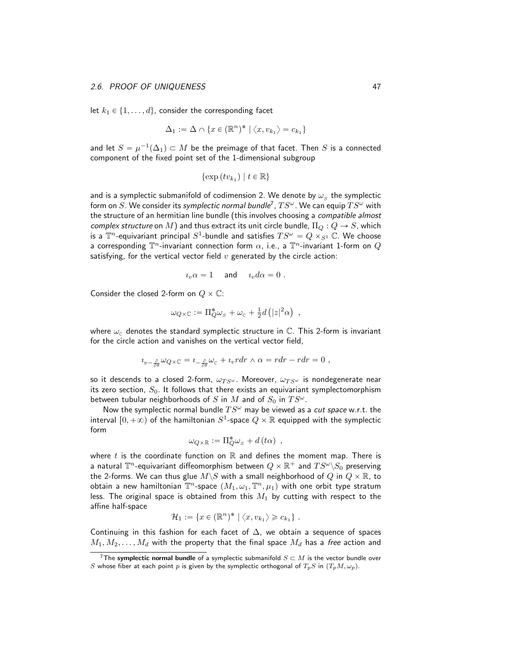let  $k_1 \in \{1, \ldots, d\}$ , consider the corresponding facet

$$
\Delta_1 := \Delta \cap \{x \in (\mathbb{R}^n)^* \mid \langle x, v_{k_1} \rangle = c_{k_1}\}
$$

and let  $S = \mu^{-1}(\Delta_1) \subset M$  be the preimage of that facet. Then  $S$  is a connected component of the fixed point set of the 1-dimensional subgroup

$$
\{\exp(tv_{k_1}) \mid t \in \mathbb{R}\}
$$

and is a symplectic submanifold of codimension 2. We denote by  $\omega_{_S}$  the symplectic form on  $S.$  We consider its *symplectic normal bundle<sup>7</sup> ,*  $TS^\omega$  *.* We can equip  $TS^\omega$  with the structure of an hermitian line bundle (this involves choosing a compatible almost complex structure on M) and thus extract its unit circle bundle,  $\Pi_{Q}: Q \rightarrow S$ , which is a  $\mathbb{T}^n$ -equivariant principal  $S^1$ -bundle and satisfies  $TS^\omega=Q\times_{S^1}\mathbb{C}.$  We choose a corresponding  $\mathbb{T}^n$ -invariant connection form  $\alpha$ , i.e., a  $\mathbb{T}^n$ -invariant 1-form on  $Q$ satisfying, for the vertical vector field  $v$  generated by the circle action:

$$
i_v \alpha = 1 \quad \text{and} \quad i_v d\alpha = 0 \ .
$$

Consider the closed 2-form on  $Q \times \mathbb{C}$ :

$$
\omega_{Q\times\mathbb{C}} := \Pi_Q^*\omega_{\scriptscriptstyle S} + \omega_{\scriptscriptstyle \mathbb{C}} + \frac{1}{2}d\left(|z|^2\alpha\right) ,
$$

where  $\omega_c$  denotes the standard symplectic structure in  $\mathbb C$ . This 2-form is invariant for the circle action and vanishes on the vertical vector field,

$$
i_{v-\frac{\partial}{\partial \theta}}\omega_{Q\times\mathbb{C}}=i_{-\frac{\partial}{\partial \theta}}\omega_{\mathbb{C}}+i_{v}rdr\wedge\alpha=rdr-rdr=0,
$$

so it descends to a closed 2-form,  $\omega_{TS^{\omega}}$ . Moreover,  $\omega_{TS^{\omega}}$  is nondegenerate near its zero section,  $S_0$ . It follows that there exists an equivariant symplectomorphism between tubular neighborhoods of S in M and of  $S_0$  in  $TS^{\omega}$ .

Now the symplectic normal bundle  $TS^{\omega}$  may be viewed as a *cut space* w.r.t. the interval  $[0, +\infty)$  of the hamiltonian  $S^1$ -space  $Q \times \mathbb{R}$  equipped with the symplectic form

$$
\omega_{Q\times\mathbb{R}}:=\Pi_Q^*\omega_s+d\left(t\alpha\right) ,
$$

where t is the coordinate function on  $\mathbb R$  and defines the moment map. There is a natural  $\mathbb{T}^n$ -equivariant diffeomorphism between  $Q \times \mathbb{R}^+$  and  $TS^\omega \backslash S_0$  preserving the 2-forms. We can thus glue  $M\backslash S$  with a small neighborhood of  $Q$  in  $Q\times\mathbb{R}$ , to obtain a new hamiltonian  $\mathbb{T}^n$ -space  $(M_1,\omega_1,\mathbb{T}^n,\mu_1)$  with one orbit type stratum less. The original space is obtained from this  $M_1$  by cutting with respect to the affine half-space

$$
\mathcal{H}_1 := \{x \in (\mathbb{R}^n)^* \mid \langle x, v_{k_1} \rangle \geqslant c_{k_1} \}.
$$

Continuing in this fashion for each facet of  $\Delta$ , we obtain a sequence of spaces  $M_1, M_2, \ldots, M_d$  with the property that the final space  $M_d$  has a free action and

<sup>&</sup>lt;sup>7</sup>The symplectic normal bundle of a symplectic submanifold  $S \subset M$  is the vector bundle over S whose fiber at each point p is given by the symplectic orthogonal of  $T_pS$  in  $(T_pM, \omega_p)$ .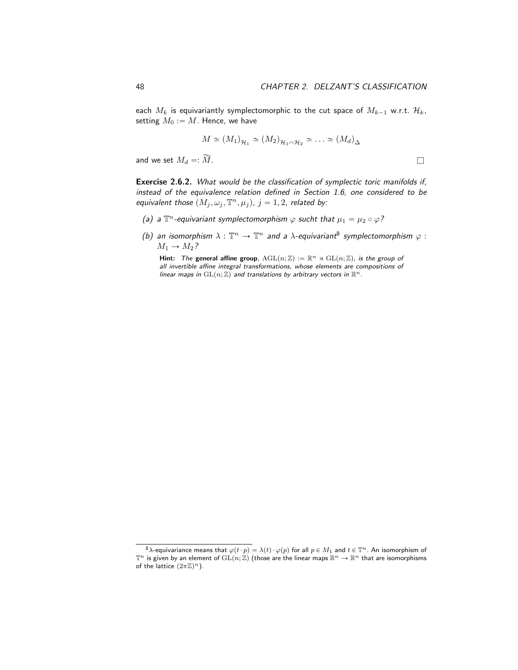each  $M_k$  is equivariantly symplectomorphic to the cut space of  $M_{k-1}$  w.r.t.  $\mathcal{H}_k$ , setting  $M_0 := M$ . Hence, we have

$$
M \simeq (M_1)_{\mathcal{H}_1} \simeq (M_2)_{\mathcal{H}_1 \cap \mathcal{H}_2} \simeq \ldots \simeq (M_d)_{\Delta}
$$

and we set  $M_d =: \widetilde{M}$ .

Exercise 2.6.2. What would be the classification of symplectic toric manifolds if, instead of the equivalence relation defined in Section 1.6, one considered to be equivalent those  $(M_j , \omega_j , \mathbb{T}^n , \mu_j)$ ,  $j = 1, 2$ , related by:

- (a) a  $\mathbb{T}^n$ -equivariant symplectomorphism  $\varphi$  sucht that  $\mu_1 = \mu_2 \circ \varphi$ ?
- (b) an isomorphism  $\lambda : \mathbb{T}^n \to \mathbb{T}^n$  and a  $\lambda$ -equivariant<sup>8</sup> symplectomorphism  $\varphi$  :  $M_1 \rightarrow M_2$ ?

Hint: The general affine group,  $AGL(n; \mathbb{Z}) := \mathbb{R}^n \rtimes GL(n; \mathbb{Z})$ , is the group of all invertible affine integral transformations, whose elements are compositions of linear maps in  $GL(n; \mathbb{Z})$  and translations by arbitrary vectors in  $\mathbb{R}^n$ .

<sup>&</sup>lt;sup>8</sup> $\lambda$ -equivariance means that  $\varphi(t \cdot p) = \lambda(t) \cdot \varphi(p)$  for all  $p \in M_1$  and  $t \in \mathbb{T}^n$ . An isomorphism of  $\mathbb{T}^n$  is given by an element of  $\mathrm{GL}(n; \mathbb{Z})$  (those are the linear maps  $\mathbb{R}^n \to \mathbb{R}^n$  that are isom of the lattice  $(2\pi\mathbb{Z})^n$ ).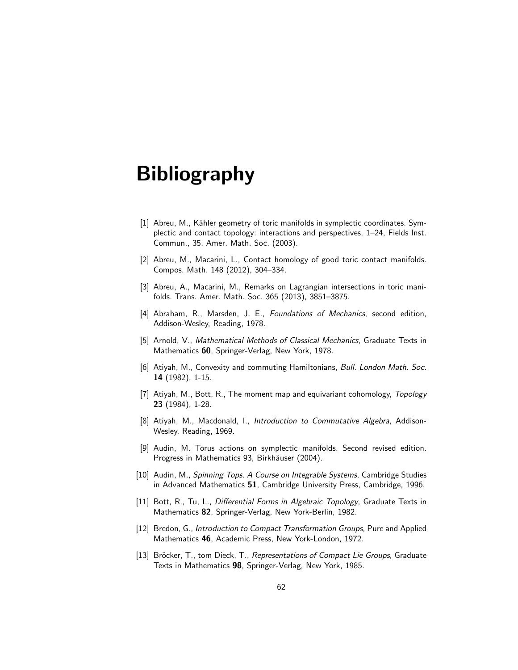# Bibliography

- [1] Abreu, M., Kähler geometry of toric manifolds in symplectic coordinates. Symplectic and contact topology: interactions and perspectives, 1–24, Fields Inst. Commun., 35, Amer. Math. Soc. (2003).
- [2] Abreu, M., Macarini, L., Contact homology of good toric contact manifolds. Compos. Math. 148 (2012), 304–334.
- [3] Abreu, A., Macarini, M., Remarks on Lagrangian intersections in toric manifolds. Trans. Amer. Math. Soc. 365 (2013), 3851–3875.
- [4] Abraham, R., Marsden, J. E., Foundations of Mechanics, second edition, Addison-Wesley, Reading, 1978.
- [5] Arnold, V., Mathematical Methods of Classical Mechanics, Graduate Texts in Mathematics 60, Springer-Verlag, New York, 1978.
- [6] Atiyah, M., Convexity and commuting Hamiltonians, Bull. London Math. Soc. 14 (1982), 1-15.
- [7] Atiyah, M., Bott, R., The moment map and equivariant cohomology, Topology 23 (1984), 1-28.
- [8] Atiyah, M., Macdonald, I., *Introduction to Commutative Algebra*, Addison-Wesley, Reading, 1969.
- [9] Audin, M. Torus actions on symplectic manifolds. Second revised edition. Progress in Mathematics 93, Birkhäuser (2004).
- [10] Audin, M., Spinning Tops. A Course on Integrable Systems, Cambridge Studies in Advanced Mathematics 51, Cambridge University Press, Cambridge, 1996.
- [11] Bott, R., Tu, L., Differential Forms in Algebraic Topology, Graduate Texts in Mathematics 82, Springer-Verlag, New York-Berlin, 1982.
- [12] Bredon, G., Introduction to Compact Transformation Groups, Pure and Applied Mathematics 46, Academic Press, New York-London, 1972.
- [13] Bröcker, T., tom Dieck, T., Representations of Compact Lie Groups, Graduate Texts in Mathematics 98, Springer-Verlag, New York, 1985.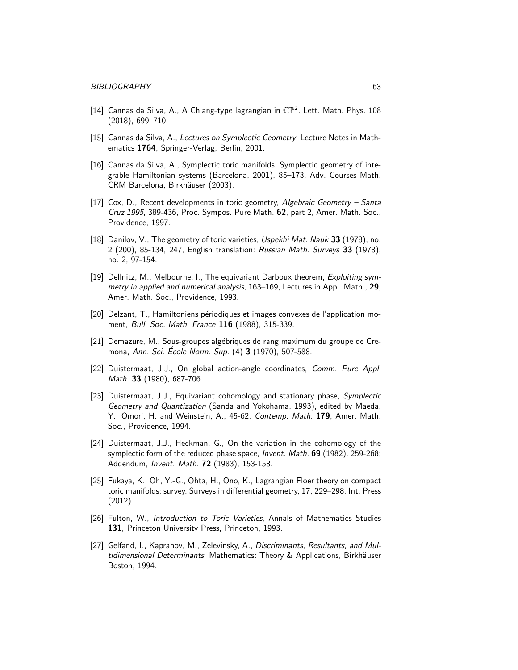- [14] Cannas da Silva, A., A Chiang-type lagrangian in  $\mathbb{CP}^2$ . Lett. Math. Phys. 108 (2018), 699–710.
- [15] Cannas da Silva, A., Lectures on Symplectic Geometry, Lecture Notes in Mathematics 1764, Springer-Verlag, Berlin, 2001.
- [16] Cannas da Silva, A., Symplectic toric manifolds. Symplectic geometry of integrable Hamiltonian systems (Barcelona, 2001), 85–173, Adv. Courses Math. CRM Barcelona, Birkhäuser (2003).
- [17] Cox, D., Recent developments in toric geometry, Algebraic Geometry Santa Cruz 1995, 389-436, Proc. Sympos. Pure Math. 62, part 2, Amer. Math. Soc., Providence, 1997.
- [18] Danilov, V., The geometry of toric varieties, Uspekhi Mat. Nauk 33 (1978), no. 2 (200), 85-134, 247, English translation: Russian Math. Surveys 33 (1978), no. 2, 97-154.
- [19] Dellnitz, M., Melbourne, I., The equivariant Darboux theorem, Exploiting symmetry in applied and numerical analysis, 163-169, Lectures in Appl. Math., 29, Amer. Math. Soc., Providence, 1993.
- [20] Delzant, T., Hamiltoniens périodiques et images convexes de l'application moment, Bull. Soc. Math. France 116 (1988), 315-339.
- [21] Demazure, M., Sous-groupes alg´ebriques de rang maximum du groupe de Cremona, Ann. Sci. Ecole Norm. Sup. (4) 3 (1970), 507-588.
- [22] Duistermaat, J.J., On global action-angle coordinates, Comm. Pure Appl. Math. 33 (1980), 687-706.
- [23] Duistermaat, J.J., Equivariant cohomology and stationary phase, Symplectic Geometry and Quantization (Sanda and Yokohama, 1993), edited by Maeda, Y., Omori, H. and Weinstein, A., 45-62, Contemp. Math. 179, Amer. Math. Soc., Providence, 1994.
- [24] Duistermaat, J.J., Heckman, G., On the variation in the cohomology of the symplectic form of the reduced phase space, *Invent. Math.* 69 (1982), 259-268; Addendum, Invent. Math. 72 (1983), 153-158.
- [25] Fukaya, K., Oh, Y.-G., Ohta, H., Ono, K., Lagrangian Floer theory on compact toric manifolds: survey. Surveys in differential geometry, 17, 229–298, Int. Press (2012).
- [26] Fulton, W., Introduction to Toric Varieties, Annals of Mathematics Studies 131, Princeton University Press, Princeton, 1993.
- [27] Gelfand, I., Kapranov, M., Zelevinsky, A., Discriminants, Resultants, and Multidimensional Determinants, Mathematics: Theory & Applications, Birkhäuser Boston, 1994.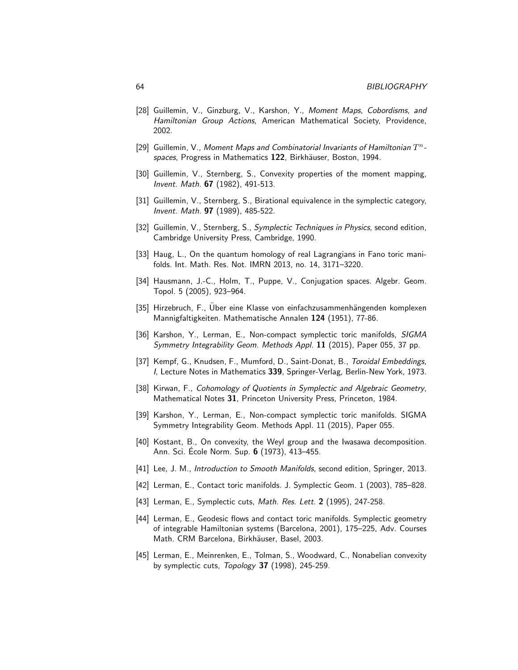- [28] Guillemin, V., Ginzburg, V., Karshon, Y., Moment Maps, Cobordisms, and Hamiltonian Group Actions, American Mathematical Society, Providence, 2002.
- [29] Guillemin, V., Moment Maps and Combinatorial Invariants of Hamiltonian  $T^n$ spaces, Progress in Mathematics 122, Birkhäuser, Boston, 1994.
- [30] Guillemin, V., Sternberg, S., Convexity properties of the moment mapping, Invent. Math. 67 (1982), 491-513.
- [31] Guillemin, V., Sternberg, S., Birational equivalence in the symplectic category, Invent. Math. 97 (1989), 485-522.
- [32] Guillemin, V., Sternberg, S., Symplectic Techniques in Physics, second edition, Cambridge University Press, Cambridge, 1990.
- [33] Haug, L., On the quantum homology of real Lagrangians in Fano toric manifolds. Int. Math. Res. Not. IMRN 2013, no. 14, 3171–3220.
- [34] Hausmann, J.-C., Holm, T., Puppe, V., Conjugation spaces. Algebr. Geom. Topol. 5 (2005), 923–964.
- [35] Hirzebruch, F., Uber eine Klasse von einfachzusammenhängenden komplexen Mannigfaltigkeiten. Mathematische Annalen 124 (1951), 77-86.
- [36] Karshon, Y., Lerman, E., Non-compact symplectic toric manifolds, SIGMA Symmetry Integrability Geom. Methods Appl. 11 (2015), Paper 055, 37 pp.
- [37] Kempf, G., Knudsen, F., Mumford, D., Saint-Donat, B., Toroidal Embeddings, I, Lecture Notes in Mathematics 339, Springer-Verlag, Berlin-New York, 1973.
- [38] Kirwan, F., Cohomology of Quotients in Symplectic and Algebraic Geometry, Mathematical Notes 31, Princeton University Press, Princeton, 1984.
- [39] Karshon, Y., Lerman, E., Non-compact symplectic toric manifolds. SIGMA Symmetry Integrability Geom. Methods Appl. 11 (2015), Paper 055.
- [40] Kostant, B., On convexity, the Weyl group and the Iwasawa decomposition. Ann. Sci. Ecole Norm. Sup. 6 (1973), 413–455.
- [41] Lee, J. M., Introduction to Smooth Manifolds, second edition, Springer, 2013.
- [42] Lerman, E., Contact toric manifolds. J. Symplectic Geom. 1 (2003), 785–828.
- [43] Lerman, E., Symplectic cuts, Math. Res. Lett. 2 (1995), 247-258.
- [44] Lerman, E., Geodesic flows and contact toric manifolds. Symplectic geometry of integrable Hamiltonian systems (Barcelona, 2001), 175–225, Adv. Courses Math. CRM Barcelona, Birkhäuser, Basel, 2003.
- [45] Lerman, E., Meinrenken, E., Tolman, S., Woodward, C., Nonabelian convexity by symplectic cuts, Topology 37 (1998), 245-259.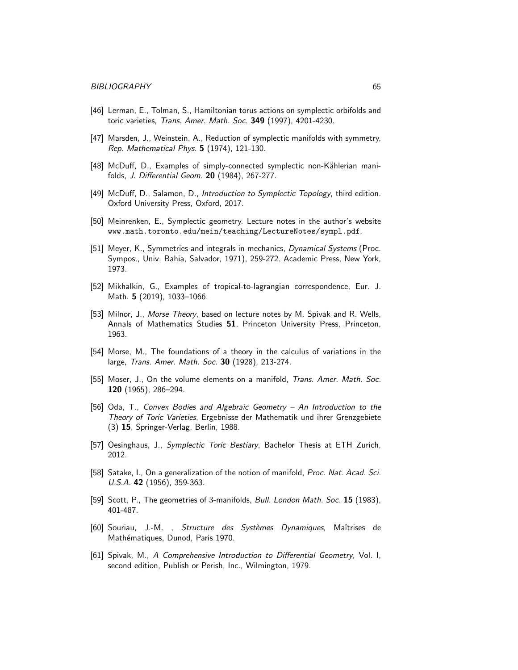- [46] Lerman, E., Tolman, S., Hamiltonian torus actions on symplectic orbifolds and toric varieties, Trans. Amer. Math. Soc. 349 (1997), 4201-4230.
- [47] Marsden, J., Weinstein, A., Reduction of symplectic manifolds with symmetry, Rep. Mathematical Phys. 5 (1974), 121-130.
- [48] McDuff, D., Examples of simply-connected symplectic non-Kählerian manifolds, J. Differential Geom. 20 (1984), 267-277.
- [49] McDuff, D., Salamon, D., Introduction to Symplectic Topology, third edition. Oxford University Press, Oxford, 2017.
- [50] Meinrenken, E., Symplectic geometry. Lecture notes in the author's website www.math.toronto.edu/mein/teaching/LectureNotes/sympl.pdf.
- [51] Meyer, K., Symmetries and integrals in mechanics, Dynamical Systems (Proc. Sympos., Univ. Bahia, Salvador, 1971), 259-272. Academic Press, New York, 1973.
- [52] Mikhalkin, G., Examples of tropical-to-lagrangian correspondence, Eur. J. Math. 5 (2019), 1033–1066.
- [53] Milnor, J., Morse Theory, based on lecture notes by M. Spivak and R. Wells, Annals of Mathematics Studies 51, Princeton University Press, Princeton, 1963.
- [54] Morse, M., The foundations of a theory in the calculus of variations in the large, Trans. Amer. Math. Soc. 30 (1928), 213-274.
- [55] Moser, J., On the volume elements on a manifold, *Trans. Amer. Math. Soc.* 120 (1965), 286–294.
- [56] Oda, T., Convex Bodies and Algebraic Geometry An Introduction to the Theory of Toric Varieties, Ergebnisse der Mathematik und ihrer Grenzgebiete (3) 15, Springer-Verlag, Berlin, 1988.
- [57] Oesinghaus, J., Symplectic Toric Bestiary, Bachelor Thesis at ETH Zurich, 2012.
- [58] Satake, I., On a generalization of the notion of manifold, *Proc. Nat. Acad. Sci.* U.S.A. 42 (1956), 359-363.
- [59] Scott, P., The geometries of 3-manifolds, *Bull. London Math. Soc.* 15 (1983), 401-487.
- [60] Souriau, J.-M., Structure des Systèmes Dynamiques, Maîtrises de Mathématiques, Dunod, Paris 1970.
- [61] Spivak, M., A Comprehensive Introduction to Differential Geometry, Vol. I, second edition, Publish or Perish, Inc., Wilmington, 1979.